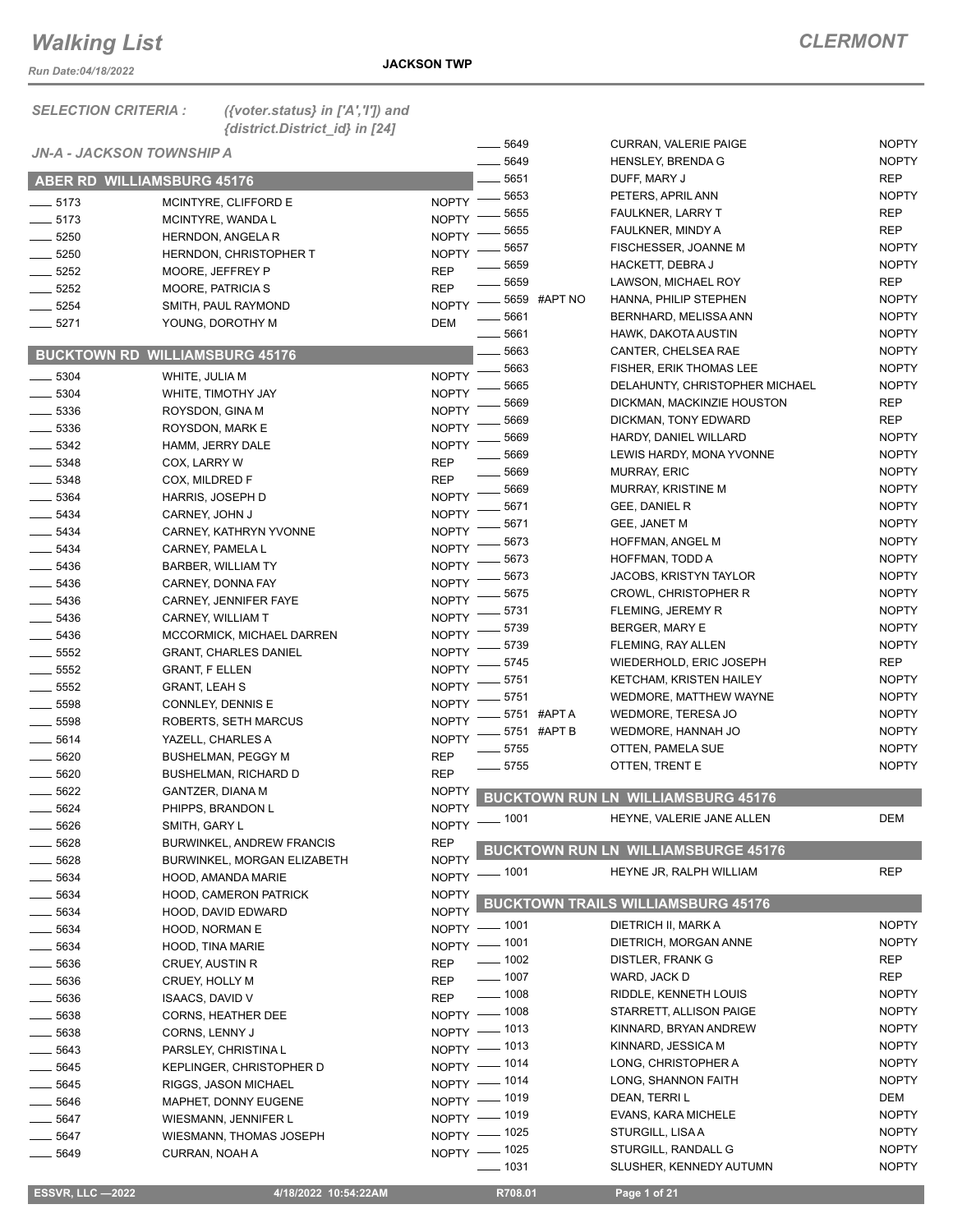*Run Date:04/18/2022*

| <b>SELECTION CRITERIA :</b>       | ({voter.status} in $['A', 'T']$ ) and<br>{district.District_id} in [24] |              |                    |                                            |                              |
|-----------------------------------|-------------------------------------------------------------------------|--------------|--------------------|--------------------------------------------|------------------------------|
| <b>JN-A - JACKSON TOWNSHIP A</b>  |                                                                         |              | 5649<br>5649       | <b>CURRAN, VALERIE PAIGE</b>               | <b>NOPTY</b><br><b>NOPTY</b> |
| <b>ABER RD WILLIAMSBURG 45176</b> |                                                                         |              | 5651               | <b>HENSLEY, BRENDA G</b><br>DUFF, MARY J   | <b>REP</b>                   |
|                                   |                                                                         |              | 5653               | PETERS, APRIL ANN                          | <b>NOPTY</b>                 |
| $-5173$                           | MCINTYRE, CLIFFORD E                                                    | <b>NOPTY</b> | 5655               | <b>FAULKNER, LARRY T</b>                   | <b>REP</b>                   |
| $-5173$                           | MCINTYRE, WANDA L                                                       | <b>NOPTY</b> | 5655               | FAULKNER, MINDY A                          | <b>REP</b>                   |
| $-5250$                           | <b>HERNDON, ANGELA R</b>                                                | <b>NOPTY</b> | 5657               | FISCHESSER, JOANNE M                       | <b>NOPTY</b>                 |
| 5250                              | <b>HERNDON, CHRISTOPHER T</b>                                           | <b>NOPTY</b> | 5659               | HACKETT, DEBRA J                           | <b>NOPTY</b>                 |
| 5252                              | MOORE, JEFFREY P                                                        | <b>REP</b>   | 5659               | LAWSON, MICHAEL ROY                        | <b>REP</b>                   |
| 5252                              | <b>MOORE, PATRICIA S</b>                                                | <b>REP</b>   | 5659<br>#APT NO    | HANNA, PHILIP STEPHEN                      | <b>NOPTY</b>                 |
| 5254                              | SMITH, PAUL RAYMOND                                                     | <b>NOPTY</b> |                    |                                            |                              |
| 5271                              | YOUNG, DOROTHY M                                                        | <b>DEM</b>   | 5661               | BERNHARD, MELISSA ANN                      | <b>NOPTY</b>                 |
|                                   |                                                                         |              | 5661               | HAWK, DAKOTA AUSTIN                        | <b>NOPTY</b>                 |
|                                   | <b>BUCKTOWN RD WILLIAMSBURG 45176</b>                                   |              | 5663               | CANTER, CHELSEA RAE                        | <b>NOPTY</b>                 |
| 5304                              | WHITE, JULIA M                                                          | <b>NOPTY</b> | 5663               | <b>FISHER, ERIK THOMAS LEE</b>             | <b>NOPTY</b>                 |
| 5304                              | WHITE, TIMOTHY JAY                                                      | <b>NOPTY</b> | 5665               | DELAHUNTY, CHRISTOPHER MICHAEL             | <b>NOPTY</b>                 |
| 5336                              | ROYSDON, GINA M                                                         | <b>NOPTY</b> | 5669               | DICKMAN, MACKINZIE HOUSTON                 | <b>REP</b>                   |
| 5336                              | ROYSDON, MARK E                                                         | <b>NOPTY</b> | 5669               | DICKMAN, TONY EDWARD                       | <b>REP</b>                   |
| 5342                              | HAMM, JERRY DALE                                                        | <b>NOPTY</b> | 5669               | HARDY, DANIEL WILLARD                      | <b>NOPTY</b>                 |
| $-5348$                           | COX, LARRY W                                                            | <b>REP</b>   | 5669               | LEWIS HARDY, MONA YVONNE                   | <b>NOPTY</b>                 |
| 5348                              | COX, MILDRED F                                                          | <b>REP</b>   | 5669               | <b>MURRAY, ERIC</b>                        | <b>NOPTY</b>                 |
|                                   |                                                                         |              | 5669               | MURRAY, KRISTINE M                         | <b>NOPTY</b>                 |
| 5364                              | HARRIS, JOSEPH D                                                        | <b>NOPTY</b> | 5671               | GEE, DANIEL R                              | <b>NOPTY</b>                 |
| 5434                              | CARNEY, JOHN J                                                          | <b>NOPTY</b> | 5671               | GEE, JANET M                               | <b>NOPTY</b>                 |
| 5434                              | CARNEY, KATHRYN YVONNE                                                  | <b>NOPTY</b> | 5673               | HOFFMAN, ANGEL M                           | <b>NOPTY</b>                 |
| 5434                              | CARNEY, PAMELA L                                                        | <b>NOPTY</b> | 5673               | HOFFMAN, TODD A                            | <b>NOPTY</b>                 |
| 5436                              | <b>BARBER, WILLIAM TY</b>                                               | <b>NOPTY</b> | 5673               | <b>JACOBS, KRISTYN TAYLOR</b>              | <b>NOPTY</b>                 |
| 5436                              | CARNEY, DONNA FAY                                                       | <b>NOPTY</b> | 5675               | <b>CROWL, CHRISTOPHER R</b>                | <b>NOPTY</b>                 |
| 5436                              | CARNEY, JENNIFER FAYE                                                   | <b>NOPTY</b> | 5731               |                                            | <b>NOPTY</b>                 |
| 5436                              | CARNEY, WILLIAM T                                                       | <b>NOPTY</b> |                    | FLEMING, JEREMY R                          |                              |
| 5436                              | MCCORMICK, MICHAEL DARREN                                               | <b>NOPTY</b> | 5739               | BERGER, MARY E                             | <b>NOPTY</b>                 |
| 5552                              | <b>GRANT, CHARLES DANIEL</b>                                            | <b>NOPTY</b> | 5739               | FLEMING, RAY ALLEN                         | <b>NOPTY</b>                 |
| 5552                              | <b>GRANT, F ELLEN</b>                                                   | <b>NOPTY</b> | 5745               | WIEDERHOLD, ERIC JOSEPH                    | <b>REP</b>                   |
| .5552                             | <b>GRANT, LEAH S</b>                                                    | <b>NOPTY</b> | 5751               | KETCHAM, KRISTEN HAILEY                    | <b>NOPTY</b>                 |
| 5598                              | CONNLEY, DENNIS E                                                       | <b>NOPTY</b> | 5751               | WEDMORE, MATTHEW WAYNE                     | <b>NOPTY</b>                 |
| 5598                              | ROBERTS, SETH MARCUS                                                    | <b>NOPTY</b> | 5751 #APT A        | WEDMORE, TERESA JO                         | <b>NOPTY</b>                 |
| 5614                              | YAZELL, CHARLES A                                                       | <b>NOPTY</b> | 5751 #APT B        | WEDMORE, HANNAH JO                         | <b>NOPTY</b>                 |
| 5620                              | <b>BUSHELMAN, PEGGY M</b>                                               | <b>REP</b>   | 5755               | OTTEN, PAMELA SUE                          | <b>NOPTY</b>                 |
| 5620                              | <b>BUSHELMAN, RICHARD D</b>                                             | <b>REP</b>   | $-5755$            | OTTEN, TRENT E                             | <b>NOPTY</b>                 |
|                                   |                                                                         | <b>NOPTY</b> |                    |                                            |                              |
| $-5622$                           | GANTZER, DIANA M                                                        |              |                    | <b>BUCKTOWN RUN LN WILLIAMSBURG 45176</b>  |                              |
| —— 5624                           | PHIPPS, BRANDON L                                                       | <b>NOPTY</b> | $= 1001$           | HEYNE, VALERIE JANE ALLEN                  | DEM                          |
| $-5626$                           | SMITH, GARY L                                                           | <b>NOPTY</b> |                    |                                            |                              |
| _ 5628                            | <b>BURWINKEL, ANDREW FRANCIS</b>                                        | <b>REP</b>   |                    | <b>BUCKTOWN RUN LN WILLIAMSBURGE 45176</b> |                              |
| 5628                              | BURWINKEL, MORGAN ELIZABETH                                             | <b>NOPTY</b> |                    | HEYNE JR, RALPH WILLIAM                    | <b>REP</b>                   |
| 5634                              | HOOD, AMANDA MARIE                                                      | NOPTY - 1001 |                    |                                            |                              |
| 5634                              | <b>HOOD, CAMERON PATRICK</b>                                            | <b>NOPTY</b> |                    | <b>BUCKTOWN TRAILS WILLIAMSBURG 45176</b>  |                              |
| 5634                              | HOOD, DAVID EDWARD                                                      | <b>NOPTY</b> |                    |                                            |                              |
| _ 5634                            | HOOD, NORMAN E                                                          | NOPTY - 1001 |                    | DIETRICH II, MARK A                        | <b>NOPTY</b>                 |
| 5634                              | HOOD, TINA MARIE                                                        | NOPTY - 1001 |                    | DIETRICH, MORGAN ANNE                      | <b>NOPTY</b>                 |
| 5636                              | CRUEY, AUSTIN R                                                         | <b>REP</b>   | $\frac{1}{2}$ 1002 | DISTLER, FRANK G                           | REP                          |
| 5636                              | CRUEY, HOLLY M                                                          | <b>REP</b>   | $- 1007$           | WARD, JACK D                               | <b>REP</b>                   |
| .5636                             | <b>ISAACS, DAVID V</b>                                                  | <b>REP</b>   | $\frac{1}{2}$ 1008 | RIDDLE, KENNETH LOUIS                      | <b>NOPTY</b>                 |
| _ 5638                            | <b>CORNS, HEATHER DEE</b>                                               | NOPTY - 1008 |                    | STARRETT, ALLISON PAIGE                    | <b>NOPTY</b>                 |
| __ 5638                           | CORNS, LENNY J                                                          | NOPTY - 1013 |                    | KINNARD, BRYAN ANDREW                      | <b>NOPTY</b>                 |
| _ 5643                            | PARSLEY, CHRISTINA L                                                    | NOPTY - 1013 |                    | KINNARD, JESSICA M                         | <b>NOPTY</b>                 |
| _ 5645                            | <b>KEPLINGER, CHRISTOPHER D</b>                                         | NOPTY - 1014 |                    | LONG, CHRISTOPHER A                        | <b>NOPTY</b>                 |
|                                   |                                                                         | NOPTY - 1014 |                    | LONG, SHANNON FAITH                        | <b>NOPTY</b>                 |
| 5645                              | RIGGS, JASON MICHAEL                                                    | NOPTY - 1019 |                    | DEAN, TERRI L                              | DEM                          |
| 5646                              | MAPHET, DONNY EUGENE                                                    | NOPTY - 1019 |                    | EVANS, KARA MICHELE                        | <b>NOPTY</b>                 |
| 5647                              | WIESMANN, JENNIFER L                                                    | NOPTY - 1025 |                    | STURGILL, LISAA                            | <b>NOPTY</b>                 |
| 5647                              | WIESMANN, THOMAS JOSEPH                                                 |              |                    | STURGILL, RANDALL G                        | <b>NOPTY</b>                 |
| $-5649$                           | CURRAN, NOAH A                                                          | NOPTY - 1025 |                    |                                            | <b>NOPTY</b>                 |
|                                   |                                                                         |              | 1031               | SLUSHER, KENNEDY AUTUMN                    |                              |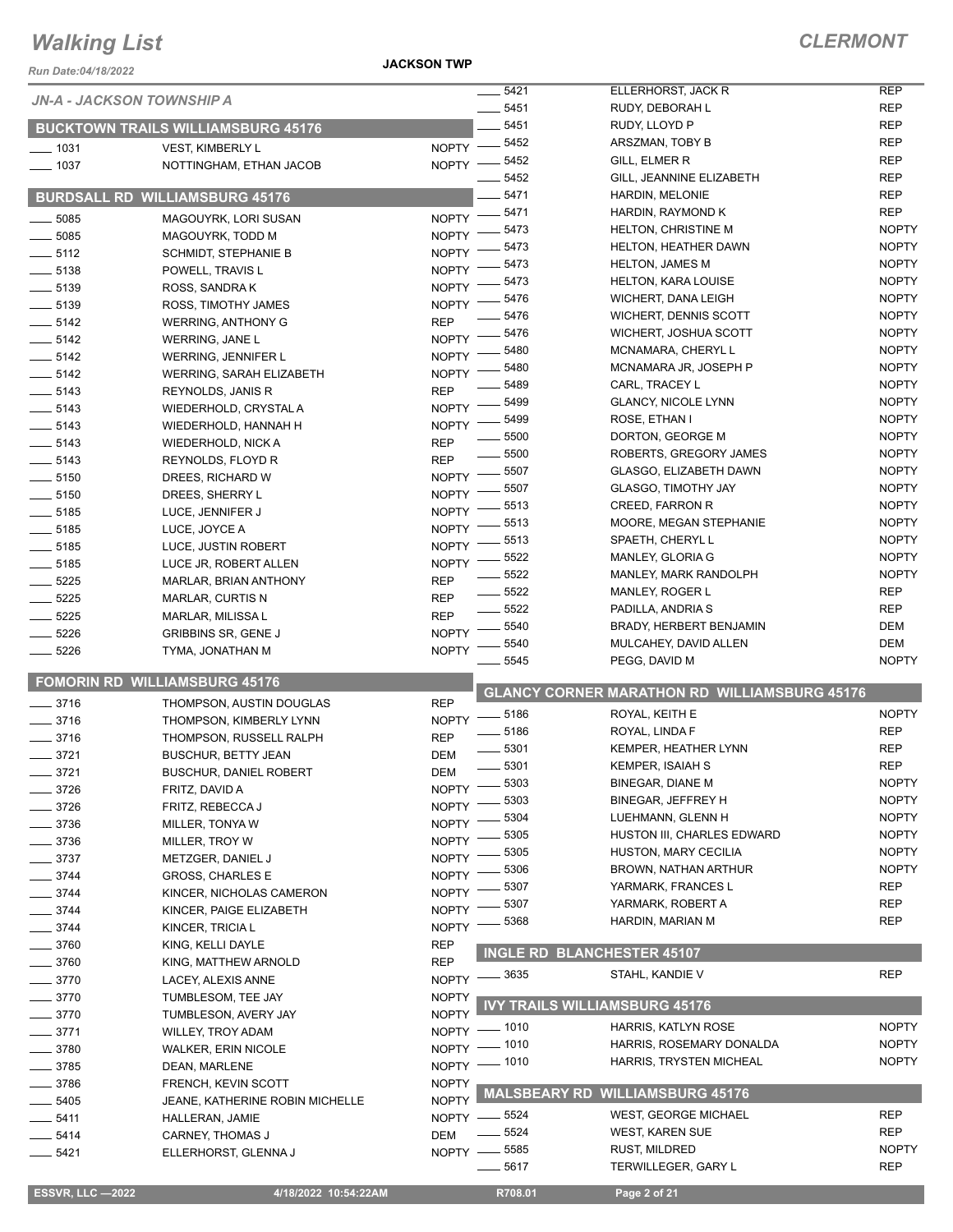*Run Date:04/18/2022*

**JACKSON TWP**

|                    | <b>JN-A - JACKSON TOWNSHIP A</b>          |              | 5421                | ELLERHORST, JACK R                                  | <b>REP</b>   |
|--------------------|-------------------------------------------|--------------|---------------------|-----------------------------------------------------|--------------|
|                    |                                           | $- 5451$     |                     | RUDY, DEBORAH L                                     | <b>REP</b>   |
|                    | <b>BUCKTOWN TRAILS WILLIAMSBURG 45176</b> |              | 5451                | RUDY, LLOYD P                                       | <b>REP</b>   |
| $- 1031$           | VEST, KIMBERLY L                          | $NOPTY$ -    | 5452                | ARSZMAN, TOBY B                                     | <b>REP</b>   |
| $- 1037$           | NOTTINGHAM, ETHAN JACOB                   | $NOPTY =$    | $-5452$             | GILL, ELMER R                                       | <b>REP</b>   |
|                    |                                           |              | 5452                | GILL, JEANNINE ELIZABETH                            | <b>REP</b>   |
|                    | <b>BURDSALL RD WILLIAMSBURG 45176</b>     |              | $-5471$             | HARDIN, MELONIE                                     | <b>REP</b>   |
|                    |                                           |              | 5471                | HARDIN, RAYMOND K                                   | <b>REP</b>   |
| 5085               | MAGOUYRK, LORI SUSAN                      | <b>NOPTY</b> | 5473                | <b>HELTON, CHRISTINE M</b>                          | <b>NOPTY</b> |
| 5085               | MAGOUYRK. TODD M                          | <b>NOPTY</b> | 5473                | <b>HELTON, HEATHER DAWN</b>                         | <b>NOPTY</b> |
| $-5112$            | <b>SCHMIDT, STEPHANIE B</b>               | <b>NOPTY</b> | 5473                | <b>HELTON, JAMES M</b>                              | <b>NOPTY</b> |
| $- 5138$           | POWELL, TRAVIS L                          | <b>NOPTY</b> | 5473                | <b>HELTON, KARA LOUISE</b>                          | <b>NOPTY</b> |
| $\frac{1}{2}$ 5139 | ROSS, SANDRAK                             | <b>NOPTY</b> | 5476                | WICHERT, DANA LEIGH                                 | <b>NOPTY</b> |
| $-5139$            | ROSS, TIMOTHY JAMES                       | <b>NOPTY</b> | 5476                | WICHERT, DENNIS SCOTT                               | <b>NOPTY</b> |
| $- 5142$           | <b>WERRING, ANTHONY G</b>                 | <b>REP</b>   | 5476                |                                                     | <b>NOPTY</b> |
| $-5142$            | WERRING, JANE L                           | <b>NOPTY</b> |                     | WICHERT, JOSHUA SCOTT                               |              |
| $-5142$            | WERRING, JENNIFER L                       | <b>NOPTY</b> | 5480                | MCNAMARA, CHERYL L                                  | <b>NOPTY</b> |
| $-5142$            | WERRING, SARAH ELIZABETH                  | <b>NOPTY</b> | 5480                | MCNAMARA JR, JOSEPH P                               | <b>NOPTY</b> |
| $- 5143$           | REYNOLDS, JANIS R                         | <b>REP</b>   | 5489                | CARL, TRACEY L                                      | <b>NOPTY</b> |
| $- 5143$           | WIEDERHOLD, CRYSTAL A                     | <b>NOPTY</b> | 5499                | <b>GLANCY, NICOLE LYNN</b>                          | <b>NOPTY</b> |
| $\frac{1}{2}$ 5143 | WIEDERHOLD, HANNAH H                      | <b>NOPTY</b> | 5499                | ROSE, ETHAN I                                       | <b>NOPTY</b> |
| $\frac{1}{2}$ 5143 | <b>WIEDERHOLD, NICK A</b>                 | <b>REP</b>   | 5500                | DORTON, GEORGE M                                    | <b>NOPTY</b> |
| $-5143$            | REYNOLDS, FLOYD R                         | <b>REP</b>   | 5500                | ROBERTS, GREGORY JAMES                              | <b>NOPTY</b> |
| 5150               | DREES, RICHARD W                          | <b>NOPTY</b> | 5507                | GLASGO, ELIZABETH DAWN                              | <b>NOPTY</b> |
| $-5150$            | DREES, SHERRY L                           | <b>NOPTY</b> | 5507                | <b>GLASGO, TIMOTHY JAY</b>                          | <b>NOPTY</b> |
| $-5185$            | LUCE, JENNIFER J                          | <b>NOPTY</b> | 5513                | <b>CREED, FARRON R</b>                              | <b>NOPTY</b> |
| $- 5185$           | LUCE, JOYCE A                             | <b>NOPTY</b> | 5513                | MOORE, MEGAN STEPHANIE                              | <b>NOPTY</b> |
| $- 5185$           | LUCE, JUSTIN ROBERT                       | <b>NOPTY</b> | 5513                | SPAETH, CHERYL L                                    | <b>NOPTY</b> |
| $-5185$            | LUCE JR, ROBERT ALLEN                     | <b>NOPTY</b> | 5522                | MANLEY, GLORIA G                                    | <b>NOPTY</b> |
|                    |                                           | <b>REP</b>   | 5522                | MANLEY, MARK RANDOLPH                               | <b>NOPTY</b> |
| $-5225$            | <b>MARLAR, BRIAN ANTHONY</b>              |              | 5522                | <b>MANLEY, ROGER L</b>                              | <b>REP</b>   |
| $-5225$            | MARLAR, CURTIS N                          | <b>REP</b>   | 5522                | PADILLA, ANDRIA S                                   | <b>REP</b>   |
| $- 5225$           | MARLAR, MILISSA L                         | <b>REP</b>   | 5540                | BRADY, HERBERT BENJAMIN                             | DEM          |
| $- 5226$           | <b>GRIBBINS SR, GENE J</b>                | <b>NOPTY</b> | 5540                | MULCAHEY, DAVID ALLEN                               | DEM          |
| $-5226$            | TYMA, JONATHAN M                          | <b>NOPTY</b> | 5545                | PEGG, DAVID M                                       | <b>NOPTY</b> |
|                    | <b>FOMORIN RD WILLIAMSBURG 45176</b>      |              |                     |                                                     |              |
|                    |                                           |              |                     | <b>GLANCY CORNER MARATHON RD WILLIAMSBURG 45176</b> |              |
| $-3716$            | THOMPSON, AUSTIN DOUGLAS                  | <b>REP</b>   | _ 5186              | ROYAL, KEITH E                                      | <b>NOPTY</b> |
| 3716               | THOMPSON, KIMBERLY LYNN                   | <b>NOPTY</b> | _ 5186              | ROYAL, LINDA F                                      | <b>REP</b>   |
| 3716               | THOMPSON, RUSSELL RALPH                   | <b>REP</b>   | 5301                | KEMPER, HEATHER LYNN                                | <b>REP</b>   |
| 3721               | <b>BUSCHUR, BETTY JEAN</b>                | <b>DEM</b>   |                     |                                                     |              |
| 3721               | BUSCHUR, DANIEL ROBERT                    | <b>DEM</b>   | $-5301$             | <b>KEMPER, ISAIAH S</b>                             | <b>REP</b>   |
| 3726               | FRITZ, DAVID A                            | <b>NOPTY</b> | 5303                | <b>BINEGAR, DIANE M</b>                             | <b>NOPTY</b> |
| 3726               | FRITZ, REBECCA J                          | <b>NOPTY</b> | 5303                | <b>BINEGAR, JEFFREY H</b>                           | <b>NOPTY</b> |
| 3736               | MILLER, TONYA W                           | <b>NOPTY</b> | 5304                | LUEHMANN, GLENN H                                   | <b>NOPTY</b> |
| 3736               | MILLER, TROY W                            | <b>NOPTY</b> | 5305                | HUSTON III, CHARLES EDWARD                          | <b>NOPTY</b> |
| _ 3737             | METZGER, DANIEL J                         | <b>NOPTY</b> | 5305                | HUSTON, MARY CECILIA                                | <b>NOPTY</b> |
| $-3744$            | <b>GROSS, CHARLES E</b>                   | <b>NOPTY</b> | 5306                | BROWN, NATHAN ARTHUR                                | <b>NOPTY</b> |
| _ 3744             | KINCER, NICHOLAS CAMERON                  | <b>NOPTY</b> | 5307                | YARMARK, FRANCES L                                  | REP          |
| 3744               | KINCER, PAIGE ELIZABETH                   | <b>NOPTY</b> | 5307                | YARMARK, ROBERT A                                   | <b>REP</b>   |
| 3744               | KINCER, TRICIA L                          | <b>NOPTY</b> | 5368                | HARDIN, MARIAN M                                    | <b>REP</b>   |
| $-3760$            |                                           | <b>REP</b>   |                     |                                                     |              |
|                    | KING, KELLI DAYLE                         | <b>REP</b>   |                     | <b>INGLE RD BLANCHESTER 45107</b>                   |              |
| $-3760$            | KING, MATTHEW ARNOLD                      |              | - 3635              | STAHL, KANDIE V                                     | <b>REP</b>   |
| _ 3770             | LACEY, ALEXIS ANNE                        | <b>NOPTY</b> |                     |                                                     |              |
| $-3770$            | TUMBLESOM, TEE JAY                        | <b>NOPTY</b> |                     | <b>IVY TRAILS WILLIAMSBURG 45176</b>                |              |
| 3770               | TUMBLESON, AVERY JAY                      | <b>NOPTY</b> |                     | HARRIS, KATLYN ROSE                                 | <b>NOPTY</b> |
| _ 3771             | WILLEY, TROY ADAM                         | NOPTY - 1010 |                     |                                                     |              |
| 3780               |                                           |              | $=$ 1010            | HARRIS, ROSEMARY DONALDA                            | <b>NOPTY</b> |
|                    | WALKER, ERIN NICOLE                       | $NOPTY =$    |                     |                                                     |              |
| 3785               | DEAN, MARLENE                             | NOPTY - 1010 |                     | HARRIS, TRYSTEN MICHEAL                             | <b>NOPTY</b> |
| 3786               | FRENCH, KEVIN SCOTT                       | <b>NOPTY</b> |                     |                                                     |              |
| 5405               | JEANE, KATHERINE ROBIN MICHELLE           | <b>NOPTY</b> | <b>MALSBEARY RD</b> | <b>WILLIAMSBURG 45176</b>                           |              |
| _ 5411             | HALLERAN, JAMIE                           | $NOPTY -$    | __ 5524             | <b>WEST, GEORGE MICHAEL</b>                         | REP          |
| $-5414$            | <b>CARNEY, THOMAS J</b>                   | <b>DEM</b>   | _ 5524              | <b>WEST, KAREN SUE</b>                              | <b>REP</b>   |
| $-5421$            | ELLERHORST, GLENNA J                      | $NOPTY -$    | $-5585$             | RUST, MILDRED                                       | <b>NOPTY</b> |

 **ESSVR, LLC —2022 4/18/2022 10:54:22AM R708.01 Page 2 of 21**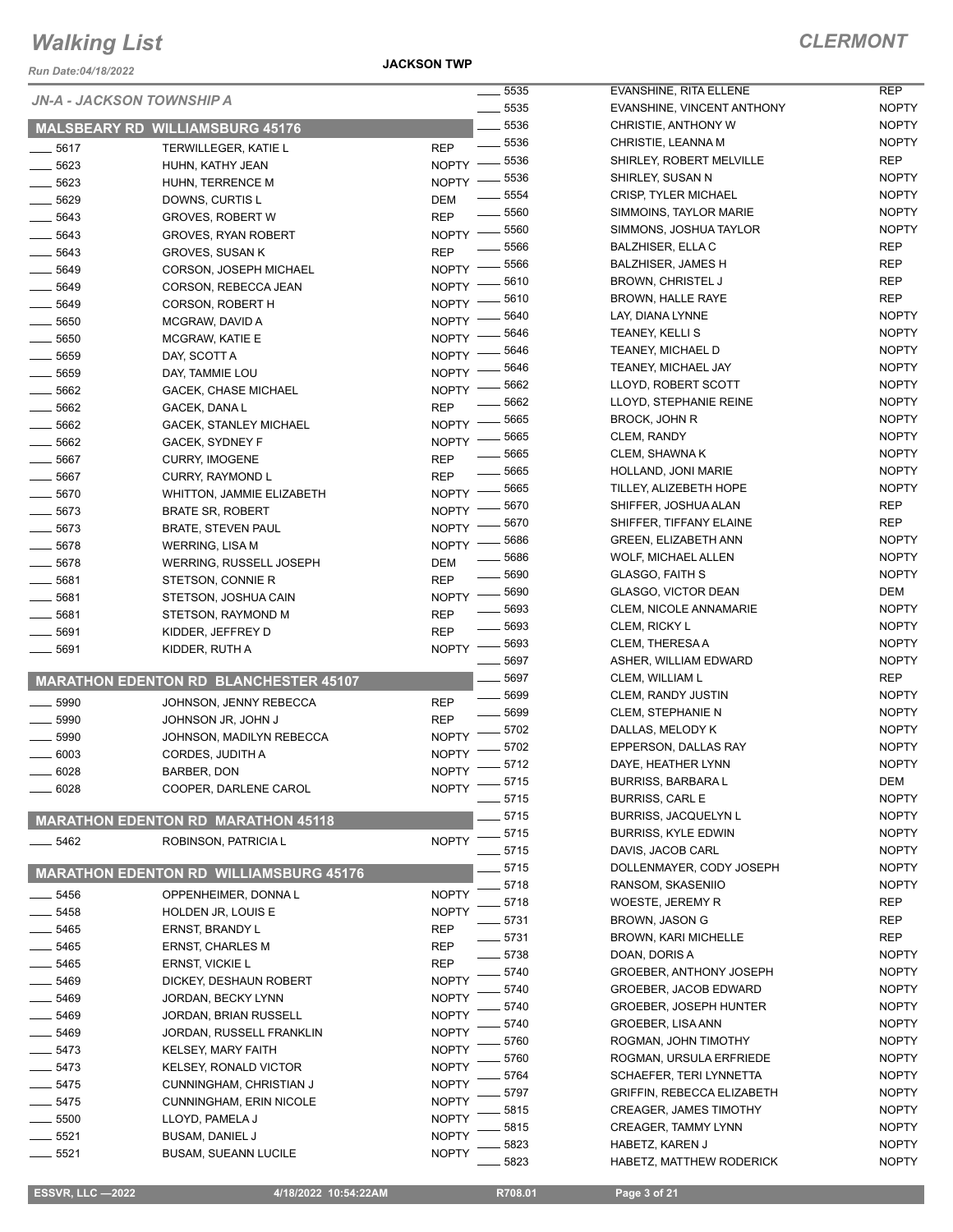*Run Date:04/18/2022*

**JACKSON TWP**

### *CLERMONT*

-

| Run Date:04/18/2022       |                                                      |                              |                |
|---------------------------|------------------------------------------------------|------------------------------|----------------|
| JN-A - JACKSON TOWNSHIP A |                                                      |                              | $\equiv$ 5535  |
|                           | <b>MALSBEARY RD WILLIAMSBURG 45176</b>               |                              | 5535<br>_ 5536 |
| 5617                      | <b>TERWILLEGER, KATIE L</b>                          | REP                          | - 5536         |
| _ 5623                    | HUHN, KATHY JEAN                                     | <b>NOPTY</b>                 | 5536           |
| _ 5623                    | HUHN, TERRENCE M                                     | <b>NOPTY</b>                 | 5536           |
| _ 5629                    | DOWNS, CURTIS L                                      | DEM                          | 5554           |
| $=$ 5643                  | <b>GROVES, ROBERT W</b>                              | REP                          | 5560           |
| - 5643                    | <b>GROVES, RYAN ROBERT</b>                           | <b>NOPTY</b>                 | 5560           |
| _ 5643                    | GROVES, SUSAN K                                      | REP                          | 5566           |
| __ 5649                   | CORSON, JOSEPH MICHAEL                               | <b>NOPTY</b>                 | 5566           |
| $=$ 5649                  | CORSON, REBECCA JEAN                                 | <b>NOPTY</b>                 | 5610           |
| _ 5649                    | <b>CORSON, ROBERT H</b>                              | <b>NOPTY</b>                 | 5610           |
| _ 5650                    | MCGRAW, DAVID A                                      | <b>NOPTY</b>                 | 5640<br>5646   |
| $-5650$                   | MCGRAW, KATIE E                                      | <b>NOPTY</b>                 | 5646           |
| $=$ 5659                  | DAY, SCOTT A                                         | <b>NOPTY</b>                 | $-5646$        |
| _ 5659                    | DAY, TAMMIE LOU                                      | <b>NOPTY</b>                 | 5662           |
| $=$ 5662                  | <b>GACEK, CHASE MICHAEL</b>                          | <b>NOPTY</b>                 | 5662           |
| - 5662                    | GACEK, DANA L                                        | REP                          | 5665           |
| _ 5662                    | <b>GACEK, STANLEY MICHAEL</b>                        | <b>NOPTY</b>                 | 5665           |
| $=$ 5662                  | GACEK, SYDNEY F                                      | <b>NOPTY</b>                 | 5665           |
| $-5667$                   | <b>CURRY, IMOGENE</b>                                | REP                          | 5665           |
| $=$ 5667                  | CURRY, RAYMOND L                                     | REP                          | - 5665         |
| - 5670<br>__ 5673         | <b>WHITTON, JAMMIE ELIZABETH</b>                     | <b>NOPTY</b>                 | 5670           |
| $=$ 5673                  | <b>BRATE SR, ROBERT</b><br><b>BRATE, STEVEN PAUL</b> | <b>NOPTY</b><br><b>NOPTY</b> | 5670           |
| _ 5678                    | <b>WERRING, LISA M</b>                               | <b>NOPTY</b>                 | 5686           |
| $=$ 5678                  | WERRING, RUSSELL JOSEPH                              | DEM                          | 5686           |
| - 5681                    | STETSON, CONNIE R                                    | <b>REP</b>                   | 5690           |
| _ 5681                    | STETSON, JOSHUA CAIN                                 | <b>NOPTY</b>                 | 5690           |
| __ 5681                   | STETSON, RAYMOND M                                   | REP                          | - 5693         |
| 5691                      | KIDDER, JEFFREY D                                    | REP                          | 5693           |
| 5691                      | KIDDER, RUTH A                                       | <b>NOPTY</b>                 | 5693           |
|                           |                                                      |                              | 5697           |
|                           | <b>MARATHON EDENTON RD BLANCHESTER 45107</b>         |                              | 5697           |
| $-5990$                   | JOHNSON, JENNY REBECCA                               | REP                          | 5699<br>- 5699 |
| . 5990                    | JOHNSON JR, JOHN J                                   | <b>REP</b>                   | 5702           |
| 5990                      | JOHNSON, MADILYN REBECCA                             | <b>NOPTY</b>                 | 5702           |
| 6003                      | CORDES, JUDITH A                                     | <b>NOPTY</b>                 | 5712           |
| $-6028$                   | BARBER, DON                                          | <b>NOPTY</b>                 | 5715           |
| 6028                      | COOPER, DARLENE CAROL                                | <b>NOPTY</b>                 | 5715           |
|                           | <b>MARATHON EDENTON RD MARATHON 45118</b>            |                              | 5715           |
| 5462                      | ROBINSON, PATRICIA L                                 | <b>NOPTY</b>                 | 5715           |
|                           |                                                      |                              | 5715           |
|                           | <b>MARATHON EDENTON RD WILLIAMSBURG 45176</b>        |                              | 5715           |
| .5456                     | OPPENHEIMER, DONNA L                                 | <b>NOPTY</b>                 | 5718<br>5718   |
| 5458                      | HOLDEN JR, LOUIS E                                   | <b>NOPTY</b>                 | 5731           |
| . 5465                    | ERNST, BRANDY L                                      | REP                          | 5731           |
| 5465                      | ERNST, CHARLES M                                     | REP                          | 5738           |
| - 5465                    | ERNST, VICKIE L                                      | REP                          | 5740           |
| - 5469                    | DICKEY, DESHAUN ROBERT                               | <b>NOPTY</b>                 | 5740           |
| - 5469                    | JORDAN, BECKY LYNN                                   | <b>NOPTY</b>                 | 5740           |
| - 5469                    | JORDAN, BRIAN RUSSELL                                | <b>NOPTY</b>                 | 5740           |
| - 5469                    | JORDAN, RUSSELL FRANKLIN                             | <b>NOPTY</b>                 | 5760           |
| - 5473                    | KELSEY, MARY FAITH                                   | <b>NOPTY</b>                 | 5760           |
| $=$ 5473                  | <b>KELSEY, RONALD VICTOR</b>                         | <b>NOPTY</b>                 | 5764           |
| - 5475                    | CUNNINGHAM, CHRISTIAN J                              | <b>NOPTY</b>                 | 5797           |
| . 5475                    | <b>CUNNINGHAM, ERIN NICOLE</b>                       | <b>NOPTY</b>                 | 5815           |
| 5500                      | LLOYD, PAMELA J                                      | NOPTY                        | 5815           |
| . 5521                    | <b>BUSAM, DANIEL J</b>                               | <b>NOPTY</b>                 | 5823           |
| 5521                      | <b>BUSAM, SUEANN LUCILE</b>                          | <b>NOPTY</b>                 | 5823           |
|                           |                                                      |                              |                |

| 5535 | <b>EVANSHINE, RITA ELLENE</b>  | REP          |
|------|--------------------------------|--------------|
| 5535 | EVANSHINE, VINCENT ANTHONY     | <b>NOPTY</b> |
| 5536 | <b>CHRISTIE, ANTHONY W</b>     | <b>NOPTY</b> |
| 5536 | CHRISTIE, LEANNA M             | <b>NOPTY</b> |
| 5536 | SHIRLEY. ROBERT MELVILLE       | REP          |
| 5536 | SHIRLEY, SUSAN N               | <b>NOPTY</b> |
| 5554 | CRISP, TYLER MICHAEL           | <b>NOPTY</b> |
| 5560 | SIMMOINS, TAYLOR MARIE         | <b>NOPTY</b> |
| 5560 | SIMMONS, JOSHUA TAYLOR         | <b>NOPTY</b> |
| 5566 | <b>BALZHISER, ELLA C</b>       | REP          |
| 5566 | <b>BALZHISER, JAMES H</b>      | REP          |
|      |                                | REP          |
| 5610 | <b>BROWN, CHRISTEL J</b>       | REP          |
| 5610 | BROWN, HALLE RAYE              |              |
| 5640 | LAY, DIANA LYNNE               | <b>NOPTY</b> |
| 5646 | <b>TEANEY, KELLI S</b>         | <b>NOPTY</b> |
| 5646 | TEANEY, MICHAEL D              | <b>NOPTY</b> |
| 5646 | TEANEY, MICHAEL JAY            | <b>NOPTY</b> |
| 5662 | LLOYD, ROBERT SCOTT            | <b>NOPTY</b> |
| 5662 | LLOYD, STEPHANIE REINE         | <b>NOPTY</b> |
| 5665 | <b>BROCK, JOHN R</b>           | <b>NOPTY</b> |
| 5665 | CLEM, RANDY                    | <b>NOPTY</b> |
| 5665 | CLEM, SHAWNA K                 | <b>NOPTY</b> |
| 5665 | HOLLAND, JONI MARIE            | <b>NOPTY</b> |
| 5665 | TILLEY, ALIZEBETH HOPE         | <b>NOPTY</b> |
| 5670 | SHIFFER, JOSHUA ALAN           | <b>REP</b>   |
| 5670 | SHIFFER, TIFFANY ELAINE        | REP          |
| 5686 | GREEN, ELIZABETH ANN           | <b>NOPTY</b> |
| 5686 | <b>WOLF, MICHAEL ALLEN</b>     | <b>NOPTY</b> |
| 5690 | <b>GLASGO, FAITH S</b>         | <b>NOPTY</b> |
| 5690 | <b>GLASGO, VICTOR DEAN</b>     | DEM          |
| 5693 | <b>CLEM, NICOLE ANNAMARIE</b>  | <b>NOPTY</b> |
| 5693 | CLEM, RICKY L                  | <b>NOPTY</b> |
| 5693 | CLEM, THERESA A                | <b>NOPTY</b> |
| 5697 | ASHER, WILLIAM EDWARD          | <b>NOPTY</b> |
| 5697 | CLEM, WILLIAM L                | REP          |
| 5699 | <b>CLEM, RANDY JUSTIN</b>      | <b>NOPTY</b> |
| 5699 | <b>CLEM, STEPHANIE N</b>       | <b>NOPTY</b> |
| 5702 | DALLAS, MELODY K               | <b>NOPTY</b> |
| 5702 | EPPERSON, DALLAS RAY           | <b>NOPTY</b> |
| 5712 | DAYE, HEATHER LYNN             | <b>NOPTY</b> |
| 5715 | BURRISS, BARBARA L             | <b>DEM</b>   |
|      | <b>BURRISS, CARL E</b>         |              |
| 5715 |                                | <b>NOPTY</b> |
| 5715 | <b>BURRISS, JACQUELYN L</b>    | <b>NOPTY</b> |
| 5715 | <b>BURRISS, KYLE EDWIN</b>     | <b>NOPTY</b> |
| 5715 | DAVIS, JACOB CARL              | <b>NOPTY</b> |
| 5715 | DOLLENMAYER, CODY JOSEPH       | <b>NOPTY</b> |
| 5718 | RANSOM, SKASENIIO              | <b>NOPTY</b> |
| 5718 | WOESTE, JEREMY R               | REP          |
| 5731 | <b>BROWN, JASON G</b>          | <b>REP</b>   |
| 5731 | <b>BROWN, KARI MICHELLE</b>    | <b>REP</b>   |
| 5738 | DOAN, DORIS A                  | <b>NOPTY</b> |
| 5740 | <b>GROEBER, ANTHONY JOSEPH</b> | <b>NOPTY</b> |
| 5740 | GROEBER, JACOB EDWARD          | <b>NOPTY</b> |
| 5740 | <b>GROEBER, JOSEPH HUNTER</b>  | <b>NOPTY</b> |
| 5740 | <b>GROEBER, LISA ANN</b>       | <b>NOPTY</b> |
| 5760 | ROGMAN, JOHN TIMOTHY           | <b>NOPTY</b> |
| 5760 | ROGMAN, URSULA ERFRIEDE        | <b>NOPTY</b> |
| 5764 | SCHAEFER, TERI LYNNETTA        | <b>NOPTY</b> |
| 5797 | GRIFFIN, REBECCA ELIZABETH     | <b>NOPTY</b> |
| 5815 | <b>CREAGER, JAMES TIMOTHY</b>  | <b>NOPTY</b> |
| 5815 | <b>CREAGER, TAMMY LYNN</b>     | <b>NOPTY</b> |
| 5823 | HABETZ, KAREN J                | <b>NOPTY</b> |
| 5823 | HABETZ, MATTHEW RODERICK       | NOPTY        |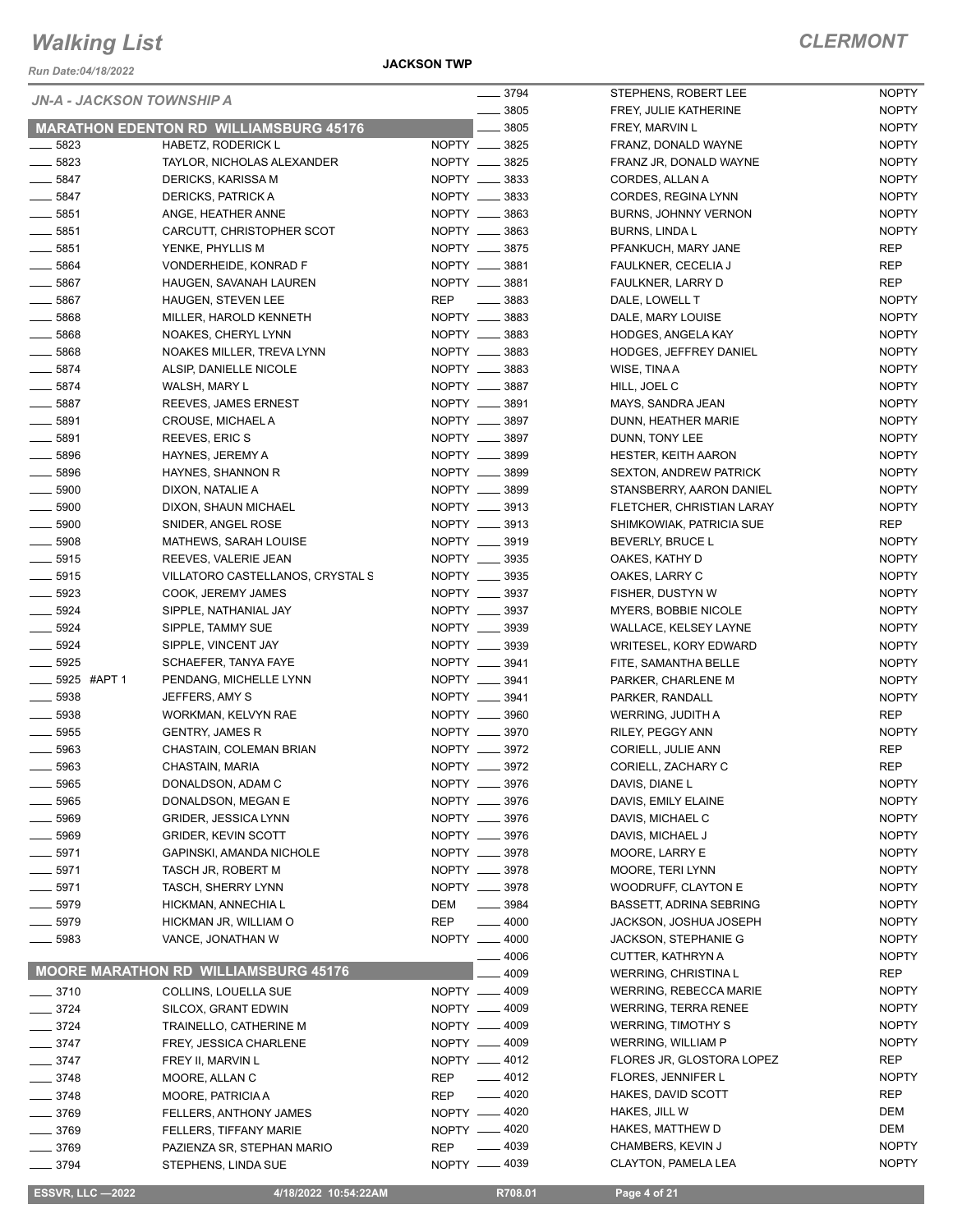*Run Date:04/18/2022*

**JACKSON TWP**

|                    | <b>JN-A - JACKSON TOWNSHIP A</b>              | $- 3794$                       | STEPHENS, ROBERT LEE          | <b>NOPTY</b>                 |
|--------------------|-----------------------------------------------|--------------------------------|-------------------------------|------------------------------|
|                    |                                               | $\frac{1}{2}$ 3805             | FREY, JULIE KATHERINE         | <b>NOPTY</b>                 |
|                    | <b>MARATHON EDENTON RD WILLIAMSBURG 45176</b> | 3805                           | FREY, MARVIN L                | <b>NOPTY</b>                 |
| $-5823$            | HABETZ, RODERICK L                            | NOPTY __ 3825                  | FRANZ, DONALD WAYNE           | <b>NOPTY</b>                 |
| $- 5823$           | TAYLOR, NICHOLAS ALEXANDER                    | NOPTY __ 3825                  | FRANZ JR, DONALD WAYNE        | <b>NOPTY</b>                 |
| $\frac{1}{2}$ 5847 | DERICKS, KARISSA M                            | NOPTY __ 3833                  | CORDES, ALLAN A               | <b>NOPTY</b>                 |
| $-5847$            | DERICKS, PATRICK A                            | NOPTY __ 3833                  | CORDES, REGINA LYNN           | <b>NOPTY</b>                 |
| $\frac{1}{2}$ 5851 | ANGE, HEATHER ANNE                            | NOPTY __ 3863                  | BURNS, JOHNNY VERNON          | <b>NOPTY</b>                 |
| $\frac{1}{2}$ 5851 | CARCUTT, CHRISTOPHER SCOT                     | NOPTY __ 3863                  | <b>BURNS, LINDAL</b>          | <b>NOPTY</b>                 |
| $\frac{1}{2}$ 5851 | YENKE, PHYLLIS M                              | NOPTY __ 3875                  | PFANKUCH, MARY JANE           | REP                          |
| $\frac{1}{2}$ 5864 | VONDERHEIDE, KONRAD F                         | NOPTY __ 3881                  | FAULKNER, CECELIA J           | REP                          |
| $- 5867$           | HAUGEN, SAVANAH LAUREN                        | NOPTY __ 3881                  | FAULKNER, LARRY D             | <b>REP</b>                   |
| $- 5867$           | <b>HAUGEN, STEVEN LEE</b>                     | REP _______ 3883               | DALE, LOWELL T                | <b>NOPTY</b>                 |
| $\frac{1}{2}$ 5868 | MILLER, HAROLD KENNETH                        | NOPTY __ 3883                  | DALE, MARY LOUISE             | <b>NOPTY</b>                 |
| $- 5868$           | NOAKES, CHERYL LYNN                           | NOPTY __ 3883                  | HODGES, ANGELA KAY            | <b>NOPTY</b>                 |
| $\frac{1}{2}$ 5868 | NOAKES MILLER, TREVA LYNN                     | NOPTY __ 3883                  | HODGES, JEFFREY DANIEL        | <b>NOPTY</b>                 |
| $-5874$            | ALSIP, DANIELLE NICOLE                        | NOPTY __ 3883                  | WISE, TINA A                  | <b>NOPTY</b>                 |
| $-5874$            | WALSH, MARY L                                 | NOPTY __ 3887                  | HILL, JOEL C                  | <b>NOPTY</b>                 |
| $\frac{1}{2}$ 5887 | REEVES, JAMES ERNEST                          | NOPTY __ 3891                  | MAYS, SANDRA JEAN             | <b>NOPTY</b>                 |
| $- 5891$           | CROUSE, MICHAEL A                             | NOPTY __ 3897                  | DUNN, HEATHER MARIE           | <b>NOPTY</b>                 |
| $\frac{1}{2}$ 5891 | <b>REEVES, ERIC S</b>                         | NOPTY __ 3897                  | DUNN, TONY LEE                | <b>NOPTY</b>                 |
| $- 5896$           | HAYNES, JEREMY A                              | NOPTY __ 3899                  | HESTER, KEITH AARON           | <b>NOPTY</b>                 |
| $\frac{1}{2}$ 5896 | HAYNES, SHANNON R                             | NOPTY __ 3899                  | <b>SEXTON, ANDREW PATRICK</b> | <b>NOPTY</b>                 |
| $\frac{1}{2}$ 5900 | DIXON, NATALIE A                              | NOPTY __ 3899                  | STANSBERRY, AARON DANIEL      | <b>NOPTY</b>                 |
| $\frac{1}{2}$ 5900 | DIXON, SHAUN MICHAEL                          | NOPTY __ 3913                  | FLETCHER, CHRISTIAN LARAY     | <b>NOPTY</b>                 |
| $\frac{1}{2}$ 5900 | SNIDER, ANGEL ROSE                            | NOPTY __ 3913                  | SHIMKOWIAK, PATRICIA SUE      | REP                          |
| $\frac{1}{2}$ 5908 | MATHEWS, SARAH LOUISE                         | NOPTY __ 3919                  | BEVERLY, BRUCE L              | <b>NOPTY</b>                 |
| $\frac{1}{2}$ 5915 | REEVES, VALERIE JEAN                          | NOPTY __ 3935                  | OAKES, KATHY D                | <b>NOPTY</b>                 |
| $\frac{1}{2}$ 5915 | VILLATORO CASTELLANOS, CRYSTAL S              | NOPTY __ 3935                  | OAKES, LARRY C                | <b>NOPTY</b>                 |
| $- 5923$           | COOK, JEREMY JAMES                            | NOPTY __ 3937                  | FISHER, DUSTYN W              | <b>NOPTY</b>                 |
| $-5924$            | SIPPLE, NATHANIAL JAY                         | NOPTY __ 3937                  | MYERS, BOBBIE NICOLE          | <b>NOPTY</b>                 |
| $- 5924$           | SIPPLE, TAMMY SUE                             | NOPTY __ 3939                  | WALLACE, KELSEY LAYNE         | <b>NOPTY</b>                 |
| $- 5924$           | SIPPLE, VINCENT JAY                           | NOPTY __ 3939                  | WRITESEL, KORY EDWARD         | <b>NOPTY</b>                 |
| $\frac{1}{2}$ 5925 | SCHAEFER, TANYA FAYE                          | NOPTY __ 3941                  | FITE, SAMANTHA BELLE          | <b>NOPTY</b>                 |
| -6925 #APT 1       | PENDANG, MICHELLE LYNN                        | NOPTY __ 3941                  | PARKER, CHARLENE M            | <b>NOPTY</b>                 |
| $\frac{1}{2}$ 5938 | JEFFERS, AMY S                                | NOPTY __ 3941                  | PARKER, RANDALL               | <b>NOPTY</b>                 |
| $\frac{1}{2}$ 5938 | WORKMAN, KELVYN RAE                           | NOPTY __ 3960                  | WERRING, JUDITH A             | REP                          |
| $\frac{1}{2}$ 5955 | <b>GENTRY, JAMES R</b>                        | NOPTY __ 3970<br>NOPTY __ 3972 | RILEY, PEGGY ANN              | <b>NOPTY</b>                 |
| $\frac{1}{2}$ 5963 | CHASTAIN, COLEMAN BRIAN                       |                                | CORIELL, JULIE ANN            | REP                          |
| $- 5963$           | CHASTAIN, MARIA                               | NOPTY __ 3972                  | CORIELL, ZACHARY C            | <b>REP</b>                   |
| 5965               | DONALDSON, ADAM C                             | NOPTY __ 3976                  | DAVIS, DIANE L                | <b>NOPTY</b>                 |
| 5965               | DONALDSON, MEGAN E                            | NOPTY __ 3976                  | DAVIS, EMILY ELAINE           | <b>NOPTY</b>                 |
| _ 5969             | <b>GRIDER, JESSICA LYNN</b>                   | NOPTY __ 3976                  | DAVIS, MICHAEL C              | <b>NOPTY</b>                 |
| ____ 5969          | <b>GRIDER, KEVIN SCOTT</b>                    | NOPTY __ 3976                  | DAVIS, MICHAEL J              | <b>NOPTY</b>                 |
| $-5971$            | GAPINSKI, AMANDA NICHOLE                      | NOPTY __ 3978<br>NOPTY __ 3978 | MOORE, LARRY E                | <b>NOPTY</b>                 |
| ____ 5971          | TASCH JR, ROBERT M                            | NOPTY __ 3978                  | MOORE, TERI LYNN              | <b>NOPTY</b><br><b>NOPTY</b> |
| ____ 5971          | <b>TASCH, SHERRY LYNN</b>                     | $- 3984$                       | WOODRUFF, CLAYTON E           | <b>NOPTY</b>                 |
| $-5979$            | HICKMAN, ANNECHIA L                           | DEM                            | BASSETT, ADRINA SEBRING       |                              |
| __ 5979            | HICKMAN JR, WILLIAM O                         | <b>REP</b><br>$-4000$          | JACKSON, JOSHUA JOSEPH        | <b>NOPTY</b>                 |
| 5983               | VANCE, JONATHAN W                             | NOPTY __ 4000                  | <b>JACKSON, STEPHANIE G</b>   | <b>NOPTY</b>                 |
|                    | <b>MOORE MARATHON RD WILLIAMSBURG 45176</b>   | - 4006                         | CUTTER, KATHRYN A             | <b>NOPTY</b><br>REP          |
|                    |                                               | 4009                           | WERRING, CHRISTINA L          |                              |
| $-3710$            | COLLINS, LOUELLA SUE                          | NOPTY - 4009                   | <b>WERRING, REBECCA MARIE</b> | <b>NOPTY</b>                 |
| $-3724$            | SILCOX, GRANT EDWIN                           | NOPTY __ 4009<br>NOPTY -4009   | <b>WERRING, TERRA RENEE</b>   | <b>NOPTY</b><br><b>NOPTY</b> |
| $- 3724$           | TRAINELLO, CATHERINE M                        |                                | <b>WERRING, TIMOTHY S</b>     |                              |
| $- 3747$           | FREY, JESSICA CHARLENE                        | NOPTY -4009                    | <b>WERRING, WILLIAM P</b>     | <b>NOPTY</b>                 |
| $\frac{1}{2}$ 3747 | FREY II, MARVIN L                             | NOPTY -4012                    | FLORES JR, GLOSTORA LOPEZ     | REP                          |
| $- 3748$           | MOORE, ALLAN C                                | $-4012$<br><b>REP</b>          | FLORES, JENNIFER L            | <b>NOPTY</b>                 |
| $- 3748$           | MOORE, PATRICIA A                             | $-4020$<br><b>REP</b>          | HAKES, DAVID SCOTT            | REP                          |
| $\frac{1}{2}$ 3769 | FELLERS, ANTHONY JAMES                        | NOPTY -4020                    | HAKES, JILL W                 | DEM                          |
| __ 3769            | FELLERS, TIFFANY MARIE                        | NOPTY -4020                    | <b>HAKES, MATTHEW D</b>       | DEM                          |
| ____ 3769          | PAZIENZA SR, STEPHAN MARIO                    | $-4039$<br>REP                 | CHAMBERS, KEVIN J             | <b>NOPTY</b>                 |
| 3794               | STEPHENS, LINDA SUE                           | NOPTY -4039                    | CLAYTON, PAMELA LEA           | <b>NOPTY</b>                 |

**ESSVR, LLC -2022 4/18/2022 10:54:22AM R708.01 Page 4 of 21**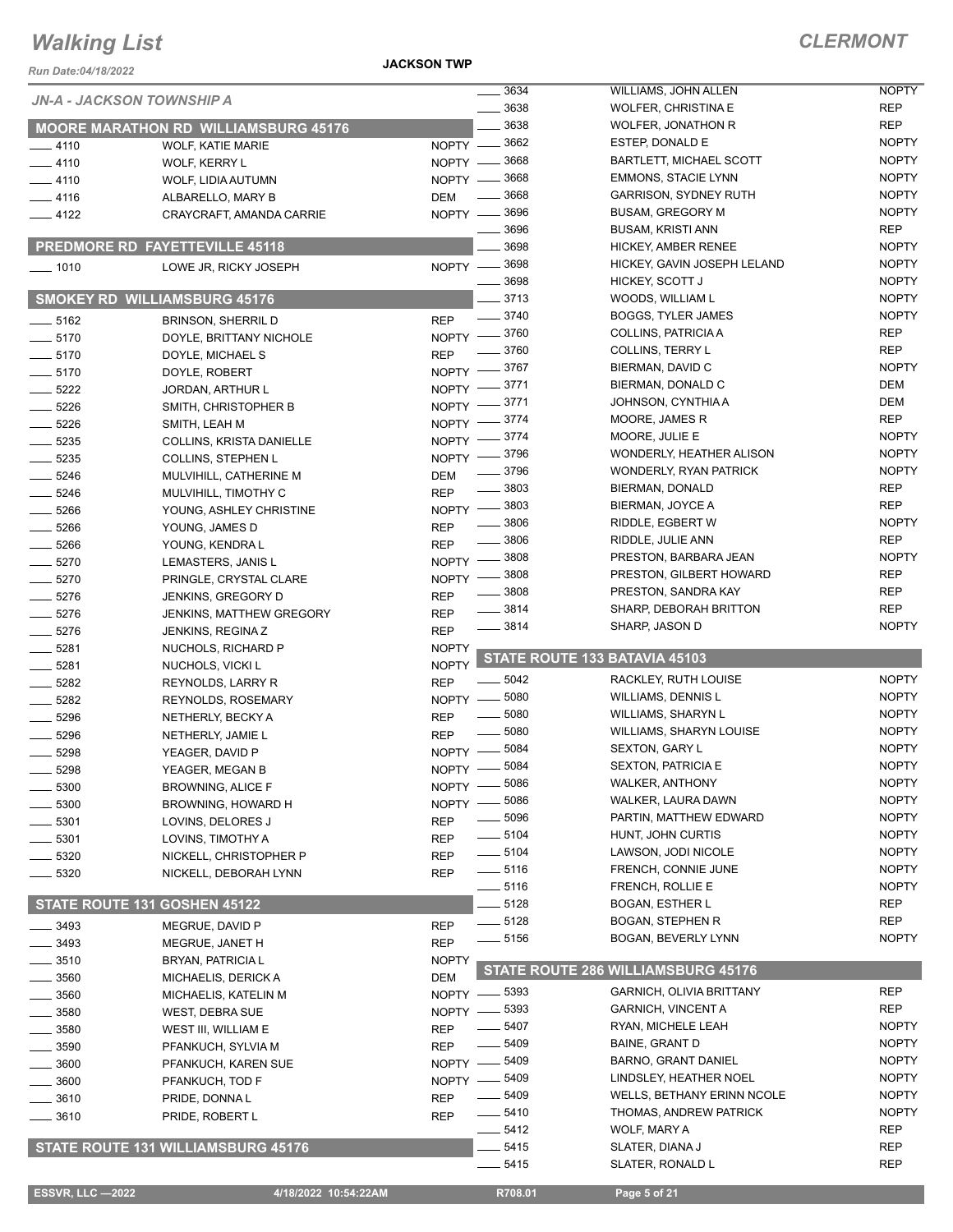**JACKSON TWP**

| Run Date:04/18/2022     |                                                      | <b>JACKSON TWP</b>         |                       |                                                            |                              |
|-------------------------|------------------------------------------------------|----------------------------|-----------------------|------------------------------------------------------------|------------------------------|
|                         | <b>JN-A - JACKSON TOWNSHIP A</b>                     |                            | 3634                  | WILLIAMS, JOHN ALLEN                                       | <b>NOPTY</b>                 |
|                         |                                                      |                            | 3638                  | <b>WOLFER, CHRISTINA E</b>                                 | <b>REP</b>                   |
|                         | <b>MOORE MARATHON RD WILLIAMSBURG 45176</b>          |                            | 3638                  | <b>WOLFER, JONATHON R</b>                                  | <b>REP</b>                   |
| $-4110$                 | <b>WOLF, KATIE MARIE</b>                             |                            | NOPTY -8662           | ESTEP, DONALD E                                            | <b>NOPTY</b>                 |
| $-4110$                 | WOLF, KERRY L                                        |                            | NOPTY -8668           | BARTLETT, MICHAEL SCOTT                                    | <b>NOPTY</b><br><b>NOPTY</b> |
| $-4110$                 | WOLF, LIDIA AUTUMN                                   |                            | NOPTY -8668<br>_ 3668 | <b>EMMONS, STACIE LYNN</b><br><b>GARRISON, SYDNEY RUTH</b> | <b>NOPTY</b>                 |
| $-4116$                 | ALBARELLO, MARY B                                    | <b>DEM</b>                 | NOPTY -8696           | <b>BUSAM, GREGORY M</b>                                    | <b>NOPTY</b>                 |
| $-4122$                 | CRAYCRAFT, AMANDA CARRIE                             |                            | 3696                  | <b>BUSAM, KRISTI ANN</b>                                   | <b>REP</b>                   |
|                         | <b>PREDMORE RD FAYETTEVILLE 45118</b>                |                            | 3698                  | HICKEY, AMBER RENEE                                        | <b>NOPTY</b>                 |
|                         |                                                      |                            | NOPTY -8698           | HICKEY, GAVIN JOSEPH LELAND                                | <b>NOPTY</b>                 |
| $- 1010$                | LOWE JR, RICKY JOSEPH                                |                            | $- 3698$              | HICKEY, SCOTT J                                            | <b>NOPTY</b>                 |
|                         | <b>SMOKEY RD WILLIAMSBURG 45176</b>                  |                            | $-3713$               | WOODS, WILLIAM L                                           | <b>NOPTY</b>                 |
|                         |                                                      | <b>REP</b>                 | $- 3740$              | <b>BOGGS, TYLER JAMES</b>                                  | <b>NOPTY</b>                 |
| $- 5162$<br>$-5170$     | <b>BRINSON, SHERRIL D</b><br>DOYLE, BRITTANY NICHOLE |                            | NOPTY -8760           | COLLINS, PATRICIA A                                        | <b>REP</b>                   |
| $- 5170$                | DOYLE, MICHAEL S                                     | <b>REP</b>                 | 3760                  | <b>COLLINS, TERRY L</b>                                    | <b>REP</b>                   |
| $- 5170$                | DOYLE, ROBERT                                        | <b>NOPTY</b>               | _ 3767                | BIERMAN, DAVID C                                           | <b>NOPTY</b>                 |
| $-5222$                 | <b>JORDAN, ARTHUR L</b>                              | NOPTY -                    | 3771                  | BIERMAN, DONALD C                                          | DEM                          |
| $- 5226$                | SMITH, CHRISTOPHER B                                 | $NOPTY$ -                  | 3771                  | JOHNSON, CYNTHIA A                                         | DEM                          |
| 5226                    | SMITH, LEAH M                                        | $NOPTY =$                  | 3774                  | MOORE, JAMES R                                             | <b>REP</b>                   |
| $-5235$                 | COLLINS, KRISTA DANIELLE                             | NOPTY -                    | 3774                  | MOORE, JULIE E                                             | <b>NOPTY</b>                 |
| $- 5235$                | <b>COLLINS, STEPHEN L</b>                            | $N$ OPTY $-$               | 3796                  | WONDERLY, HEATHER ALISON                                   | <b>NOPTY</b>                 |
| $-5246$                 | MULVIHILL, CATHERINE M                               | <b>DEM</b>                 | 3796                  | <b>WONDERLY, RYAN PATRICK</b>                              | <b>NOPTY</b>                 |
| $- 5246$                | MULVIHILL, TIMOTHY C                                 | <b>REP</b>                 | $-3803$               | BIERMAN, DONALD                                            | <b>REP</b>                   |
| 5266                    | YOUNG, ASHLEY CHRISTINE                              |                            | NOPTY -8803           | BIERMAN, JOYCE A                                           | <b>REP</b>                   |
| 5266                    | YOUNG, JAMES D                                       | <b>REP</b>                 | $\frac{1}{2}$ 3806    | RIDDLE, EGBERT W                                           | <b>NOPTY</b>                 |
| $- 5266$                | YOUNG, KENDRA L                                      | <b>REP</b>                 | $\frac{1}{2}$ 3806    | RIDDLE, JULIE ANN                                          | <b>REP</b>                   |
| $-5270$                 | LEMASTERS, JANIS L                                   | $NOPTY$ –                  | 3808                  | PRESTON, BARBARA JEAN                                      | <b>NOPTY</b>                 |
| $- 5270$                | PRINGLE, CRYSTAL CLARE                               | NOPTY $-$                  | 3808                  | PRESTON, GILBERT HOWARD                                    | <b>REP</b>                   |
| $-5276$                 | JENKINS, GREGORY D                                   | <b>REP</b>                 | $\frac{1}{2}$ 3808    | PRESTON, SANDRA KAY                                        | <b>REP</b>                   |
| $-5276$                 | <b>JENKINS, MATTHEW GREGORY</b>                      | <b>REP</b>                 | 3814                  | SHARP, DEBORAH BRITTON                                     | <b>REP</b>                   |
| $- 5276$                | JENKINS, REGINA Z                                    | <b>REP</b>                 | $=$ 3814              | SHARP, JASON D                                             | <b>NOPTY</b>                 |
| 5281                    | NUCHOLS, RICHARD P                                   | <b>NOPTY</b>               |                       |                                                            |                              |
| $- 5281$                | NUCHOLS, VICKI L                                     | <b>NOPTY</b>               |                       | STATE ROUTE 133 BATAVIA 45103                              |                              |
| $-5282$                 | REYNOLDS, LARRY R                                    | <b>REP</b>                 | 5042                  | RACKLEY, RUTH LOUISE                                       | <b>NOPTY</b>                 |
| $-5282$                 | <b>REYNOLDS, ROSEMARY</b>                            | $NOPTY$ —                  | 5080                  | <b>WILLIAMS, DENNIS L</b>                                  | <b>NOPTY</b>                 |
| $- 5296$                | NETHERLY, BECKY A                                    | <b>REP</b>                 | 5080                  | WILLIAMS, SHARYN L                                         | <b>NOPTY</b>                 |
| 5296                    | NETHERLY, JAMIE L                                    | <b>REP</b>                 | 5080                  | <b>WILLIAMS, SHARYN LOUISE</b>                             | <b>NOPTY</b>                 |
| 5298                    | YEAGER, DAVID P                                      | $N$ OPTY $\longrightarrow$ | 5084                  | <b>SEXTON, GARY L</b>                                      | <b>NOPTY</b>                 |
| 5298                    | YEAGER, MEGAN B                                      | $NOPTY =$                  | $-5084$               | <b>SEXTON, PATRICIA E</b>                                  | <b>NOPTY</b>                 |
| 5300                    | <b>BROWNING, ALICE F</b>                             | <b>NOPTY</b>               | 5086                  | <b>WALKER, ANTHONY</b><br>WALKER, LAURA DAWN               | <b>NOPTY</b>                 |
| 5300                    | BROWNING, HOWARD H                                   | <b>NOPTY</b>               | 5086                  |                                                            | <b>NOPTY</b><br><b>NOPTY</b> |
| 5301                    | LOVINS, DELORES J                                    | <b>REP</b>                 | 5096<br>$- 5104$      | PARTIN, MATTHEW EDWARD<br>HUNT, JOHN CURTIS                | <b>NOPTY</b>                 |
| 5301                    | LOVINS, TIMOTHY A                                    | <b>REP</b>                 | —— 5104               | LAWSON, JODI NICOLE                                        | <b>NOPTY</b>                 |
| 5320                    | NICKELL, CHRISTOPHER P                               | REP                        | $\frac{1}{2}$ 5116    | FRENCH, CONNIE JUNE                                        | <b>NOPTY</b>                 |
| 5320                    | NICKELL, DEBORAH LYNN                                | <b>REP</b>                 | $- 5116$              | FRENCH, ROLLIE E                                           | <b>NOPTY</b>                 |
|                         | STATE ROUTE 131 GOSHEN 45122                         |                            | 5128                  | <b>BOGAN, ESTHER L</b>                                     | <b>REP</b>                   |
|                         |                                                      |                            | $- 5128$              | <b>BOGAN, STEPHEN R</b>                                    | <b>REP</b>                   |
| $= 3493$                | MEGRUE, DAVID P                                      | <b>REP</b>                 | $\frac{1}{2}$ 5156    | BOGAN, BEVERLY LYNN                                        | <b>NOPTY</b>                 |
| $-3493$                 | MEGRUE, JANET H                                      | <b>REP</b><br><b>NOPTY</b> |                       |                                                            |                              |
| $-3510$                 | BRYAN, PATRICIA L                                    | <b>DEM</b>                 |                       | STATE ROUTE 286 WILLIAMSBURG 45176                         |                              |
| _ 3560<br>3560          | MICHAELIS, DERICK A<br>MICHAELIS, KATELIN M          | $NOPTY =$                  | $-5393$               | <b>GARNICH, OLIVIA BRITTANY</b>                            | <b>REP</b>                   |
| 3580                    | <b>WEST, DEBRA SUE</b>                               | $NOPTY -$                  | $-5393$               | <b>GARNICH, VINCENT A</b>                                  | <b>REP</b>                   |
| 3580                    | WEST III, WILLIAM E                                  | <b>REP</b>                 | 5407                  | RYAN, MICHELE LEAH                                         | <b>NOPTY</b>                 |
| 3590                    | PFANKUCH, SYLVIA M                                   | REP                        | 5409                  | BAINE, GRANT D                                             | <b>NOPTY</b>                 |
| 3600                    | PFANKUCH, KAREN SUE                                  | $NOPTY -$                  | 5409                  | BARNO, GRANT DANIEL                                        | <b>NOPTY</b>                 |
| 3600                    | PFANKUCH, TOD F                                      | $NOPTY =$                  | 5409                  | LINDSLEY, HEATHER NOEL                                     | <b>NOPTY</b>                 |
| 3610                    | PRIDE, DONNAL                                        | <b>REP</b>                 | 5409                  | <b>WELLS, BETHANY ERINN NCOLE</b>                          | <b>NOPTY</b>                 |
| 3610                    | PRIDE, ROBERT L                                      | <b>REP</b>                 | $-5410$               | THOMAS, ANDREW PATRICK                                     | <b>NOPTY</b>                 |
|                         |                                                      |                            | $-5412$               | WOLF, MARY A                                               | <b>REP</b>                   |
|                         | STATE ROUTE 131 WILLIAMSBURG 45176                   |                            | 5415                  | SLATER, DIANA J                                            | <b>REP</b>                   |
|                         |                                                      |                            | $- 5415$              | SLATER, RONALD L                                           | <b>REP</b>                   |
|                         |                                                      |                            |                       |                                                            |                              |
| <b>ESSVR, LLC -2022</b> | 4/18/2022 10:54:22AM                                 |                            | R708.01               | Page 5 of 21                                               |                              |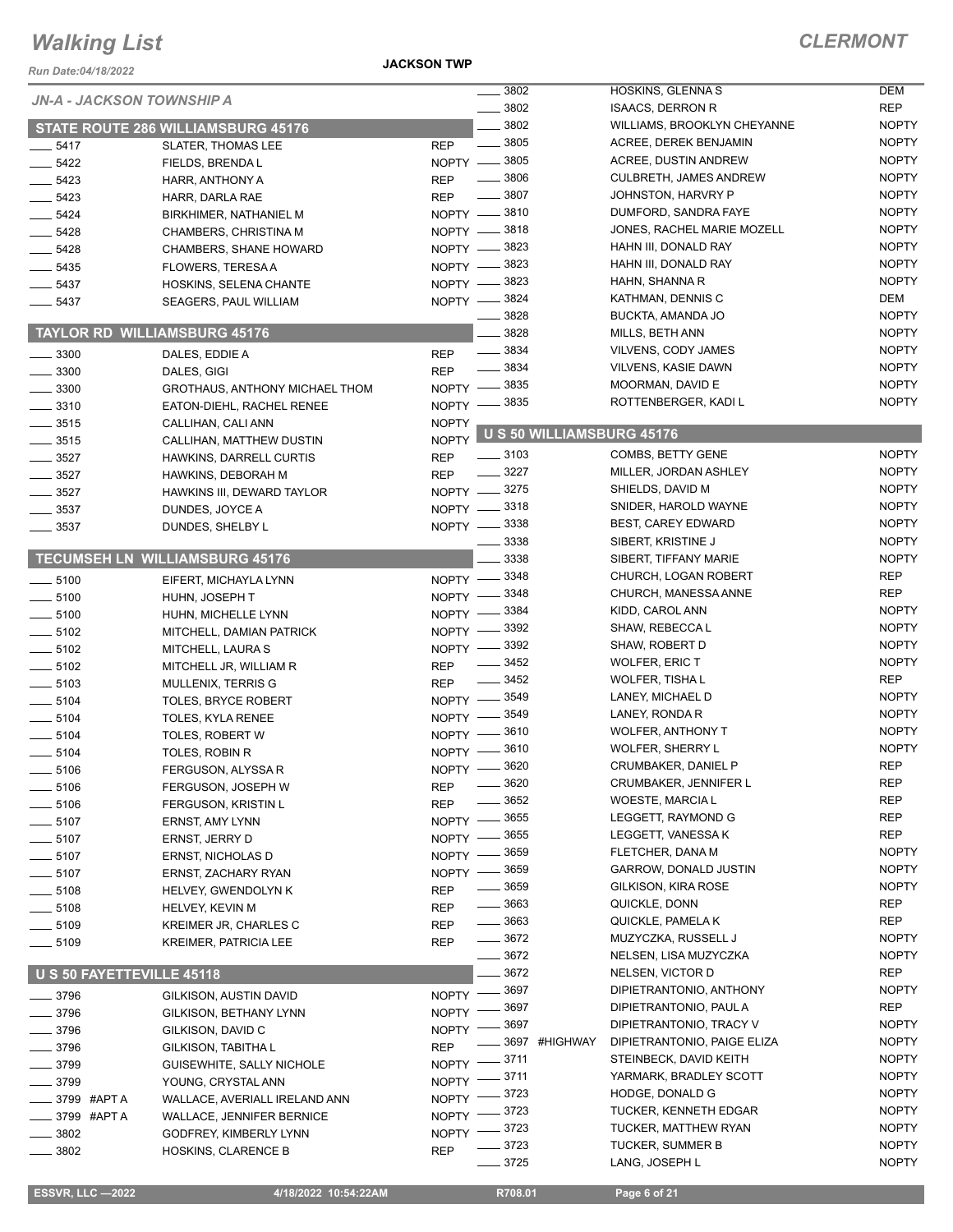*Run Date:04/18/2022*

**JACKSON TWP**

|                             |                           | <b>JN-A - JACKSON TOWNSHIP A</b>      |                    | 3802               |               | HOSKINS, GLENNA S                | <b>DEM</b>   |
|-----------------------------|---------------------------|---------------------------------------|--------------------|--------------------|---------------|----------------------------------|--------------|
|                             |                           |                                       |                    | $- 3802$           |               | <b>ISAACS, DERRON R</b>          | <b>REP</b>   |
|                             |                           | STATE ROUTE 286 WILLIAMSBURG 45176    |                    | 3802               |               | WILLIAMS, BROOKLYN CHEYANNE      | <b>NOPTY</b> |
| 5417                        |                           | <b>SLATER, THOMAS LEE</b>             | <b>REP</b>         | $\frac{1}{2}$ 3805 |               | ACREE, DEREK BENJAMIN            | <b>NOPTY</b> |
| $-5422$                     |                           | FIELDS, BRENDA L                      |                    | NOPTY -8805        |               | <b>ACREE, DUSTIN ANDREW</b>      | <b>NOPTY</b> |
| $-5423$                     |                           | HARR, ANTHONY A                       | <b>REP</b>         | $=$ 3806           |               | <b>CULBRETH, JAMES ANDREW</b>    | <b>NOPTY</b> |
| 5423                        |                           | HARR, DARLA RAE                       | <b>REP</b>         | $-3807$            |               | JOHNSTON, HARVRY P               | <b>NOPTY</b> |
| $-5424$                     |                           | BIRKHIMER, NATHANIEL M                |                    | NOPTY -8810        |               | DUMFORD, SANDRA FAYE             | <b>NOPTY</b> |
| $-5428$                     |                           | CHAMBERS, CHRISTINA M                 |                    | NOPTY -8818        |               | JONES, RACHEL MARIE MOZELL       | <b>NOPTY</b> |
| $-5428$                     |                           |                                       |                    | NOPTY -8823        |               | HAHN III, DONALD RAY             | <b>NOPTY</b> |
|                             |                           | <b>CHAMBERS, SHANE HOWARD</b>         |                    | NOPTY -8823        |               | HAHN III, DONALD RAY             | <b>NOPTY</b> |
| $- 5435$                    |                           | <b>FLOWERS, TERESA A</b>              |                    | NOPTY -8823        |               | HAHN, SHANNA R                   | <b>NOPTY</b> |
| $-5437$                     |                           | HOSKINS, SELENA CHANTE                |                    |                    |               | KATHMAN, DENNIS C                | DEM          |
| $-5437$                     |                           | SEAGERS, PAUL WILLIAM                 |                    | NOPTY -8824        |               |                                  | <b>NOPTY</b> |
|                             |                           |                                       |                    | $-3828$            |               | BUCKTA, AMANDA JO                |              |
|                             |                           | <b>TAYLOR RD WILLIAMSBURG 45176</b>   |                    | 3828               |               | MILLS, BETH ANN                  | <b>NOPTY</b> |
| $- 3300$                    |                           | DALES, EDDIE A                        | <b>REP</b>         | $\frac{1}{2}$ 3834 |               | VILVENS, CODY JAMES              | <b>NOPTY</b> |
| $\frac{1}{2}$ 3300          |                           | DALES, GIGI                           | <b>REP</b>         | $\frac{1}{2}$ 3834 |               | <b>VILVENS, KASIE DAWN</b>       | <b>NOPTY</b> |
| $\frac{1}{2}$ 3300          |                           | <b>GROTHAUS, ANTHONY MICHAEL THOM</b> | NOPTY -            | 3835               |               | MOORMAN, DAVID E                 | <b>NOPTY</b> |
| $\frac{1}{2}$ 3310          |                           | EATON-DIEHL, RACHEL RENEE             | <b>NOPTY</b>       | 3835               |               | ROTTENBERGER, KADI L             | <b>NOPTY</b> |
| $\frac{1}{2}$ 3515          |                           | CALLIHAN, CALI ANN                    | <b>NOPTY</b>       |                    |               |                                  |              |
| $-3515$                     |                           | CALLIHAN, MATTHEW DUSTIN              | <b>NOPTY</b>       |                    |               | <b>U S 50 WILLIAMSBURG 45176</b> |              |
| $-3527$                     |                           | HAWKINS, DARRELL CURTIS               | <b>REP</b>         | $\frac{1}{2}$ 3103 |               | COMBS, BETTY GENE                | <b>NOPTY</b> |
| $-3527$                     |                           | HAWKINS, DEBORAH M                    | <b>REP</b>         | $- 3227$           |               | MILLER, JORDAN ASHLEY            | <b>NOPTY</b> |
| $-3527$                     |                           | HAWKINS III, DEWARD TAYLOR            |                    | NOPTY -8275        |               | SHIELDS, DAVID M                 | <b>NOPTY</b> |
| $\frac{1}{2}$ 3537          |                           | DUNDES, JOYCE A                       |                    | NOPTY -3318        |               | SNIDER, HAROLD WAYNE             | <b>NOPTY</b> |
| $\frac{1}{2}$ 3537          |                           | DUNDES, SHELBY L                      |                    | NOPTY - 3338       |               | <b>BEST, CAREY EDWARD</b>        | <b>NOPTY</b> |
|                             |                           |                                       |                    | 3338               |               | SIBERT, KRISTINE J               | <b>NOPTY</b> |
|                             |                           | <b>TECUMSEH LN WILLIAMSBURG 45176</b> |                    | 3338               |               | SIBERT, TIFFANY MARIE            | <b>NOPTY</b> |
|                             |                           |                                       |                    |                    |               | CHURCH, LOGAN ROBERT             | <b>REP</b>   |
| $\frac{1}{2}$ 5100          |                           | EIFERT, MICHAYLA LYNN                 |                    | NOPTY -8348        |               | CHURCH, MANESSA ANNE             | <b>REP</b>   |
| $-5100$                     |                           | HUHN, JOSEPH T                        |                    | NOPTY -8348        |               |                                  | <b>NOPTY</b> |
| $\frac{1}{2}$ 5100          |                           | HUHN, MICHELLE LYNN                   | $N$ OPTY $\qquad$  | 3384               |               | KIDD, CAROL ANN                  |              |
| $\frac{1}{2}$ 5102          |                           | MITCHELL, DAMIAN PATRICK              | NOPTY -            | 3392               |               | SHAW, REBECCA L                  | <b>NOPTY</b> |
| $\frac{1}{2}$ 5102          |                           | MITCHELL, LAURA S                     | NOPTY -            | _ 3392             |               | SHAW, ROBERT D                   | <b>NOPTY</b> |
| $\frac{1}{2}$ 5102          |                           | MITCHELL JR, WILLIAM R                | <b>REP</b>         | 3452               |               | WOLFER, ERIC T                   | <b>NOPTY</b> |
| $\frac{1}{2}$ 5103          |                           | MULLENIX, TERRIS G                    | <b>REP</b>         | $-3452$            |               | <b>WOLFER, TISHA L</b>           | <b>REP</b>   |
| $- 5104$                    |                           | TOLES, BRYCE ROBERT                   | $NOPTY -$          | $-3549$            |               | LANEY, MICHAEL D                 | <b>NOPTY</b> |
| $-5104$                     |                           | TOLES, KYLA RENEE                     | NOPTY -            | 3549               |               | LANEY, RONDA R                   | <b>NOPTY</b> |
| $-5104$                     |                           | TOLES, ROBERT W                       | $NOPTY -$          | 3610               |               | <b>WOLFER, ANTHONY T</b>         | <b>NOPTY</b> |
| $-5104$                     |                           | TOLES, ROBIN R                        | NOPTY $-$          | 3610               |               | <b>WOLFER, SHERRY L</b>          | <b>NOPTY</b> |
| 5106                        |                           | FERGUSON, ALYSSA R                    | $NOPTY -$          | 3620               |               | <b>CRUMBAKER, DANIEL P</b>       | <b>REP</b>   |
| $\frac{1}{2}$ 5106          |                           | FERGUSON, JOSEPH W                    | <b>REP</b>         | $- 3620$           |               | CRUMBAKER, JENNIFER L            | <b>REP</b>   |
| $-5106$                     |                           | FERGUSON, KRISTIN L                   | <b>REP</b>         | 3652               |               | <b>WOESTE, MARCIA L</b>          | <b>REP</b>   |
| $-5107$                     |                           | ERNST, AMY LYNN                       | NOPTY -            | - 3655             |               | LEGGETT, RAYMOND G               | <b>REP</b>   |
| $-5107$                     |                           | ERNST, JERRY D                        | NOPTY -            | 3655               |               | LEGGETT, VANESSA K               | <b>REP</b>   |
| $-5107$                     |                           | ERNST, NICHOLAS D                     | NOPTY -            | _ 3659             |               | FLETCHER, DANA M                 | <b>NOPTY</b> |
|                             |                           |                                       | $NOPTY -$          | ${=}$ 3659         |               | GARROW, DONALD JUSTIN            | <b>NOPTY</b> |
| $- 5107$                    |                           | ERNST, ZACHARY RYAN                   |                    | __ 3659            |               | <b>GILKISON, KIRA ROSE</b>       | <b>NOPTY</b> |
| $- 5108$                    |                           | HELVEY, GWENDOLYN K                   | <b>REP</b>         | $\frac{1}{2}$ 3663 |               | QUICKLE, DONN                    | <b>REP</b>   |
| $\_\_5108$                  |                           | HELVEY, KEVIN M                       | <b>REP</b>         | $\frac{1}{2}$ 3663 |               | QUICKLE, PAMELA K                | <b>REP</b>   |
| —— 5109                     |                           | KREIMER JR, CHARLES C                 | <b>REP</b>         | $- 3672$           |               |                                  | <b>NOPTY</b> |
| $- 5109$                    |                           | KREIMER, PATRICIA LEE                 | <b>REP</b>         |                    |               | MUZYCZKA, RUSSELL J              |              |
|                             |                           |                                       |                    | $\frac{1}{2}$ 3672 |               | NELSEN, LISA MUZYCZKA            | <b>NOPTY</b> |
|                             | U S 50 FAYETTEVILLE 45118 |                                       |                    | $-3672$            |               | NELSEN, VICTOR D                 | <b>REP</b>   |
| $-3796$                     |                           | GILKISON, AUSTIN DAVID                |                    | NOPTY -8697        |               | DIPIETRANTONIO, ANTHONY          | <b>NOPTY</b> |
| $-3796$                     |                           | GILKISON, BETHANY LYNN                | NOPTY -            | 3697               |               | DIPIETRANTONIO, PAUL A           | <b>REP</b>   |
| $-3796$                     |                           | GILKISON, DAVID C                     | NOPTY -            | _ 3697             |               | DIPIETRANTONIO, TRACY V          | <b>NOPTY</b> |
| $=$ 3796                    |                           | GILKISON, TABITHA L                   | <b>REP</b>         |                    | 3697 #HIGHWAY | DIPIETRANTONIO, PAIGE ELIZA      | <b>NOPTY</b> |
| _ 3799                      |                           | GUISEWHITE, SALLY NICHOLE             | NOPTY <sup>-</sup> | _ 3711             |               | STEINBECK, DAVID KEITH           | <b>NOPTY</b> |
| $-3799$                     |                           | YOUNG, CRYSTAL ANN                    |                    | NOPTY -8711        |               | YARMARK, BRADLEY SCOTT           | <b>NOPTY</b> |
| <sub>_</sub> __ 3799 #APT A |                           | WALLACE, AVERIALL IRELAND ANN         | NOPTY -            | 3723               |               | HODGE, DONALD G                  | <b>NOPTY</b> |
|                             | 3799 #APTA                | WALLACE, JENNIFER BERNICE             | NOPTY -            | - 3723             |               | <b>TUCKER, KENNETH EDGAR</b>     | <b>NOPTY</b> |
| $-3802$                     |                           | GODFREY, KIMBERLY LYNN                | NOPTY -            | $-3723$            |               | TUCKER, MATTHEW RYAN             | <b>NOPTY</b> |
| $- 3802$                    |                           | <b>HOSKINS, CLARENCE B</b>            | <b>REP</b>         | $-3723$            |               | TUCKER, SUMMER B                 | <b>NOPTY</b> |
|                             |                           |                                       |                    | $-3725$            |               | LANG, JOSEPH L                   | <b>NOPTY</b> |
|                             |                           |                                       |                    |                    |               |                                  |              |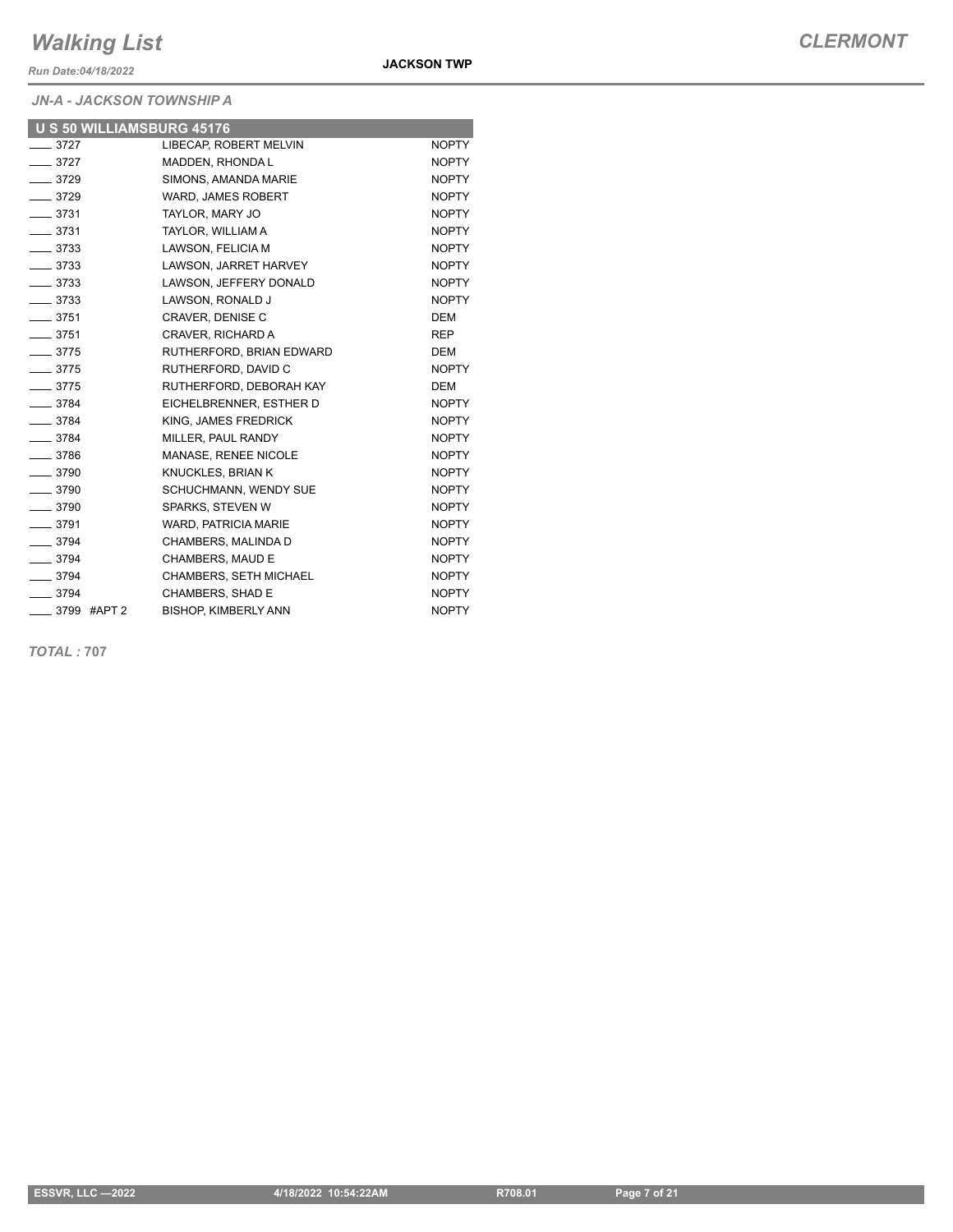*Run Date:04/18/2022*

#### *JN-A - JACKSON TOWNSHIP A*

| <b>U S 50 WILLIAMSBURG 45176</b> |                             |              |
|----------------------------------|-----------------------------|--------------|
| $\frac{1}{2}$ 3727               | LIBECAP, ROBERT MELVIN      | <b>NOPTY</b> |
| $- 3727$                         | MADDEN, RHONDA L            | <b>NOPTY</b> |
| $-3729$                          | SIMONS, AMANDA MARIE        | <b>NOPTY</b> |
| $- 3729$                         | WARD, JAMES ROBERT          | <b>NOPTY</b> |
| $- 3731$                         | TAYLOR, MARY JO             | <b>NOPTY</b> |
| $\frac{1}{2}$ 3731               | TAYLOR, WILLIAM A           | <b>NOPTY</b> |
| $- 3733$                         | LAWSON, FELICIA M           | <b>NOPTY</b> |
| $\frac{1}{2}$ 3733               | LAWSON, JARRET HARVEY       | <b>NOPTY</b> |
| $- 3733$                         | LAWSON, JEFFERY DONALD      | <b>NOPTY</b> |
| $\frac{1}{2}$ 3733               | LAWSON, RONALD J            | <b>NOPTY</b> |
| $- 3751$                         | CRAVER, DENISE C            | <b>DEM</b>   |
| $- 3751$                         | CRAVER. RICHARD A           | <b>REP</b>   |
| $- 3775$                         | RUTHERFORD, BRIAN EDWARD    | <b>DEM</b>   |
| $-3775$                          | RUTHERFORD, DAVID C         | <b>NOPTY</b> |
| $- 3775$                         | RUTHERFORD, DEBORAH KAY     | <b>DEM</b>   |
| $- 3784$                         | EICHELBRENNER, ESTHER D     | <b>NOPTY</b> |
| $- 3784$                         | KING, JAMES FREDRICK        | <b>NOPTY</b> |
| $- 3784$                         | MILLER, PAUL RANDY          | <b>NOPTY</b> |
| $\frac{1}{2}$ 3786               | MANASE, RENEE NICOLE        | <b>NOPTY</b> |
| $\frac{1}{2}$ 3790               | KNUCKLES, BRIAN K           | <b>NOPTY</b> |
| $- 3790$                         | SCHUCHMANN, WENDY SUE       | <b>NOPTY</b> |
| $- 3790$                         | SPARKS, STEVEN W            | <b>NOPTY</b> |
| $- 3791$                         | WARD, PATRICIA MARIE        | <b>NOPTY</b> |
| $- 3794$                         | CHAMBERS, MALINDA D         | <b>NOPTY</b> |
| $- 3794$                         | CHAMBERS, MAUD E            | <b>NOPTY</b> |
| $- 3794$                         | CHAMBERS, SETH MICHAEL      | <b>NOPTY</b> |
| $- 3794$                         | CHAMBERS, SHAD E            | <b>NOPTY</b> |
| —— 3799 #APT 2                   | <b>BISHOP, KIMBERLY ANN</b> | <b>NOPTY</b> |
|                                  |                             |              |

*TOTAL :* **707**

**JACKSON TWP**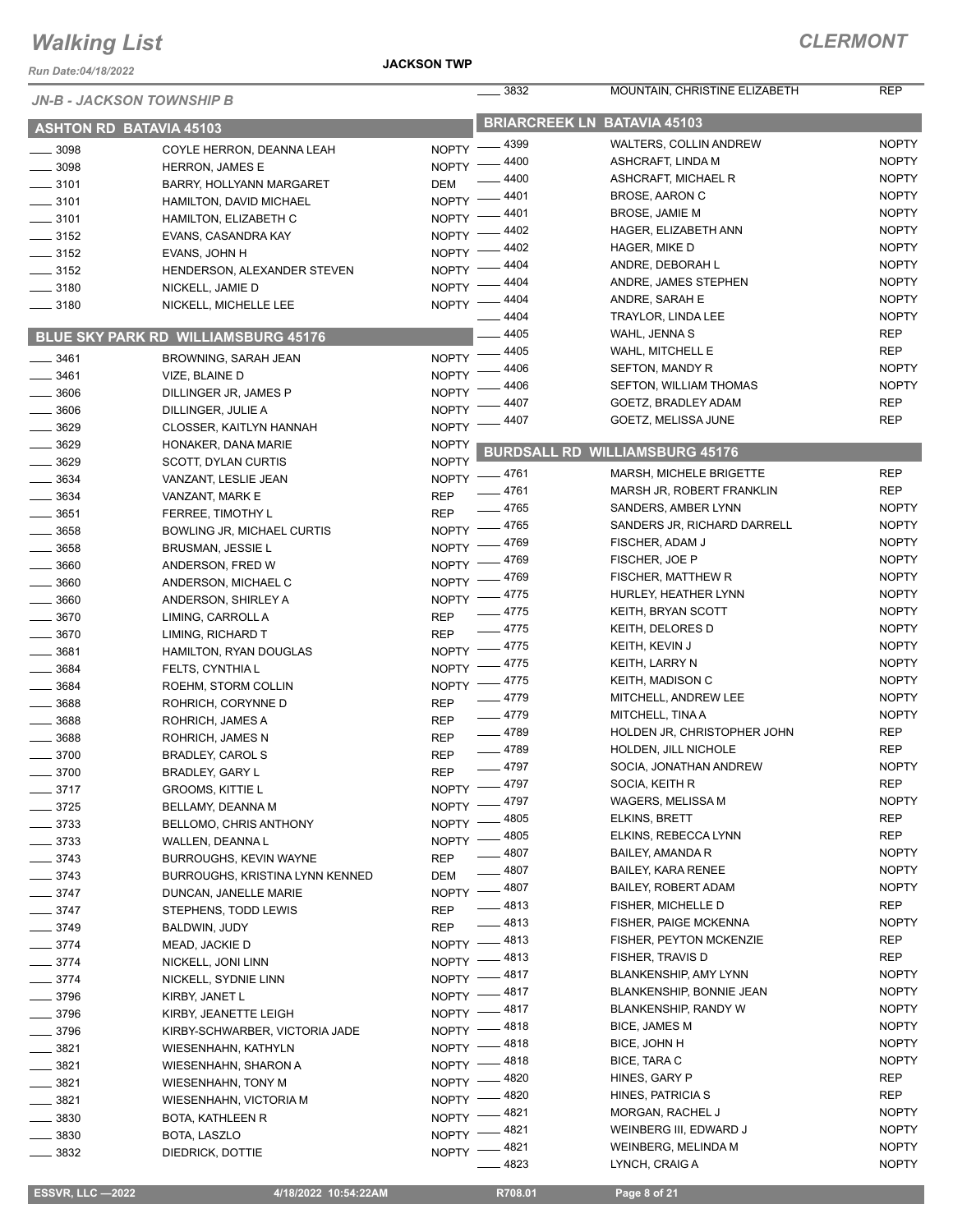*Run Date:04/18/2022*

#### **JACKSON TWP**

|                                | <b>JN-B - JACKSON TOWNSHIP B</b>    | .3832                   | MOUNTAIN, CHRISTINE ELIZABETH         | <b>REP</b>                 |  |  |
|--------------------------------|-------------------------------------|-------------------------|---------------------------------------|----------------------------|--|--|
| <b>ASHTON RD BATAVIA 45103</b> |                                     |                         | <b>BRIARCREEK LN BATAVIA 45103</b>    |                            |  |  |
| $-3098$                        |                                     | $-4399$<br>$NOPTY =$    | <b>WALTERS, COLLIN ANDREW</b>         | <b>NOPTY</b>               |  |  |
| $\frac{1}{2}$ 3098             | COYLE HERRON, DEANNA LEAH           | - 4400<br><b>NOPTY</b>  | ASHCRAFT, LINDA M                     | <b>NOPTY</b>               |  |  |
|                                | <b>HERRON, JAMES E</b>              | 4400                    | ASHCRAFT, MICHAEL R                   | <b>NOPTY</b>               |  |  |
| $\frac{1}{2}$ 3101             | BARRY, HOLLYANN MARGARET            | <b>DEM</b><br>- 4401    | <b>BROSE, AARON C</b>                 | <b>NOPTY</b>               |  |  |
| $\frac{1}{2}$ 3101             | HAMILTON, DAVID MICHAEL             | NOPTY -<br>$-4401$      | <b>BROSE, JAMIE M</b>                 | <b>NOPTY</b>               |  |  |
| $\frac{1}{2}$ 3101             | <b>HAMILTON, ELIZABETH C</b>        | NOPTY -<br>4402         | HAGER, ELIZABETH ANN                  | <b>NOPTY</b>               |  |  |
| $\frac{1}{2}$ 3152             | EVANS, CASANDRA KAY                 | NOPTY -<br>4402         | HAGER, MIKE D                         | <b>NOPTY</b>               |  |  |
| $\frac{1}{2}$ 3152             | EVANS, JOHN H                       | NOPTY =<br>4404         | ANDRE, DEBORAH L                      | <b>NOPTY</b>               |  |  |
| $\frac{1}{2}$ 3152             | HENDERSON, ALEXANDER STEVEN         | <b>NOPTY</b><br>4404    | ANDRE, JAMES STEPHEN                  | <b>NOPTY</b>               |  |  |
| $\frac{1}{2}$ 3180             | NICKELL, JAMIE D                    | <b>NOPTY</b>            |                                       |                            |  |  |
| $\frac{1}{2}$ 3180             | NICKELL, MICHELLE LEE               | $-4404$<br>NOPTY -      | ANDRE, SARAH E                        | <b>NOPTY</b>               |  |  |
|                                |                                     | 4404                    | TRAYLOR, LINDA LEE                    | <b>NOPTY</b>               |  |  |
|                                | BLUE SKY PARK RD WILLIAMSBURG 45176 | 4405                    | WAHL, JENNA S                         | <b>REP</b>                 |  |  |
| $\frac{1}{2}$ 3461             | BROWNING, SARAH JEAN                | 4405<br>NOPTY -         | WAHL, MITCHELL E                      | <b>REP</b>                 |  |  |
| 3461                           | VIZE, BLAINE D                      | 4406<br><b>NOPTY</b>    | SEFTON, MANDY R                       | <b>NOPTY</b>               |  |  |
| 3606                           | DILLINGER JR, JAMES P               | 4406<br><b>NOPTY</b>    | SEFTON, WILLIAM THOMAS                | <b>NOPTY</b>               |  |  |
| $-3606$                        | DILLINGER, JULIE A                  | 4407<br><b>NOPTY</b>    | GOETZ, BRADLEY ADAM                   | <b>REP</b>                 |  |  |
| $- 3629$                       | CLOSSER, KAITLYN HANNAH             | 4407<br><b>NOPTY</b>    | GOETZ, MELISSA JUNE                   | <b>REP</b>                 |  |  |
| $- 3629$                       | HONAKER, DANA MARIE                 | <b>NOPTY</b>            |                                       |                            |  |  |
| 3629                           | <b>SCOTT, DYLAN CURTIS</b>          | <b>NOPTY</b>            | <b>BURDSALL RD WILLIAMSBURG 45176</b> |                            |  |  |
| $\frac{1}{2}$ 3634             | VANZANT, LESLIE JEAN                | NOPTY -4761             | MARSH, MICHELE BRIGETTE               | <b>REP</b>                 |  |  |
| 3634                           | VANZANT, MARK E                     | $-4761$<br><b>REP</b>   | MARSH JR, ROBERT FRANKLIN             | <b>REP</b>                 |  |  |
| 3651                           | FERREE, TIMOTHY L                   | __ 4765<br><b>REP</b>   | SANDERS, AMBER LYNN                   | <b>NOPTY</b>               |  |  |
| $- 3658$                       | BOWLING JR, MICHAEL CURTIS          | 4765<br><b>NOPTY</b>    | SANDERS JR, RICHARD DARRELL           | <b>NOPTY</b>               |  |  |
| 3658                           | <b>BRUSMAN, JESSIE L</b>            | 4769<br><b>NOPTY</b>    | FISCHER, ADAM J                       | <b>NOPTY</b>               |  |  |
| 3660                           | ANDERSON, FRED W                    | 4769<br><b>NOPTY</b>    | FISCHER, JOE P                        | <b>NOPTY</b>               |  |  |
|                                |                                     | 4769<br>NOPTY -         | FISCHER, MATTHEW R                    | <b>NOPTY</b>               |  |  |
| 3660                           | ANDERSON, MICHAEL C                 | $-4775$                 | HURLEY, HEATHER LYNN                  | <b>NOPTY</b>               |  |  |
| 3660                           | ANDERSON, SHIRLEY A                 | NOPTY -<br>$-4775$      | KEITH, BRYAN SCOTT                    | <b>NOPTY</b>               |  |  |
| 3670                           | LIMING, CARROLL A                   | <b>REP</b><br>$-4775$   | KEITH, DELORES D                      | <b>NOPTY</b>               |  |  |
| 3670                           | LIMING, RICHARD T                   | <b>REP</b><br>_ 4775    | KEITH, KEVIN J                        | <b>NOPTY</b>               |  |  |
| 3681                           | HAMILTON, RYAN DOUGLAS              | NOPTY -<br>$-4775$      | KEITH, LARRY N                        | <b>NOPTY</b>               |  |  |
| 3684                           | FELTS, CYNTHIA L                    | $N$ OPTY $-$            | KEITH, MADISON C                      | <b>NOPTY</b>               |  |  |
| 3684                           | ROEHM, STORM COLLIN                 | NOPTY -4775<br>$-4779$  | MITCHELL, ANDREW LEE                  | <b>NOPTY</b>               |  |  |
| $\frac{1}{2}$ 3688             | ROHRICH, CORYNNE D                  | <b>REP</b><br>$-4779$   | MITCHELL, TINA A                      | <b>NOPTY</b>               |  |  |
| 3688                           | ROHRICH, JAMES A                    | <b>REP</b>              |                                       |                            |  |  |
| $-3688$                        | ROHRICH, JAMES N                    | $-4789$<br><b>REP</b>   | HOLDEN JR, CHRISTOPHER JOHN           | <b>REP</b><br><b>REP</b>   |  |  |
| 3700                           | <b>BRADLEY, CAROL S</b>             | $-4789$<br><b>REP</b>   | HOLDEN, JILL NICHOLE                  |                            |  |  |
| $\frac{1}{2}$ 3700             | BRADLEY, GARY L                     | $-4797$<br><b>REP</b>   | SOCIA, JONATHAN ANDREW                | <b>NOPTY</b><br><b>REP</b> |  |  |
| $- 3717$                       | GROOMS, KITTIE L                    | NOPTY -4797             | SOCIA, KEITH R                        |                            |  |  |
| $=$ 3725                       | BELLAMY, DEANNA M                   | NOPTY -4797             | WAGERS, MELISSA M                     | <b>NOPTY</b>               |  |  |
| $\frac{1}{2}$ 3733             | BELLOMO, CHRIS ANTHONY              | - 4805<br>NOPTY -       | ELKINS, BRETT                         | <b>REP</b>                 |  |  |
| $-3733$                        | WALLEN, DEANNA L                    | NOPTY -4805             | ELKINS, REBECCA LYNN                  | REP                        |  |  |
| $\frac{1}{2}$ 3743             | <b>BURROUGHS, KEVIN WAYNE</b>       | _ 4807<br><b>REP</b>    | <b>BAILEY, AMANDA R</b>               | <b>NOPTY</b>               |  |  |
| $\frac{1}{2}$ 3743             | BURROUGHS, KRISTINA LYNN KENNED     | 4807<br>DEM             | BAILEY, KARA RENEE                    | <b>NOPTY</b>               |  |  |
| $-3747$                        | DUNCAN, JANELLE MARIE               | $-4807$<br><b>NOPTY</b> | BAILEY, ROBERT ADAM                   | <b>NOPTY</b>               |  |  |
| $\frac{1}{2}$ 3747             | STEPHENS, TODD LEWIS                | . 4813<br><b>REP</b>    | FISHER, MICHELLE D                    | <b>REP</b>                 |  |  |
| $-3749$                        | BALDWIN, JUDY                       | _ 4813<br><b>REP</b>    | FISHER, PAIGE MCKENNA                 | <b>NOPTY</b>               |  |  |
| $-3774$                        | MEAD, JACKIE D                      | $-4813$<br>$NOPTY =$    | FISHER, PEYTON MCKENZIE               | <b>REP</b>                 |  |  |
| $- 3774$                       | NICKELL, JONI LINN                  | NOPTY -4813             | FISHER, TRAVIS D                      | REP                        |  |  |
| $-3774$                        | NICKELL, SYDNIE LINN                | _ 4817<br>NOPTY -       | BLANKENSHIP, AMY LYNN                 | <b>NOPTY</b>               |  |  |
| $-3796$                        | KIRBY, JANET L                      | _ 4817<br>NOPTY -       | BLANKENSHIP, BONNIE JEAN              | <b>NOPTY</b>               |  |  |
| $- 3796$                       | KIRBY, JEANETTE LEIGH               | NOPTY -4817             | BLANKENSHIP, RANDY W                  | <b>NOPTY</b>               |  |  |
| $\frac{1}{2}$ 3796             | KIRBY-SCHWARBER, VICTORIA JADE      | NOPTY -4818             | BICE, JAMES M                         | <b>NOPTY</b>               |  |  |
| $\frac{1}{2}$ 3821             |                                     | NOPTY -4818             | BICE, JOHN H                          | <b>NOPTY</b>               |  |  |
|                                | WIESENHAHN, KATHYLN                 | NOPTY -4818             | BICE, TARA C                          | <b>NOPTY</b>               |  |  |
| $-3821$                        | WIESENHAHN, SHARON A                | _ 4820<br>$N$ OPTY $-$  | HINES, GARY P                         | REP                        |  |  |
| $\frac{1}{2}$ 3821             | <b>WIESENHAHN, TONY M</b>           | $-4820$                 | HINES, PATRICIA S                     | REP                        |  |  |
| $-3821$                        | WIESENHAHN, VICTORIA M              | NOPTY -<br>- 4821       | MORGAN, RACHEL J                      | <b>NOPTY</b>               |  |  |
| 3830                           | BOTA, KATHLEEN R                    | NOPTY -<br>4821         | WEINBERG III, EDWARD J                | <b>NOPTY</b>               |  |  |
| 3830                           | BOTA, LASZLO                        | NOPTY -<br>.4821        | WEINBERG, MELINDA M                   | <b>NOPTY</b>               |  |  |
| 3832                           | DIEDRICK, DOTTIE                    | NOPTY -<br>4823         | LYNCH, CRAIG A                        | <b>NOPTY</b>               |  |  |
|                                |                                     |                         |                                       |                            |  |  |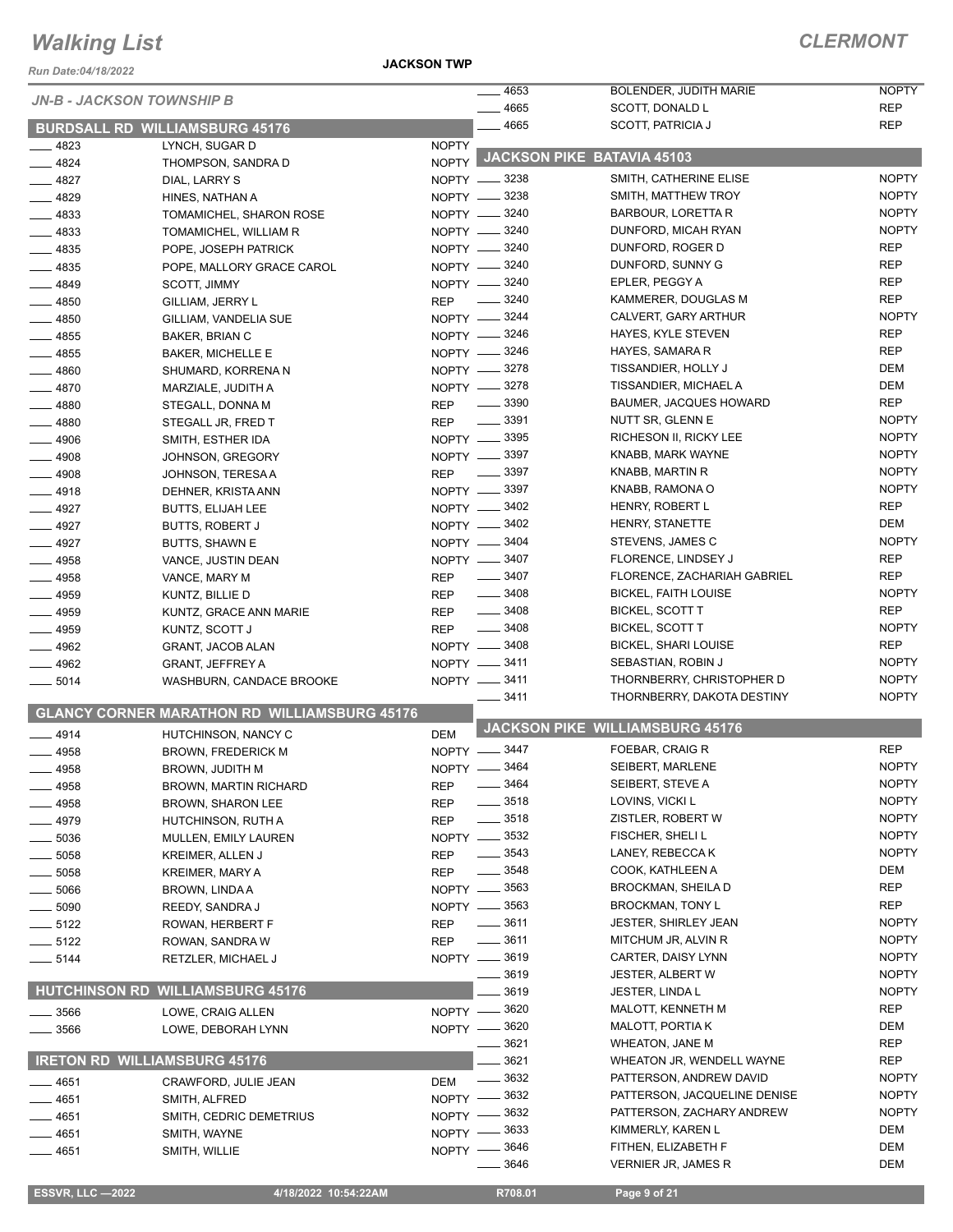*Run Date:04/18/2022*

**JACKSON TWP**

### *CLERMONT*

| Kun Date:04/16/Z0ZZ              |                                                     |                                    |                            |                                             |                              |
|----------------------------------|-----------------------------------------------------|------------------------------------|----------------------------|---------------------------------------------|------------------------------|
| <b>JN-B - JACKSON TOWNSHIP B</b> |                                                     |                                    | $-4653$                    | BOLENDER, JUDITH MARIE                      | <b>NOPTY</b>                 |
|                                  |                                                     |                                    | 4665                       | SCOTT, DONALD L<br><b>SCOTT, PATRICIA J</b> | <b>REP</b><br><b>REP</b>     |
|                                  | <b>BURDSALL RD WILLIAMSBURG 45176</b>               |                                    | $-4665$                    |                                             |                              |
| —— 4823                          | LYNCH, SUGAR D                                      | <b>NOPTY</b><br>NOPTY <sup>1</sup> |                            | <b>JACKSON PIKE BATAVIA 45103</b>           |                              |
| $-4824$                          | THOMPSON, SANDRA D                                  |                                    | NOPTY -8238                | SMITH, CATHERINE ELISE                      | <b>NOPTY</b>                 |
| $-4827$<br>$-4829$               | DIAL, LARRY S<br>HINES, NATHAN A                    |                                    | NOPTY -8238                | SMITH, MATTHEW TROY                         | <b>NOPTY</b>                 |
| $-4833$                          | TOMAMICHEL, SHARON ROSE                             |                                    | NOPTY -8240                | <b>BARBOUR, LORETTA R</b>                   | <b>NOPTY</b>                 |
| $-4833$                          | TOMAMICHEL, WILLIAM R                               |                                    | NOPTY -8240                | DUNFORD, MICAH RYAN                         | <b>NOPTY</b>                 |
| $-4835$                          | POPE, JOSEPH PATRICK                                |                                    | NOPTY -8240                | DUNFORD, ROGER D                            | <b>REP</b>                   |
| $-4835$                          | POPE, MALLORY GRACE CAROL                           |                                    | NOPTY -8240                | DUNFORD, SUNNY G                            | <b>REP</b>                   |
| $-4849$                          | <b>SCOTT, JIMMY</b>                                 |                                    | NOPTY -8240                | EPLER, PEGGY A                              | <b>REP</b>                   |
| $- 4850$                         | GILLIAM, JERRY L                                    | <b>REP</b>                         | $\frac{1}{2}$ 3240         | KAMMERER, DOUGLAS M                         | <b>REP</b>                   |
| $-4850$                          | GILLIAM, VANDELIA SUE                               |                                    | NOPTY -8244                | CALVERT, GARY ARTHUR                        | <b>NOPTY</b>                 |
| $-4855$                          | BAKER, BRIAN C                                      |                                    | NOPTY -8246                | HAYES, KYLE STEVEN                          | <b>REP</b>                   |
| $- 4855$                         | <b>BAKER, MICHELLE E</b>                            |                                    | NOPTY -8246                | HAYES, SAMARA R                             | <b>REP</b>                   |
| $-4860$                          | SHUMARD, KORRENA N                                  |                                    | NOPTY -8278                | TISSANDIER, HOLLY J                         | <b>DEM</b>                   |
| $-4870$                          | MARZIALE, JUDITH A                                  |                                    | NOPTY -8278                | TISSANDIER, MICHAEL A                       | <b>DEM</b>                   |
| $-4880$                          | STEGALL, DONNA M                                    | <b>REP</b>                         | $\frac{1}{2}$ 3390         | <b>BAUMER, JACQUES HOWARD</b>               | <b>REP</b>                   |
| $-4880$                          | STEGALL JR, FRED T                                  | <b>REP</b>                         | $\frac{1}{2}$ 3391         | NUTT SR, GLENN E                            | <b>NOPTY</b>                 |
| $\frac{1}{2}$ 4906               | SMITH, ESTHER IDA                                   |                                    | NOPTY -8395                | RICHESON II, RICKY LEE                      | <b>NOPTY</b>                 |
| $-4908$                          | JOHNSON, GREGORY                                    |                                    | NOPTY -8397                | KNABB, MARK WAYNE                           | <b>NOPTY</b>                 |
| $-4908$                          | JOHNSON, TERESA A                                   | <b>REP</b>                         | $\frac{1}{2}$ 3397         | KNABB, MARTIN R                             | <b>NOPTY</b>                 |
| $-4918$                          | DEHNER, KRISTA ANN                                  |                                    | NOPTY -8397                | KNABB, RAMONA O                             | <b>NOPTY</b>                 |
| $-4927$                          | <b>BUTTS, ELIJAH LEE</b>                            |                                    | NOPTY -8402                | HENRY, ROBERT L                             | <b>REP</b>                   |
| $-4927$                          | <b>BUTTS, ROBERT J</b>                              |                                    | NOPTY -8402                | HENRY, STANETTE                             | <b>DEM</b>                   |
| $-4927$                          | <b>BUTTS, SHAWN E</b>                               |                                    | NOPTY -8404                | STEVENS, JAMES C                            | <b>NOPTY</b>                 |
| $-4958$                          | VANCE, JUSTIN DEAN                                  |                                    | NOPTY -8407                | FLORENCE, LINDSEY J                         | <b>REP</b>                   |
| $-4958$                          | VANCE, MARY M                                       | <b>REP</b>                         | $\frac{1}{2}$ 3407         | FLORENCE, ZACHARIAH GABRIEL                 | <b>REP</b>                   |
| $-4959$                          | KUNTZ, BILLIE D                                     | <b>REP</b>                         | $\frac{1}{2}$ 3408         | <b>BICKEL, FAITH LOUISE</b>                 | <b>NOPTY</b>                 |
| $-4959$                          | KUNTZ, GRACE ANN MARIE                              | <b>REP</b>                         | $\frac{1}{2}$ 3408         | BICKEL, SCOTT T                             | <b>REP</b>                   |
| $- 4959$                         | KUNTZ, SCOTT J                                      | <b>REP</b>                         | $\frac{1}{2}$ 3408         | <b>BICKEL, SCOTT T</b>                      | <b>NOPTY</b>                 |
| $-4962$                          | GRANT, JACOB ALAN                                   |                                    | NOPTY -8408                | <b>BICKEL, SHARI LOUISE</b>                 | <b>REP</b>                   |
| $-4962$                          | <b>GRANT, JEFFREY A</b>                             |                                    | NOPTY -8411                | SEBASTIAN, ROBIN J                          | <b>NOPTY</b>                 |
| $\frac{1}{2}$ 5014               | WASHBURN, CANDACE BROOKE                            |                                    | NOPTY -8411                | THORNBERRY, CHRISTOPHER D                   | <b>NOPTY</b>                 |
|                                  |                                                     |                                    | 3411                       | THORNBERRY, DAKOTA DESTINY                  | <b>NOPTY</b>                 |
|                                  | <b>GLANCY CORNER MARATHON RD WILLIAMSBURG 45176</b> |                                    |                            | <b>JACKSON PIKE WILLIAMSBURG 45176</b>      |                              |
| $-4914$                          | HUTCHINSON, NANCY C                                 | <b>DEM</b>                         |                            |                                             |                              |
| - 4958                           | <b>BROWN, FREDERICK M</b>                           |                                    | NOPTY -8447                | FOEBAR, CRAIG R                             | <b>REP</b>                   |
| $-4958$                          | BROWN, JUDITH M                                     | NOPTY -                            | 3464<br>$\frac{1}{2}$ 3464 | SEIBERT, MARLENE                            | <b>NOPTY</b><br><b>NOPTY</b> |
| —— 4958                          | <b>BROWN, MARTIN RICHARD</b>                        | <b>REP</b>                         | $\frac{1}{2}$ 3518         | SEIBERT, STEVE A<br>LOVINS, VICKI L         | <b>NOPTY</b>                 |
| $-4958$                          | BROWN, SHARON LEE                                   | <b>REP</b>                         | $\frac{1}{2}$ 3518         | ZISTLER, ROBERT W                           | <b>NOPTY</b>                 |
| $-4979$                          | HUTCHINSON, RUTH A                                  | <b>REP</b>                         | NOPTY -8532                | FISCHER, SHELI L                            | <b>NOPTY</b>                 |
| _ 5036                           | MULLEN, EMILY LAUREN                                |                                    | $\frac{1}{2}$ 3543         | LANEY, REBECCA K                            | <b>NOPTY</b>                 |
| _ 5058<br>$= 5058$               | KREIMER, ALLEN J<br><b>KREIMER, MARY A</b>          | <b>REP</b><br>REP                  | $\frac{1}{2}$ 3548         | COOK, KATHLEEN A                            | <b>DEM</b>                   |
| _ 5066                           | BROWN, LINDA A                                      |                                    | NOPTY -8563                | <b>BROCKMAN, SHEILA D</b>                   | REP                          |
| _ 5090                           | REEDY, SANDRA J                                     |                                    | NOPTY -8563                | <b>BROCKMAN, TONY L</b>                     | <b>REP</b>                   |
| $- 5122$                         | ROWAN, HERBERT F                                    | REP                                | 3611                       | <b>JESTER, SHIRLEY JEAN</b>                 | <b>NOPTY</b>                 |
| ____ 5122                        | ROWAN, SANDRA W                                     | <b>REP</b>                         | _ 3611                     | MITCHUM JR, ALVIN R                         | <b>NOPTY</b>                 |
| $=$ 5144                         | RETZLER, MICHAEL J                                  |                                    | NOPTY -8619                | CARTER, DAISY LYNN                          | <b>NOPTY</b>                 |
|                                  |                                                     |                                    | __ 3619                    | <b>JESTER, ALBERT W</b>                     | <b>NOPTY</b>                 |
| <b>HUTCHINSON RD</b>             | <b>WILLIAMSBURG 45176</b>                           |                                    | 3619                       | <b>JESTER, LINDA L</b>                      | <b>NOPTY</b>                 |
| $=$ 3566                         | LOWE, CRAIG ALLEN                                   | NOPTY -                            | 3620                       | MALOTT, KENNETH M                           | <b>REP</b>                   |
| $-3566$                          | LOWE, DEBORAH LYNN                                  |                                    | NOPTY -8620                | <b>MALOTT, PORTIA K</b>                     | DEM                          |
|                                  |                                                     |                                    | 3621                       | WHEATON, JANE M                             | <b>REP</b>                   |
|                                  | <b>IRETON RD WILLIAMSBURG 45176</b>                 |                                    | $-3621$                    | WHEATON JR, WENDELL WAYNE                   | <b>REP</b>                   |
| —— 4651                          | CRAWFORD, JULIE JEAN                                | <b>DEM</b>                         | 3632                       | PATTERSON, ANDREW DAVID                     | <b>NOPTY</b>                 |
| _ 4651                           | SMITH, ALFRED                                       | NOPTY $-$                          | 3632                       | PATTERSON, JACQUELINE DENISE                | <b>NOPTY</b>                 |
| _ 4651                           | SMITH, CEDRIC DEMETRIUS                             | $NOPTY -$                          | 3632                       | PATTERSON, ZACHARY ANDREW                   | <b>NOPTY</b>                 |
| $-4651$                          | SMITH, WAYNE                                        | NOPTY -                            | 3633                       | KIMMERLY, KAREN L                           | <b>DEM</b>                   |
| _ 4651                           | SMITH, WILLIE                                       | <b>NOPTY</b>                       | 3646                       | FITHEN, ELIZABETH F                         | DEM                          |
|                                  |                                                     |                                    | 3646                       | VERNIER JR, JAMES R                         | <b>DEM</b>                   |
|                                  |                                                     |                                    |                            |                                             |                              |

 **ESSVR, LLC —2022 4/18/2022 10:54:22AM R708.01 Page 9 of 21**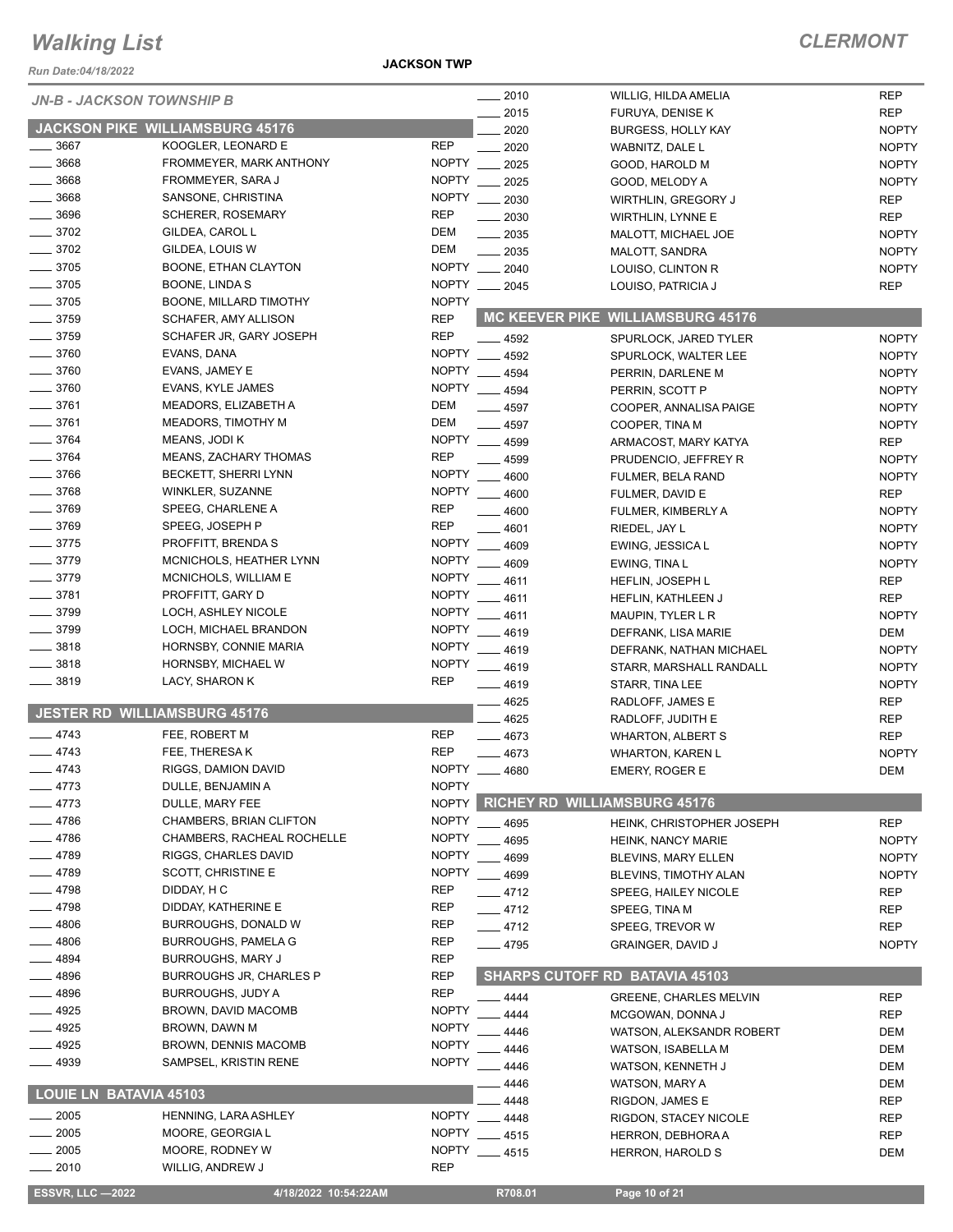*Run Date:04/18/2022*

#### **JACKSON TWP**

| <b>JN-B - JACKSON TOWNSHIP B</b>    |                                 |              | $- 2010$      | WILLIG, HILDA AMELIA                  | <b>REP</b>   |
|-------------------------------------|---------------------------------|--------------|---------------|---------------------------------------|--------------|
|                                     |                                 |              | 2015          | FURUYA, DENISE K                      | <b>REP</b>   |
|                                     | JACKSON PIKE WILLIAMSBURG 45176 |              | 2020          | <b>BURGESS, HOLLY KAY</b>             | <b>NOPTY</b> |
| 3667                                | KOOGLER, LEONARD E              | <b>REP</b>   | 2020          | WABNITZ, DALE L                       | <b>NOPTY</b> |
| 3668                                | FROMMEYER, MARK ANTHONY         | NOPTY ___    | 2025          | GOOD, HAROLD M                        | <b>NOPTY</b> |
| 3668                                | FROMMEYER, SARA J               | NOPTY __     | 2025          | GOOD, MELODY A                        | <b>NOPTY</b> |
| 3668                                | SANSONE, CHRISTINA              | <b>NOPTY</b> | 2030          | WIRTHLIN, GREGORY J                   | <b>REP</b>   |
| $-3696$                             | <b>SCHERER, ROSEMARY</b>        | <b>REP</b>   |               |                                       |              |
|                                     |                                 |              | 2030          | <b>WIRTHLIN, LYNNE E</b>              | <b>REP</b>   |
| 3702                                | GILDEA, CAROL L                 | <b>DEM</b>   | 2035          | MALOTT, MICHAEL JOE                   | <b>NOPTY</b> |
| $- 3702$                            | GILDEA, LOUIS W                 | <b>DEM</b>   | $-2035$       | MALOTT, SANDRA                        | <b>NOPTY</b> |
| $-3705$                             | BOONE, ETHAN CLAYTON            |              | NOPTY __ 2040 | LOUISO, CLINTON R                     | <b>NOPTY</b> |
| $-3705$                             | BOONE, LINDA S                  |              | NOPTY __ 2045 | LOUISO, PATRICIA J                    | <b>REP</b>   |
| $\frac{1}{2}$ 3705                  | BOONE, MILLARD TIMOTHY          | <b>NOPTY</b> |               |                                       |              |
| $-3759$                             | SCHAFER, AMY ALLISON            | <b>REP</b>   |               | MC KEEVER PIKE WILLIAMSBURG 45176     |              |
| $- 3759$                            | SCHAFER JR, GARY JOSEPH         | <b>REP</b>   | $-4592$       | SPURLOCK, JARED TYLER                 | <b>NOPTY</b> |
| $- 3760$                            | EVANS, DANA                     | <b>NOPTY</b> |               |                                       |              |
| $- 3760$                            | EVANS, JAMEY E                  | <b>NOPTY</b> | 4592          | SPURLOCK, WALTER LEE                  | <b>NOPTY</b> |
|                                     |                                 |              | 4594          | PERRIN, DARLENE M                     | <b>NOPTY</b> |
| $- 3760$                            | EVANS, KYLE JAMES               | <b>NOPTY</b> | $-4594$       | PERRIN, SCOTT P                       | <b>NOPTY</b> |
| 3761                                | MEADORS, ELIZABETH A            | <b>DEM</b>   | $-4597$       | COOPER, ANNALISA PAIGE                | <b>NOPTY</b> |
| 3761                                | MEADORS, TIMOTHY M              | <b>DEM</b>   | $-4597$       | COOPER, TINA M                        | <b>NOPTY</b> |
| 3764                                | MEANS, JODI K                   | <b>NOPTY</b> | 4599          | ARMACOST, MARY KATYA                  | <b>REP</b>   |
| 3764                                | <b>MEANS, ZACHARY THOMAS</b>    | <b>REP</b>   | 4599          | PRUDENCIO, JEFFREY R                  | <b>NOPTY</b> |
| $-3766$                             | <b>BECKETT, SHERRI LYNN</b>     | <b>NOPTY</b> | 4600          | FULMER, BELA RAND                     | <b>NOPTY</b> |
| 3768                                | WINKLER, SUZANNE                | <b>NOPTY</b> |               |                                       |              |
| $- 3769$                            | SPEEG, CHARLENE A               | <b>REP</b>   | $-4600$       | FULMER, DAVID E                       | <b>REP</b>   |
|                                     |                                 |              | $-4600$       | FULMER, KIMBERLY A                    | <b>NOPTY</b> |
| $-3769$                             | SPEEG, JOSEPH P                 | <b>REP</b>   | 4601          | RIEDEL, JAY L                         | <b>NOPTY</b> |
| $-3775$                             | PROFFITT, BRENDA S              | <b>NOPTY</b> | 4609          | EWING, JESSICA L                      | <b>NOPTY</b> |
| $-3779$                             | MCNICHOLS, HEATHER LYNN         | <b>NOPTY</b> | 4609          | EWING, TINA L                         | <b>NOPTY</b> |
| $-3779$                             | MCNICHOLS, WILLIAM E            | <b>NOPTY</b> | 4611          | <b>HEFLIN, JOSEPH L</b>               | <b>REP</b>   |
| $- 3781$                            | PROFFITT, GARY D                | <b>NOPTY</b> | 4611          | HEFLIN, KATHLEEN J                    | <b>REP</b>   |
| $- 3799$                            | LOCH, ASHLEY NICOLE             | <b>NOPTY</b> | 4611          | MAUPIN, TYLER L R                     | <b>NOPTY</b> |
| 3799                                | LOCH, MICHAEL BRANDON           | <b>NOPTY</b> | 4619          | DEFRANK, LISA MARIE                   | DEM          |
| 3818                                | HORNSBY, CONNIE MARIA           | <b>NOPTY</b> |               |                                       |              |
| 3818                                | HORNSBY, MICHAEL W              | <b>NOPTY</b> | 4619          | DEFRANK, NATHAN MICHAEL               | <b>NOPTY</b> |
|                                     |                                 |              | 4619          | STARR, MARSHALL RANDALL               | <b>NOPTY</b> |
| 3819                                | LACY, SHARON K                  | <b>REP</b>   | 4619          | STARR, TINA LEE                       | <b>NOPTY</b> |
|                                     |                                 |              | 4625          | RADLOFF, JAMES E                      | <b>REP</b>   |
| <b>JESTER RD WILLIAMSBURG 45176</b> |                                 |              | 4625          | RADLOFF, JUDITH E                     | <b>REP</b>   |
| $-4743$                             | FEE, ROBERT M                   | <b>REP</b>   | 4673          | WHARTON, ALBERT S                     | <b>REP</b>   |
| $-4743$                             | FEE, THERESAK                   | <b>REP</b>   | 4673          | <b>WHARTON, KAREN L</b>               | <b>NOPTY</b> |
| 4743                                | RIGGS, DAMION DAVID             | <b>NOPTY</b> | 4680          | <b>EMERY, ROGER E</b>                 | <b>DEM</b>   |
| 4773                                | DULLE, BENJAMIN A               | <b>NOPTY</b> |               |                                       |              |
|                                     |                                 |              |               | RICHEY RD WILLIAMSBURG 45176          |              |
| 4773                                | DULLE, MARY FEE                 | <b>NOPTY</b> |               |                                       |              |
| 4786                                | CHAMBERS, BRIAN CLIFTON         | <b>NOPTY</b> | 4695          | HEINK, CHRISTOPHER JOSEPH             | <b>REP</b>   |
| 4786                                | CHAMBERS, RACHEAL ROCHELLE      | <b>NOPTY</b> | 4695          | <b>HEINK, NANCY MARIE</b>             | <b>NOPTY</b> |
| 4789                                | RIGGS, CHARLES DAVID            | <b>NOPTY</b> | 4699          | BLEVINS, MARY ELLEN                   | <b>NOPTY</b> |
| $-4789$                             | SCOTT, CHRISTINE E              | <b>NOPTY</b> | $-4699$       | <b>BLEVINS, TIMOTHY ALAN</b>          | <b>NOPTY</b> |
| 4798                                | DIDDAY, H C                     | <b>REP</b>   | $-4712$       | SPEEG, HAILEY NICOLE                  | <b>REP</b>   |
| 4798                                | DIDDAY, KATHERINE E             | <b>REP</b>   | $-4712$       | SPEEG, TINA M                         | <b>REP</b>   |
| 4806                                | BURROUGHS, DONALD W             | REP          |               |                                       |              |
| 4806                                |                                 | <b>REP</b>   | $-4712$       | SPEEG, TREVOR W                       | <b>REP</b>   |
|                                     | <b>BURROUGHS, PAMELA G</b>      |              | $-4795$       | <b>GRAINGER, DAVID J</b>              | <b>NOPTY</b> |
| 4894                                | <b>BURROUGHS, MARY J</b>        | REP          |               |                                       |              |
| 4896                                | <b>BURROUGHS JR, CHARLES P</b>  | <b>REP</b>   |               | <b>SHARPS CUTOFF RD BATAVIA 45103</b> |              |
| 4896                                | <b>BURROUGHS, JUDY A</b>        | <b>REP</b>   | 4444          | <b>GREENE, CHARLES MELVIN</b>         | <b>REP</b>   |
| 4925                                | BROWN, DAVID MACOMB             | <b>NOPTY</b> | 4444          | MCGOWAN, DONNA J                      | <b>REP</b>   |
| 4925                                | BROWN, DAWN M                   | <b>NOPTY</b> | 4446          | WATSON, ALEKSANDR ROBERT              | DEM          |
| 4925                                | <b>BROWN, DENNIS MACOMB</b>     | <b>NOPTY</b> |               |                                       |              |
| 4939                                | SAMPSEL, KRISTIN RENE           | <b>NOPTY</b> | 4446          | <b>WATSON, ISABELLA M</b>             | <b>DEM</b>   |
|                                     |                                 |              | 4446          | WATSON, KENNETH J                     | <b>DEM</b>   |
| <b>LOUIE LN BATAVIA 45103</b>       |                                 |              | 4446          | WATSON, MARY A                        | <b>DEM</b>   |
|                                     |                                 |              | 4448          | RIGDON, JAMES E                       | <b>REP</b>   |
| 2005                                | HENNING, LARA ASHLEY            | <b>NOPTY</b> | 4448          | RIGDON, STACEY NICOLE                 | REP          |
| 2005                                | MOORE, GEORGIA L                | <b>NOPTY</b> | $-4515$       | <b>HERRON, DEBHORA A</b>              | REP          |
| $-2005$                             | MOORE, RODNEY W                 | <b>NOPTY</b> | $-4515$       | <b>HERRON, HAROLD S</b>               | <b>DEM</b>   |
| $-2010$                             | WILLIG, ANDREW J                | <b>REP</b>   |               |                                       |              |
|                                     |                                 |              |               |                                       |              |
| <b>ESSVR, LLC -2022</b>             | 4/18/2022 10:54:22AM            |              | R708.01       | Page 10 of 21                         |              |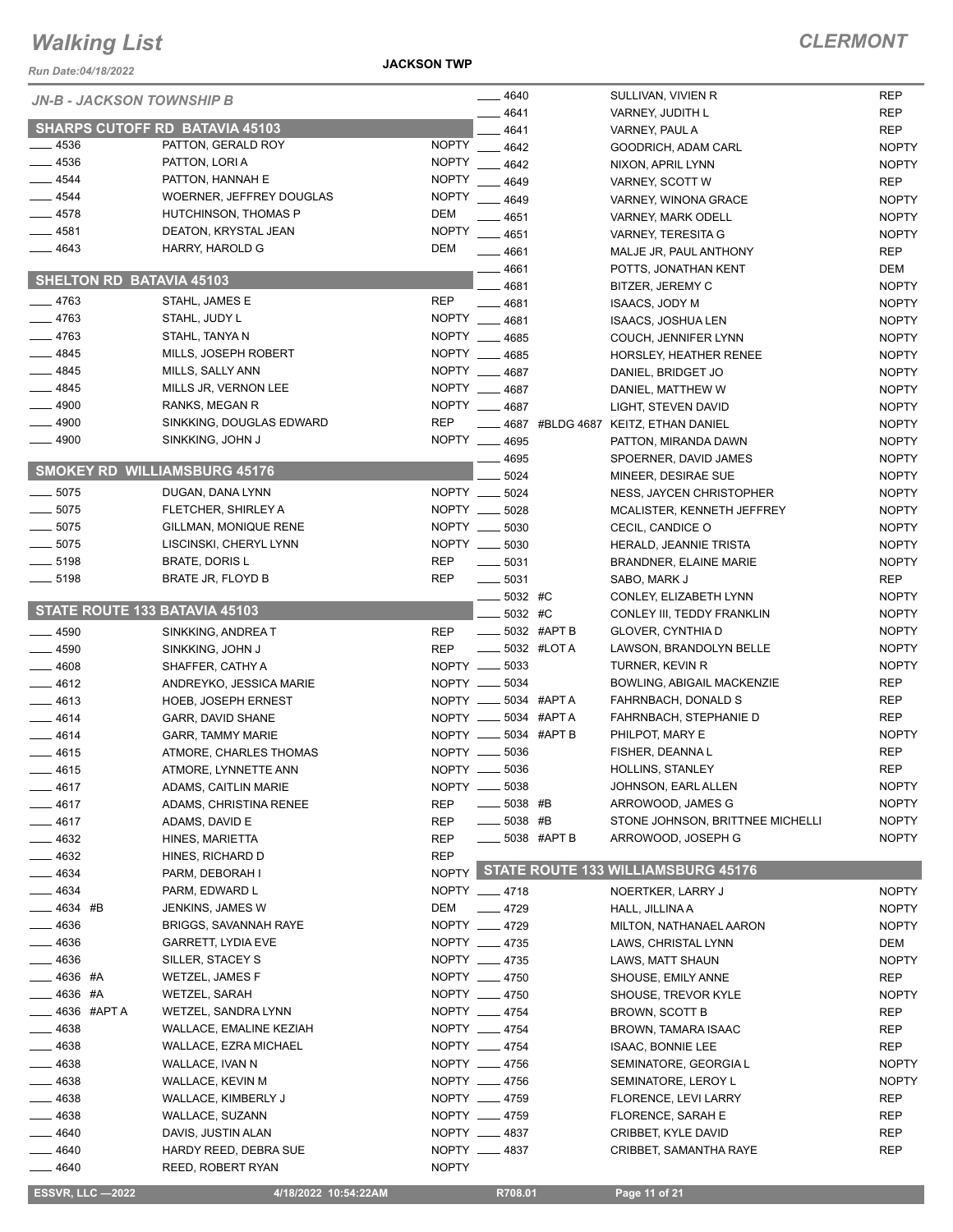**JACKSON TWP**

| Run Date:04/18/2022                 |                                       | <b>JACKSON TWP</b>       |                           |             |                                                        |                              |
|-------------------------------------|---------------------------------------|--------------------------|---------------------------|-------------|--------------------------------------------------------|------------------------------|
| JN-B - JACKSON TOWNSHIP B           |                                       |                          | $-4640$                   |             | SULLIVAN, VIVIEN R                                     | <b>REP</b>                   |
|                                     |                                       |                          | 4641                      |             | VARNEY, JUDITH L                                       | <b>REP</b>                   |
|                                     | <b>SHARPS CUTOFF RD BATAVIA 45103</b> |                          | 4641                      |             | VARNEY, PAUL A                                         | <b>REP</b>                   |
| .4536                               | PATTON, GERALD ROY                    | <b>NOPTY</b>             | 4642                      |             | GOODRICH, ADAM CARL                                    | <b>NOPTY</b>                 |
| $-4536$                             | PATTON, LORI A                        | <b>NOPTY</b>             | 4642                      |             | NIXON, APRIL LYNN                                      | <b>NOPTY</b>                 |
| $-4544$                             | PATTON, HANNAH E                      | <b>NOPTY</b>             | 4649                      |             | VARNEY, SCOTT W                                        | <b>REP</b>                   |
| $-4544$                             | WOERNER, JEFFREY DOUGLAS              | <b>NOPTY</b>             | $-4649$                   |             | VARNEY, WINONA GRACE                                   | <b>NOPTY</b>                 |
| $-4578$                             | HUTCHINSON, THOMAS P                  | <b>DEM</b>               | $-4651$                   |             | <b>VARNEY, MARK ODELL</b>                              | <b>NOPTY</b>                 |
| $-4581$                             | DEATON, KRYSTAL JEAN                  | <b>NOPTY</b>             | 4651                      |             | VARNEY, TERESITA G                                     | <b>NOPTY</b>                 |
| 4643                                | HARRY, HAROLD G                       | <b>DEM</b>               | $-4661$                   |             | MALJE JR, PAUL ANTHONY                                 | <b>REP</b>                   |
| <b>SHELTON RD BATAVIA 45103</b>     |                                       |                          | 4661                      |             | POTTS. JONATHAN KENT                                   | <b>DEM</b>                   |
|                                     |                                       | <b>REP</b>               | 4681                      |             | BITZER, JEREMY C                                       | <b>NOPTY</b>                 |
| $-4763$<br>$-4763$                  | STAHL, JAMES E<br>STAHL, JUDY L       |                          | 4681<br>NOPTY __ 4681     |             | <b>ISAACS, JODY M</b>                                  | <b>NOPTY</b>                 |
| $-4763$                             | STAHL, TANYA N                        |                          | NOPTY 4685                |             | ISAACS, JOSHUA LEN                                     | <b>NOPTY</b>                 |
| $-4845$                             | MILLS, JOSEPH ROBERT                  |                          | NOPTY 4685                |             | COUCH, JENNIFER LYNN                                   | <b>NOPTY</b><br><b>NOPTY</b> |
| $-4845$                             | MILLS, SALLY ANN                      |                          | NOPTY 4687                |             | HORSLEY, HEATHER RENEE<br>DANIEL, BRIDGET JO           | <b>NOPTY</b>                 |
| 4845                                | MILLS JR, VERNON LEE                  |                          | NOPTY __ 4687             |             | DANIEL, MATTHEW W                                      | <b>NOPTY</b>                 |
| 4900                                | RANKS, MEGAN R                        |                          | NOPTY __ 4687             |             | LIGHT, STEVEN DAVID                                    | <b>NOPTY</b>                 |
| .4900                               | SINKKING, DOUGLAS EDWARD              | <b>REP</b>               |                           |             | ___ 4687 #BLDG 4687 KEITZ, ETHAN DANIEL                | <b>NOPTY</b>                 |
| $-4900$                             | SINKKING, JOHN J                      |                          | NOPTY __ 4695             |             | PATTON. MIRANDA DAWN                                   | <b>NOPTY</b>                 |
|                                     |                                       |                          | 4695                      |             | SPOERNER, DAVID JAMES                                  | <b>NOPTY</b>                 |
| <b>SMOKEY RD WILLIAMSBURG 45176</b> |                                       |                          | 5024                      |             | MINEER, DESIRAE SUE                                    | <b>NOPTY</b>                 |
| $\frac{1}{2}$ 5075                  | DUGAN, DANA LYNN                      |                          | NOPTY __ 5024             |             | NESS, JAYCEN CHRISTOPHER                               | <b>NOPTY</b>                 |
| $-5075$                             | FLETCHER, SHIRLEY A                   |                          | NOPTY __ 5028             |             | MCALISTER, KENNETH JEFFREY                             | <b>NOPTY</b>                 |
| $-5075$                             | GILLMAN, MONIQUE RENE                 |                          | NOPTY __ 5030             |             | CECIL, CANDICE O                                       | <b>NOPTY</b>                 |
| $\frac{1}{2}$ 5075                  | LISCINSKI, CHERYL LYNN                |                          | NOPTY __ 5030             |             | HERALD, JEANNIE TRISTA                                 | <b>NOPTY</b>                 |
| $-5198$                             | <b>BRATE, DORIS L</b>                 | <b>REP</b>               | $\frac{1}{2}$ 5031        |             | <b>BRANDNER, ELAINE MARIE</b>                          | <b>NOPTY</b>                 |
| $\frac{1}{2}$ 5198                  | BRATE JR, FLOYD B                     | <b>REP</b>               | $\frac{1}{2}$ 5031        |             | SABO, MARK J                                           | <b>REP</b>                   |
|                                     |                                       |                          | 5032 #C                   |             | CONLEY, ELIZABETH LYNN                                 | <b>NOPTY</b>                 |
| STATE ROUTE 133 BATAVIA 45103       |                                       |                          | 5032 #C                   |             | CONLEY III, TEDDY FRANKLIN                             | <b>NOPTY</b>                 |
| __ 4590                             | SINKKING, ANDREA T                    | REP                      |                           | 5032 #APT B | GLOVER, CYNTHIA D                                      | <b>NOPTY</b>                 |
| .4590                               | SINKKING, JOHN J                      | <b>REP</b>               | $\equiv$ 5032 #LOTA       |             | LAWSON, BRANDOLYN BELLE                                | <b>NOPTY</b>                 |
| 4608                                | SHAFFER, CATHY A                      |                          | NOPTY __ 5033             |             | TURNER, KEVIN R                                        | <b>NOPTY</b>                 |
| $-4612$                             | ANDREYKO, JESSICA MARIE               |                          | NOPTY __ 5034             |             | BOWLING, ABIGAIL MACKENZIE                             | <b>REP</b>                   |
| $-4613$                             | <b>HOEB, JOSEPH ERNEST</b>            |                          | NOPTY __ 5034 #APTA       |             | FAHRNBACH, DONALD S                                    | <b>REP</b>                   |
| $-4614$                             | <b>GARR, DAVID SHANE</b>              |                          | NOPTY __ 5034 #APTA       |             | FAHRNBACH, STEPHANIE D                                 | <b>REP</b>                   |
| $-4614$                             | <b>GARR, TAMMY MARIE</b>              |                          | NOPTY __ 5034 #APT B      |             | PHILPOT, MARY E                                        | <b>NOPTY</b>                 |
| - 4615                              | ATMORE, CHARLES THOMAS                | NOPTY -                  | 5036                      |             | FISHER, DEANNA L                                       | <b>REP</b>                   |
| - 4615                              | ATMORE, LYNNETTE ANN                  |                          | NOPTY __ 5036             |             | HOLLINS, STANLEY                                       | REP                          |
| 4617                                | ADAMS, CAITLIN MARIE                  |                          | NOPTY __ 5038             |             | JOHNSON, EARL ALLEN                                    | <b>NOPTY</b>                 |
| 4617                                | ADAMS, CHRISTINA RENEE                | <b>REP</b>               | 5038 #B                   |             | ARROWOOD, JAMES G                                      | <b>NOPTY</b>                 |
| $-4617$                             | ADAMS, DAVID E                        | <b>REP</b>               | $\frac{1}{2}$ 5038 #B     |             | STONE JOHNSON, BRITTNEE MICHELLI<br>ARROWOOD, JOSEPH G | <b>NOPTY</b><br><b>NOPTY</b> |
| 4632                                | HINES, MARIETTA                       | <b>REP</b><br><b>REP</b> | $\frac{1}{2}$ 5038 #APT B |             |                                                        |                              |
| _ 4632<br>4634                      | HINES, RICHARD D<br>PARM, DEBORAH I   |                          |                           |             | NOPTY STATE ROUTE 133 WILLIAMSBURG 45176               |                              |
| _ 4634                              | PARM, EDWARD L                        |                          | NOPTY 4718                |             | NOERTKER, LARRY J                                      | <b>NOPTY</b>                 |
| — 4634 #B                           | JENKINS, JAMES W                      | DEM                      | $-4729$                   |             | HALL, JILLINA A                                        | <b>NOPTY</b>                 |
| - 4636                              | <b>BRIGGS, SAVANNAH RAYE</b>          |                          | NOPTY __ 4729             |             | MILTON, NATHANAEL AARON                                | <b>NOPTY</b>                 |
| _ 4636                              | <b>GARRETT, LYDIA EVE</b>             |                          | NOPTY __ 4735             |             | LAWS, CHRISTAL LYNN                                    | DEM                          |
| 4636                                | SILLER, STACEY S                      |                          | NOPTY __ 4735             |             | LAWS, MATT SHAUN                                       | <b>NOPTY</b>                 |
| 4636 #A                             | WETZEL, JAMES F                       |                          | NOPTY __ 4750             |             | SHOUSE, EMILY ANNE                                     | REP                          |
| <sub>-</sub> 4636 #A                | WETZEL, SARAH                         |                          | NOPTY __ 4750             |             | SHOUSE, TREVOR KYLE                                    | <b>NOPTY</b>                 |
| .4636 #APTA                         | WETZEL, SANDRA LYNN                   |                          | NOPTY __ 4754             |             | BROWN, SCOTT B                                         | <b>REP</b>                   |
| - 4638                              | WALLACE, EMALINE KEZIAH               |                          | NOPTY __ 4754             |             | BROWN, TAMARA ISAAC                                    | REP                          |
| - 4638                              | WALLACE, EZRA MICHAEL                 |                          | NOPTY __ 4754             |             | <b>ISAAC, BONNIE LEE</b>                               | <b>REP</b>                   |
| 4638                                | WALLACE, IVAN N                       |                          | NOPTY __ 4756             |             | SEMINATORE, GEORGIA L                                  | <b>NOPTY</b>                 |
| 4638                                | WALLACE, KEVIN M                      |                          | NOPTY __ 4756             |             | SEMINATORE, LEROY L                                    | <b>NOPTY</b>                 |
| 4638                                | WALLACE, KIMBERLY J                   |                          | NOPTY __ 4759             |             | FLORENCE, LEVI LARRY                                   | <b>REP</b>                   |
| _ 4638                              | WALLACE, SUZANN                       |                          | NOPTY __ 4759             |             | FLORENCE, SARAH E                                      | REP                          |
| _ 4640                              | DAVIS, JUSTIN ALAN                    |                          | NOPTY __ 4837             |             | CRIBBET, KYLE DAVID                                    | REP                          |
| 4640                                | HARDY REED, DEBRA SUE                 |                          | NOPTY __ 4837             |             | CRIBBET, SAMANTHA RAYE                                 | <b>REP</b>                   |
| 4640                                | <b>REED, ROBERT RYAN</b>              | <b>NOPTY</b>             |                           |             |                                                        |                              |
| <b>ESSVR, LLC -2022</b>             | 4/18/2022 10:54:22AM                  |                          | R708.01                   |             | Page 11 of 21                                          |                              |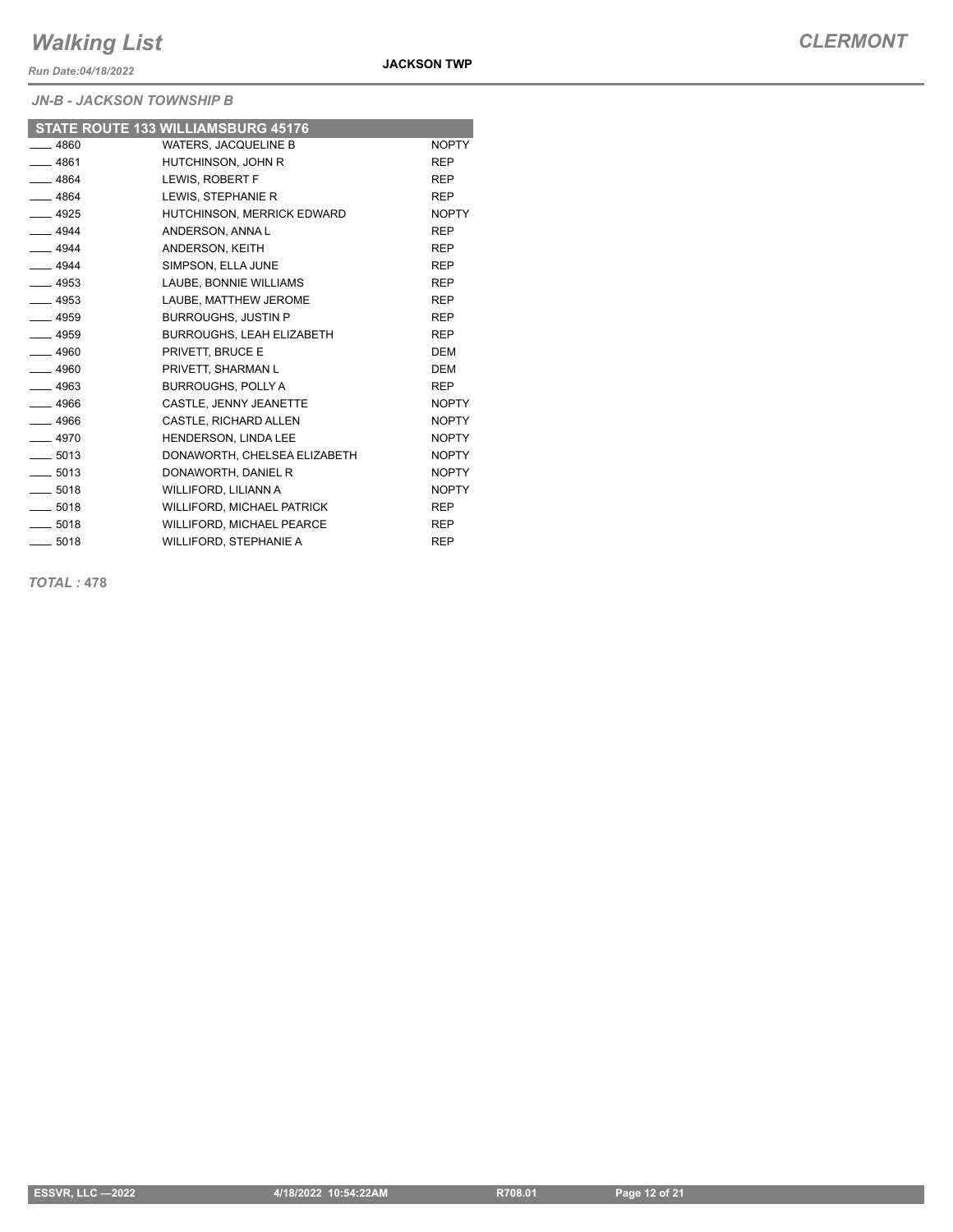*Run Date:04/18/2022*

*JN-B - JACKSON TOWNSHIP B*

|         | STATE ROUTE 133 WILLIAMSBURG 45176 |              |
|---------|------------------------------------|--------------|
| $-4860$ | <b>WATERS, JACQUELINE B</b>        | <b>NOPTY</b> |
| $-4861$ | HUTCHINSON, JOHN R                 | <b>REP</b>   |
| $-4864$ | LEWIS, ROBERT F                    | <b>REP</b>   |
| $-4864$ | LEWIS, STEPHANIE R                 | <b>REP</b>   |
| $-4925$ | HUTCHINSON, MERRICK EDWARD         | <b>NOPTY</b> |
| $-4944$ | ANDERSON, ANNA L                   | <b>REP</b>   |
| $-4944$ | ANDERSON, KEITH                    | <b>REP</b>   |
| $-4944$ | SIMPSON, ELLA JUNE                 | <b>REP</b>   |
| $-4953$ | LAUBE, BONNIE WILLIAMS             | <b>REP</b>   |
| $-4953$ | LAUBE, MATTHEW JEROME              | <b>REP</b>   |
| $-4959$ | <b>BURROUGHS, JUSTIN P</b>         | <b>REP</b>   |
| $-4959$ | BURROUGHS, LEAH ELIZABETH          | <b>REP</b>   |
| $-4960$ | PRIVETT, BRUCE E                   | <b>DEM</b>   |
| $-4960$ | PRIVETT, SHARMAN L                 | <b>DEM</b>   |
| $-4963$ | <b>BURROUGHS, POLLY A</b>          | <b>REP</b>   |
| $-4966$ | CASTLE, JENNY JEANETTE             | <b>NOPTY</b> |
| $-4966$ | <b>CASTLE, RICHARD ALLEN</b>       | <b>NOPTY</b> |
| $-4970$ | HENDERSON, LINDA LEE               | <b>NOPTY</b> |
| $-5013$ | DONAWORTH, CHELSEA ELIZABETH       | <b>NOPTY</b> |
| $-5013$ | DONAWORTH, DANIEL R                | <b>NOPTY</b> |
| $-5018$ | WILLIFORD, LILIANN A               | <b>NOPTY</b> |
| $-5018$ | <b>WILLIFORD, MICHAEL PATRICK</b>  | <b>REP</b>   |
| $-5018$ | WILLIFORD, MICHAEL PEARCE          | <b>REP</b>   |
| $-5018$ | WILLIFORD, STEPHANIE A             | <b>REP</b>   |

*TOTAL :* **478**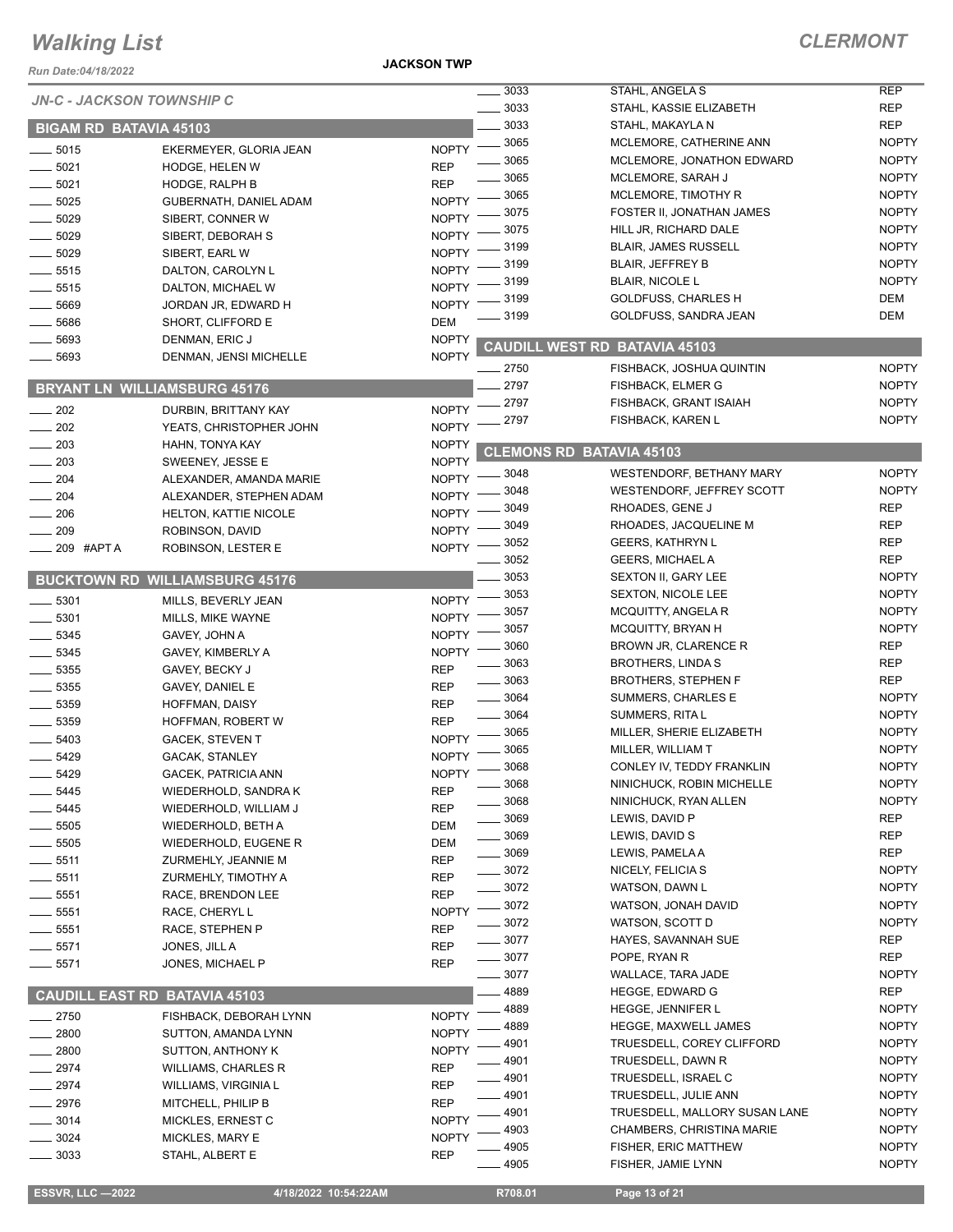*Run Date:04/18/2022*

**JACKSON TWP**

## *CLERMONT*

| <b>JN-C - JACKSON TOWNSHIP C</b> |                                       |              | $\frac{1}{2}$ 3033 | STAHL, ANGELA S                      | <b>REP</b>   |
|----------------------------------|---------------------------------------|--------------|--------------------|--------------------------------------|--------------|
|                                  |                                       |              | 3033               | STAHL, KASSIE ELIZABETH              | <b>REP</b>   |
| <b>BIGAM RD BATAVIA 45103</b>    |                                       |              | 3033               | STAHL, MAKAYLA N                     | <b>REP</b>   |
| $- 5015$                         | EKERMEYER, GLORIA JEAN                | <b>NOPTY</b> | 3065               | MCLEMORE, CATHERINE ANN              | <b>NOPTY</b> |
| .5021                            | HODGE, HELEN W                        | <b>REP</b>   | 3065               | MCLEMORE, JONATHON EDWARD            | <b>NOPTY</b> |
| $-5021$                          | HODGE, RALPH B                        | <b>REP</b>   | 3065               | MCLEMORE, SARAH J                    | <b>NOPTY</b> |
| 5025                             | GUBERNATH, DANIEL ADAM                | <b>NOPTY</b> | 3065               | MCLEMORE, TIMOTHY R                  | <b>NOPTY</b> |
| 5029                             | SIBERT, CONNER W                      | <b>NOPTY</b> | 3075               | FOSTER II, JONATHAN JAMES            | <b>NOPTY</b> |
| 5029                             |                                       | <b>NOPTY</b> | 3075               | HILL JR, RICHARD DALE                | <b>NOPTY</b> |
|                                  | SIBERT, DEBORAH S                     |              | 3199               | <b>BLAIR, JAMES RUSSELL</b>          | <b>NOPTY</b> |
| 5029                             | SIBERT, EARL W                        | <b>NOPTY</b> | 3199               | <b>BLAIR, JEFFREY B</b>              | <b>NOPTY</b> |
| 5515                             | DALTON, CAROLYN L                     | <b>NOPTY</b> | 3199               | <b>BLAIR, NICOLE L</b>               | <b>NOPTY</b> |
| 5515                             | DALTON, MICHAEL W                     | <b>NOPTY</b> | 3199               | <b>GOLDFUSS, CHARLES H</b>           | DEM          |
| 5669                             | JORDAN JR, EDWARD H                   | <b>NOPTY</b> | 3199               | GOLDFUSS, SANDRA JEAN                | DEM          |
| 5686                             | SHORT, CLIFFORD E                     | <b>DEM</b>   |                    |                                      |              |
| 5693                             | DENMAN, ERIC J                        | <b>NOPTY</b> |                    | <b>CAUDILL WEST RD BATAVIA 45103</b> |              |
| 5693                             | DENMAN, JENSI MICHELLE                | <b>NOPTY</b> | $-2750$            | FISHBACK, JOSHUA QUINTIN             | <b>NOPTY</b> |
|                                  |                                       |              | 2797               | <b>FISHBACK, ELMER G</b>             | <b>NOPTY</b> |
| <b>BRYANT LN</b>                 | <b>WILLIAMSBURG 45176</b>             |              |                    |                                      |              |
| $-202$                           | <b>DURBIN, BRITTANY KAY</b>           | <b>NOPTY</b> | 2797               | FISHBACK, GRANT ISAIAH               | <b>NOPTY</b> |
| 202                              | YEATS, CHRISTOPHER JOHN               | <b>NOPTY</b> | 2797               | <b>FISHBACK, KAREN L</b>             | <b>NOPTY</b> |
| 203                              | HAHN, TONYA KAY                       | <b>NOPTY</b> |                    | <b>CLEMONS RD BATAVIA 45103</b>      |              |
| 203                              | SWEENEY, JESSE E                      | <b>NOPTY</b> |                    |                                      |              |
| 204                              | ALEXANDER, AMANDA MARIE               | <b>NOPTY</b> | 3048               | <b>WESTENDORF, BETHANY MARY</b>      | <b>NOPTY</b> |
| 204                              | ALEXANDER, STEPHEN ADAM               | <b>NOPTY</b> | 3048               | WESTENDORF, JEFFREY SCOTT            | <b>NOPTY</b> |
| 206                              | HELTON, KATTIE NICOLE                 | <b>NOPTY</b> | 3049               | RHOADES, GENE J                      | <b>REP</b>   |
| 209                              | ROBINSON, DAVID                       | <b>NOPTY</b> | 3049               | RHOADES, JACQUELINE M                | <b>REP</b>   |
| 209 #APT A                       | ROBINSON, LESTER E                    | <b>NOPTY</b> | 3052               | <b>GEERS, KATHRYN L</b>              | <b>REP</b>   |
|                                  |                                       |              | 3052               | <b>GEERS, MICHAEL A</b>              | <b>REP</b>   |
|                                  | <b>BUCKTOWN RD WILLIAMSBURG 45176</b> |              | 3053               | SEXTON II, GARY LEE                  | <b>NOPTY</b> |
| 5301                             |                                       | <b>NOPTY</b> | 3053               | <b>SEXTON, NICOLE LEE</b>            | <b>NOPTY</b> |
|                                  | MILLS, BEVERLY JEAN                   |              | 3057               | <b>MCQUITTY, ANGELA R</b>            | <b>NOPTY</b> |
| $-5301$                          | MILLS, MIKE WAYNE                     | <b>NOPTY</b> | 3057               | MCQUITTY, BRYAN H                    | <b>NOPTY</b> |
| 5345                             | GAVEY, JOHN A                         | <b>NOPTY</b> | 3060               | BROWN JR, CLARENCE R                 | <b>REP</b>   |
| $-5345$                          | GAVEY, KIMBERLY A                     | <b>NOPTY</b> | 3063               | <b>BROTHERS, LINDAS</b>              | <b>REP</b>   |
| $-5355$                          | GAVEY, BECKY J                        | <b>REP</b>   | 3063               | <b>BROTHERS, STEPHEN F</b>           | <b>REP</b>   |
| $-5355$                          | GAVEY, DANIEL E                       | <b>REP</b>   | 3064               | SUMMERS, CHARLES E                   | <b>NOPTY</b> |
| 5359                             | <b>HOFFMAN, DAISY</b>                 | <b>REP</b>   | 3064               | SUMMERS, RITA L                      | <b>NOPTY</b> |
| 5359                             | HOFFMAN, ROBERT W                     | <b>REP</b>   | 3065               | MILLER, SHERIE ELIZABETH             | <b>NOPTY</b> |
| 5403                             | <b>GACEK, STEVEN T</b>                | <b>NOPTY</b> | 3065               |                                      | <b>NOPTY</b> |
| 5429                             | GACAK, STANLEY                        | <b>NOPTY</b> |                    | MILLER, WILLIAM T                    |              |
| $-5429$                          | GACEK, PATRICIA ANN                   | <b>NOPTY</b> | 3068               | CONLEY IV, TEDDY FRANKLIN            | <b>NOPTY</b> |
| _ 5445                           | WIEDERHOLD, SANDRA K                  | <b>REP</b>   | 3068               | NINICHUCK, ROBIN MICHELLE            | <b>NOPTY</b> |
| $-5445$                          | WIEDERHOLD, WILLIAM J                 | <b>REP</b>   | 3068               | NINICHUCK, RYAN ALLEN                | <b>NOPTY</b> |
| $-5505$                          | WIEDERHOLD, BETH A                    | DEM          | 3069               | LEWIS, DAVID P                       | <b>REP</b>   |
| 5505                             | WIEDERHOLD, EUGENE R                  | DEM          | 3069               | LEWIS, DAVID S                       | <b>REP</b>   |
| 5511                             | ZURMEHLY, JEANNIE M                   | REP          | _ 3069             | LEWIS, PAMELA A                      | <b>REP</b>   |
| 5511                             | ZURMEHLY, TIMOTHY A                   | <b>REP</b>   | $-3072$            | NICELY, FELICIA S                    | <b>NOPTY</b> |
| 5551                             | RACE, BRENDON LEE                     | <b>REP</b>   | $=3072$            | WATSON, DAWN L                       | <b>NOPTY</b> |
| 5551                             | RACE, CHERYL L                        | <b>NOPTY</b> | $-3072$            | WATSON, JONAH DAVID                  | <b>NOPTY</b> |
| 5551                             | RACE, STEPHEN P                       | <b>REP</b>   | . 3072             | WATSON, SCOTT D                      | <b>NOPTY</b> |
| 5571                             |                                       | <b>REP</b>   | $=3077$            | HAYES, SAVANNAH SUE                  | <b>REP</b>   |
|                                  | JONES, JILL A                         |              | $-3077$            | POPE, RYAN R                         | <b>REP</b>   |
| $-5571$                          | JONES, MICHAEL P                      | <b>REP</b>   | _ 3077             | WALLACE, TARA JADE                   | <b>NOPTY</b> |
|                                  |                                       |              | 4889               | <b>HEGGE, EDWARD G</b>               | <b>REP</b>   |
| <b>CAUDILI</b>                   | <b>EAST RD BATAVIA 45103</b>          |              | 4889               | HEGGE, JENNIFER L                    | <b>NOPTY</b> |
| $-2750$                          | FISHBACK, DEBORAH LYNN                | <b>NOPTY</b> | 4889               | <b>HEGGE, MAXWELL JAMES</b>          | <b>NOPTY</b> |
| $-2800$                          | SUTTON, AMANDA LYNN                   | <b>NOPTY</b> | 4901               | TRUESDELL, COREY CLIFFORD            | <b>NOPTY</b> |
| $=2800$                          | SUTTON, ANTHONY K                     | <b>NOPTY</b> | 4901               |                                      | <b>NOPTY</b> |
| _ 2974                           | <b>WILLIAMS, CHARLES R</b>            | <b>REP</b>   |                    | TRUESDELL, DAWN R                    |              |
| 2974                             | WILLIAMS, VIRGINIA L                  | <b>REP</b>   | _ 4901             | TRUESDELL, ISRAEL C                  | <b>NOPTY</b> |
| 2976                             | MITCHELL, PHILIP B                    | <b>REP</b>   | $-4901$            | TRUESDELL, JULIE ANN                 | <b>NOPTY</b> |
| 3014                             | MICKLES, ERNEST C                     | <b>NOPTY</b> | 4901               | TRUESDELL, MALLORY SUSAN LANE        | <b>NOPTY</b> |
| 3024                             | MICKLES, MARY E                       | <b>NOPTY</b> | 4903               | CHAMBERS, CHRISTINA MARIE            | <b>NOPTY</b> |
| 3033                             | STAHL, ALBERT E                       | <b>REP</b>   | 4905               | FISHER, ERIC MATTHEW                 | <b>NOPTY</b> |
|                                  |                                       |              | $-4905$            | FISHER, JAMIE LYNN                   | <b>NOPTY</b> |
|                                  |                                       |              |                    |                                      |              |

**ESSVR, LLC —2022 4/18/2022 10:54:22AM** R708.01 **Page 13 of 21**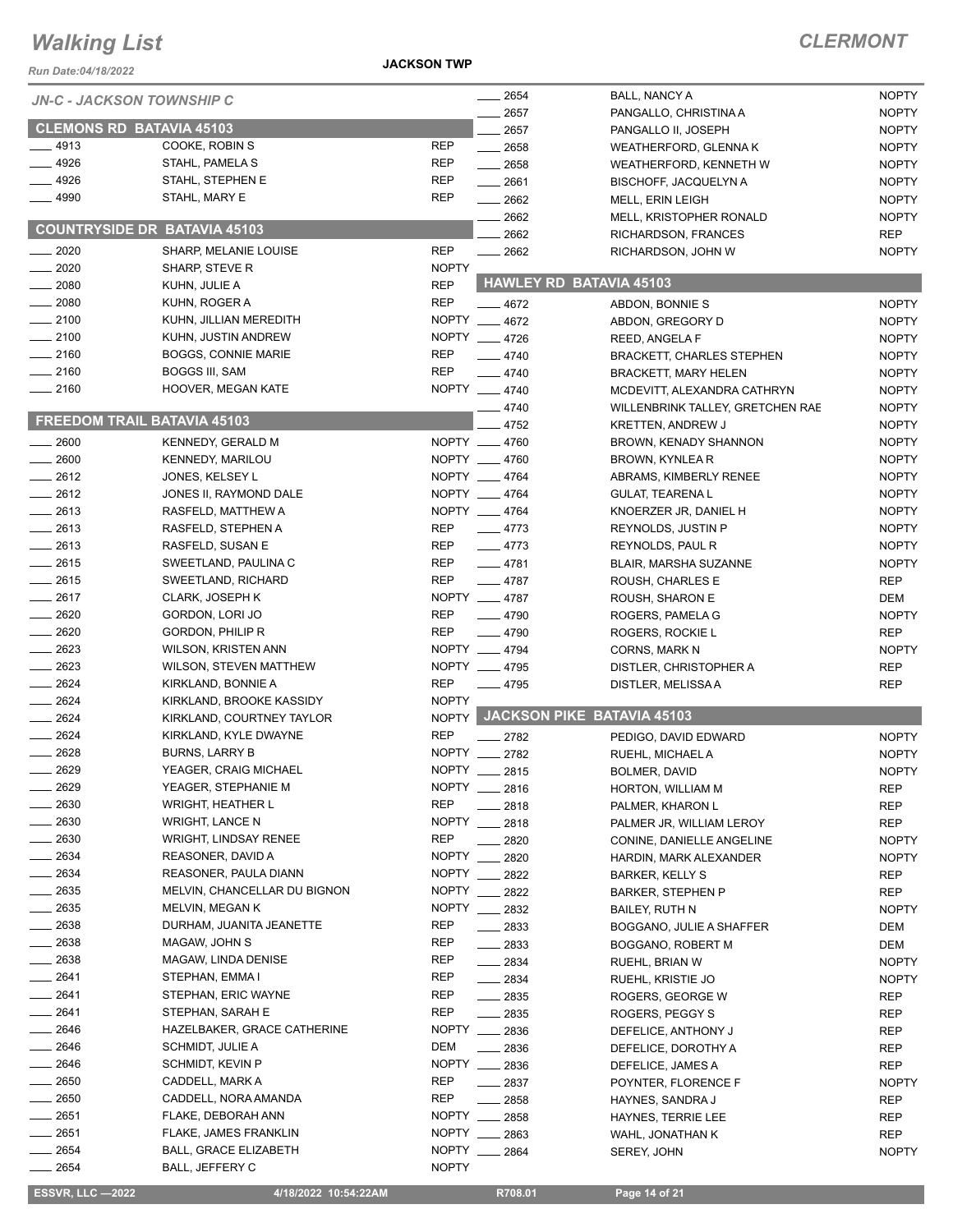*Run Date:04/18/2022*

**JACKSON TWP**

| <b>JN-C - JACKSON TOWNSHIP C</b>    |                               |              | $- 2654$           | <b>BALL, NANCY A</b>             | <b>NOPTY</b> |
|-------------------------------------|-------------------------------|--------------|--------------------|----------------------------------|--------------|
|                                     |                               |              | 2657               | PANGALLO, CHRISTINA A            | <b>NOPTY</b> |
| <b>CLEMONS RD BATAVIA 45103</b>     |                               |              | 2657               | PANGALLO II, JOSEPH              | <b>NOPTY</b> |
| $-4913$                             | COOKE, ROBIN S                | <b>REP</b>   | $\frac{1}{2658}$   | WEATHERFORD, GLENNA K            | <b>NOPTY</b> |
| .4926                               | STAHL, PAMELA S               | <b>REP</b>   | $-2658$            | WEATHERFORD, KENNETH W           | <b>NOPTY</b> |
| 4926                                | STAHL, STEPHEN E              | <b>REP</b>   | $-2661$            | <b>BISCHOFF, JACQUELYN A</b>     | <b>NOPTY</b> |
| 4990                                | STAHL, MARY E                 | <b>REP</b>   | 2662               | MELL, ERIN LEIGH                 | <b>NOPTY</b> |
|                                     |                               |              | 2662               | MELL, KRISTOPHER RONALD          | <b>NOPTY</b> |
| <b>COUNTRYSIDE DR BATAVIA 45103</b> |                               |              | 2662               | RICHARDSON, FRANCES              | <b>REP</b>   |
| 2020                                | SHARP, MELANIE LOUISE         | <b>REP</b>   | $-2662$            | RICHARDSON, JOHN W               | <b>NOPTY</b> |
| $-2020$                             | SHARP, STEVE R                | <b>NOPTY</b> |                    |                                  |              |
| $-2080$                             | KUHN, JULIE A                 | <b>REP</b>   |                    | <b>HAWLEY RD BATAVIA 45103</b>   |              |
| $-2080$                             | KUHN, ROGER A                 | <b>REP</b>   | $-4672$            | ABDON, BONNIE S                  | <b>NOPTY</b> |
| $-2100$                             | KUHN, JILLIAN MEREDITH        |              | NOPTY __ 4672      | ABDON, GREGORY D                 | <b>NOPTY</b> |
| $-2100$                             | KUHN, JUSTIN ANDREW           |              | NOPTY __ 4726      | REED, ANGELA F                   | <b>NOPTY</b> |
| $-2160$                             | <b>BOGGS, CONNIE MARIE</b>    | <b>REP</b>   | $-4740$            | <b>BRACKETT, CHARLES STEPHEN</b> | <b>NOPTY</b> |
| $-2160$                             | <b>BOGGS III, SAM</b>         | <b>REP</b>   | $-4740$            | <b>BRACKETT, MARY HELEN</b>      | <b>NOPTY</b> |
| $-2160$                             | HOOVER, MEGAN KATE            |              | NOPTY __ 4740      | MCDEVITT, ALEXANDRA CATHRYN      | <b>NOPTY</b> |
|                                     |                               |              | 4740               | WILLENBRINK TALLEY, GRETCHEN RAE | <b>NOPTY</b> |
| <b>FREEDOM TRAIL BATAVIA 45103</b>  |                               |              | 4752               | <b>KRETTEN, ANDREW J</b>         | <b>NOPTY</b> |
| 2600                                | KENNEDY, GERALD M             |              | NOPTY __ 4760      |                                  |              |
|                                     |                               |              | NOPTY __ 4760      | BROWN, KENADY SHANNON            | <b>NOPTY</b> |
| 2600                                | KENNEDY, MARILOU              |              |                    | <b>BROWN, KYNLEA R</b>           | <b>NOPTY</b> |
| $-2612$                             | JONES, KELSEY L               |              | NOPTY __ 4764      | ABRAMS, KIMBERLY RENEE           | <b>NOPTY</b> |
| $-2612$                             | JONES II, RAYMOND DALE        |              | NOPTY __ 4764      | <b>GULAT, TEARENAL</b>           | <b>NOPTY</b> |
| 2613                                | RASFELD, MATTHEW A            |              | NOPTY __ 4764      | KNOERZER JR, DANIEL H            | <b>NOPTY</b> |
| 2613                                | RASFELD, STEPHEN A            | <b>REP</b>   | $-4773$            | REYNOLDS, JUSTIN P               | <b>NOPTY</b> |
| $-2613$                             | RASFELD, SUSAN E              | <b>REP</b>   | $-4773$            | REYNOLDS, PAUL R                 | <b>NOPTY</b> |
| $-2615$                             | SWEETLAND, PAULINA C          | <b>REP</b>   | $-4781$            | BLAIR, MARSHA SUZANNE            | <b>NOPTY</b> |
| $-2615$                             | SWEETLAND, RICHARD            | <b>REP</b>   | $-4787$            | ROUSH, CHARLES E                 | <b>REP</b>   |
| $-2617$                             | CLARK, JOSEPH K               |              | NOPTY __ 4787      | ROUSH, SHARON E                  | DEM          |
| 2620                                | GORDON, LORI JO               | <b>REP</b>   | $-4790$            | ROGERS, PAMELA G                 | <b>NOPTY</b> |
| 2620                                | GORDON, PHILIP R              | <b>REP</b>   | $-4790$            | ROGERS, ROCKIE L                 | <b>REP</b>   |
| 2623                                | <b>WILSON, KRISTEN ANN</b>    |              | NOPTY __ 4794      | <b>CORNS, MARK N</b>             | <b>NOPTY</b> |
| 2623                                | <b>WILSON, STEVEN MATTHEW</b> |              | NOPTY __ 4795      | DISTLER, CHRISTOPHER A           | <b>REP</b>   |
| 2624                                | KIRKLAND, BONNIE A            | <b>REP</b>   | $-4795$            | DISTLER, MELISSA A               | <b>REP</b>   |
| 2624                                | KIRKLAND, BROOKE KASSIDY      | <b>NOPTY</b> |                    |                                  |              |
| $-2624$                             | KIRKLAND, COURTNEY TAYLOR     |              |                    | NOPTY JACKSON PIKE BATAVIA 45103 |              |
| 2624                                | KIRKLAND, KYLE DWAYNE         | <b>REP</b>   | $-2782$            | PEDIGO, DAVID EDWARD             | <b>NOPTY</b> |
| 2628                                | <b>BURNS, LARRY B</b>         |              | NOPTY __ 2782      | RUEHL, MICHAEL A                 | <b>NOPTY</b> |
| 2629                                | YEAGER, CRAIG MICHAEL         | <b>NOPTY</b> | 2815               | BOLMER, DAVID                    | <b>NOPTY</b> |
| 2629                                | YEAGER, STEPHANIE M           |              | NOPTY __ 2816      | HORTON, WILLIAM M                | <b>REP</b>   |
| 2630                                | <b>WRIGHT, HEATHER L</b>      | <b>REP</b>   | 2818               | PALMER, KHARON L                 | REP          |
| 2630                                | <b>WRIGHT, LANCE N</b>        | <b>NOPTY</b> | $-2818$            | PALMER JR, WILLIAM LEROY         | <b>REP</b>   |
| 2630                                | <b>WRIGHT, LINDSAY RENEE</b>  | <b>REP</b>   | 2820               | CONINE, DANIELLE ANGELINE        | <b>NOPTY</b> |
| 2634                                | REASONER, DAVID A             | <b>NOPTY</b> | 2820               | HARDIN, MARK ALEXANDER           | <b>NOPTY</b> |
| 2634                                | REASONER, PAULA DIANN         | NOPTY ___    | 2822               | <b>BARKER, KELLY S</b>           | REP          |
| $-2635$                             | MELVIN, CHANCELLAR DU BIGNON  | <b>NOPTY</b> | 2822               |                                  |              |
| $-2635$                             | MELVIN, MEGAN K               |              | NOPTY __ 2832      | <b>BARKER, STEPHEN P</b>         | REP          |
|                                     | DURHAM, JUANITA JEANETTE      |              |                    | <b>BAILEY, RUTH N</b>            | <b>NOPTY</b> |
| _ 2638                              |                               | <b>REP</b>   | $-2833$            | BOGGANO, JULIE A SHAFFER         | DEM          |
| $-2638$                             | MAGAW, JOHN S                 | REP          | $\frac{1}{2833}$   | BOGGANO, ROBERT M                | DEM          |
| 2638                                | MAGAW, LINDA DENISE           | REP          | $-2834$            | RUEHL, BRIAN W                   | <b>NOPTY</b> |
| 2641                                | STEPHAN, EMMA I               | REP          | $\frac{2834}{200}$ | RUEHL, KRISTIE JO                | <b>NOPTY</b> |
| 2641                                | STEPHAN, ERIC WAYNE           | <b>REP</b>   | $\frac{1}{2835}$   | ROGERS, GEORGE W                 | REP          |
| 2641                                | STEPHAN, SARAH E              | REP          | 2835               | ROGERS, PEGGY S                  | REP          |
| 2646                                | HAZELBAKER, GRACE CATHERINE   | <b>NOPTY</b> | $\frac{1}{2836}$   | DEFELICE, ANTHONY J              | REP          |
| 2646                                | SCHMIDT, JULIE A              | <b>DEM</b>   | $-2836$            | DEFELICE, DOROTHY A              | REP          |
| 2646                                | SCHMIDT, KEVIN P              |              | NOPTY __ 2836      | DEFELICE, JAMES A                | <b>REP</b>   |
| 2650                                | CADDELL, MARK A               | REP          | $-2837$            | POYNTER, FLORENCE F              | <b>NOPTY</b> |
| 2650                                | CADDELL, NORA AMANDA          | REP          | 2858               | HAYNES, SANDRA J                 | REP          |
| $\frac{1}{2651}$                    | FLAKE, DEBORAH ANN            |              | NOPTY 2858         | HAYNES, TERRIE LEE               | REP          |
| 2651                                | FLAKE, JAMES FRANKLIN         |              | NOPTY __ 2863      | WAHL, JONATHAN K                 | <b>REP</b>   |
| $-2654$                             | <b>BALL, GRACE ELIZABETH</b>  | NOPTY __     | 2864               | SEREY, JOHN                      | <b>NOPTY</b> |
| 2654                                | BALL, JEFFERY C               | <b>NOPTY</b> |                    |                                  |              |
|                                     |                               |              |                    |                                  |              |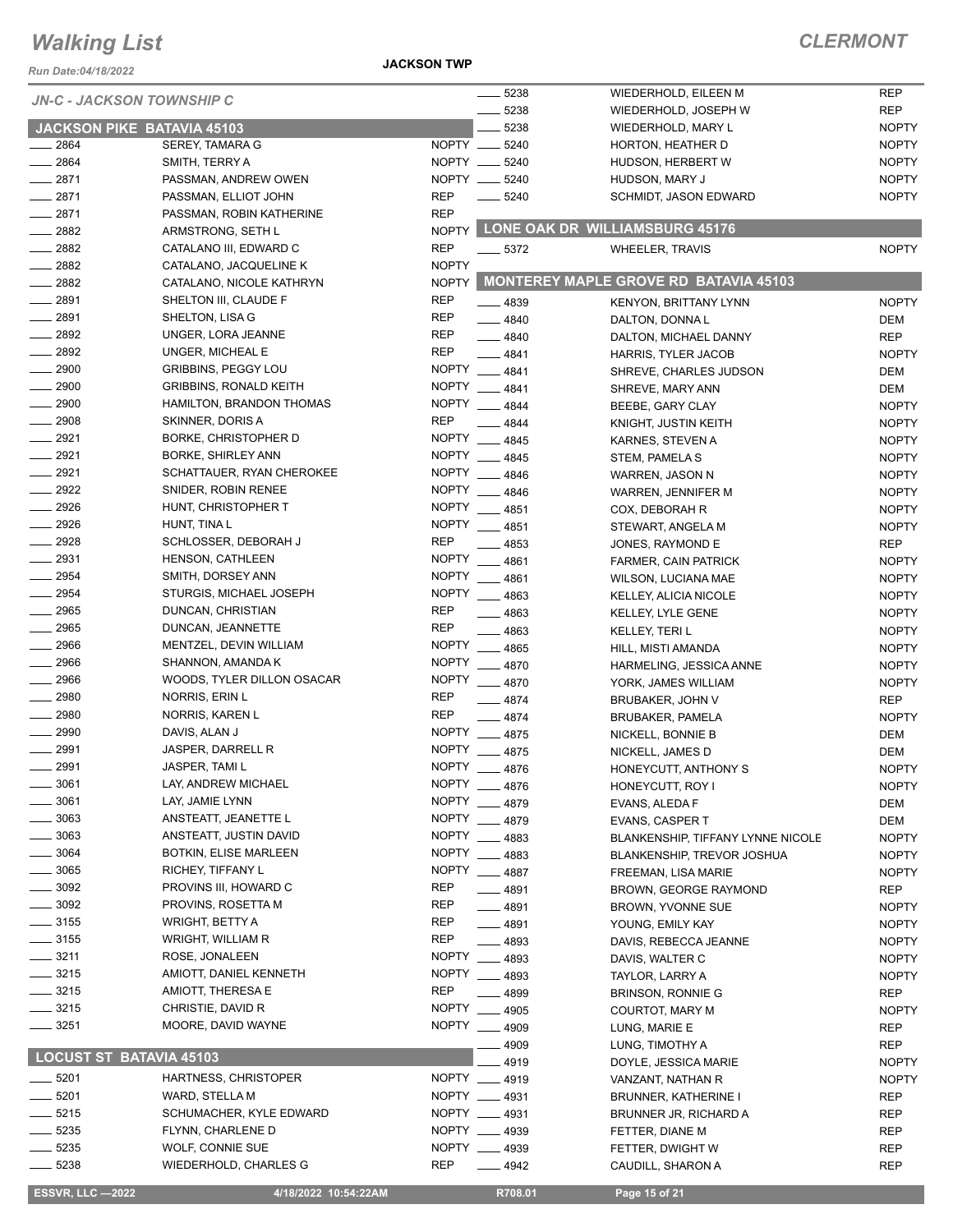*Run Date:04/18/2022*

**JACKSON TWP**

| <i>NUIT Date.v+/T0/L024</i>      |                                              |                            |                       |                                          |                          |
|----------------------------------|----------------------------------------------|----------------------------|-----------------------|------------------------------------------|--------------------------|
| <b>JN-C - JACKSON TOWNSHIP C</b> |                                              |                            | 5238                  | WIEDERHOLD, EILEEN M                     | <b>REP</b>               |
|                                  |                                              |                            | 5238                  | WIEDERHOLD, JOSEPH W                     | <b>REP</b>               |
|                                  | <b>JACKSON PIKE BATAVIA 45103</b>            |                            | 5238                  | WIEDERHOLD, MARY L                       | <b>NOPTY</b>             |
| 2864                             | SEREY, TAMARA G                              |                            | NOPTY __ 5240         | HORTON, HEATHER D                        | <b>NOPTY</b>             |
| $- 2864$                         | SMITH, TERRY A                               |                            | NOPTY __ 5240         | HUDSON, HERBERT W                        | <b>NOPTY</b>             |
| 2871                             | PASSMAN, ANDREW OWEN                         |                            | NOPTY __ 5240         | HUDSON, MARY J                           | <b>NOPTY</b>             |
| $-2871$                          | PASSMAN, ELLIOT JOHN                         | <b>REP</b>                 | 5240                  | SCHMIDT, JASON EDWARD                    | <b>NOPTY</b>             |
| 2871<br>$-2882$                  | PASSMAN, ROBIN KATHERINE                     | <b>REP</b><br><b>NOPTY</b> |                       | LONE OAK DR WILLIAMSBURG 45176           |                          |
| 2882                             | ARMSTRONG, SETH L<br>CATALANO III, EDWARD C  | <b>REP</b>                 |                       |                                          |                          |
| 2882                             | CATALANO, JACQUELINE K                       | <b>NOPTY</b>               | $-5372$               | <b>WHEELER, TRAVIS</b>                   | <b>NOPTY</b>             |
| $-2882$                          | CATALANO, NICOLE KATHRYN                     | <b>NOPTY</b>               |                       | MONTEREY MAPLE GROVE RD BATAVIA 45103    |                          |
| 2891                             | SHELTON III, CLAUDE F                        | <b>REP</b>                 | $-4839$               |                                          | <b>NOPTY</b>             |
| $\frac{1}{2891}$                 | SHELTON, LISA G                              | <b>REP</b>                 | $-4840$               | <b>KENYON, BRITTANY LYNN</b>             | DEM                      |
| $\frac{1}{2892}$                 | UNGER, LORA JEANNE                           | <b>REP</b>                 | $-4840$               | DALTON, DONNAL<br>DALTON, MICHAEL DANNY  | <b>REP</b>               |
| 2892                             | UNGER, MICHEAL E                             | <b>REP</b>                 | 4841                  | HARRIS, TYLER JACOB                      | <b>NOPTY</b>             |
| $- 2900$                         | <b>GRIBBINS, PEGGY LOU</b>                   | <b>NOPTY</b>               | 4841                  | SHREVE, CHARLES JUDSON                   | DEM                      |
| 2900                             | <b>GRIBBINS, RONALD KEITH</b>                | <b>NOPTY</b>               | 4841                  | SHREVE, MARY ANN                         | DEM                      |
| 2900                             | HAMILTON, BRANDON THOMAS                     | <b>NOPTY</b>               | 4844                  | BEEBE, GARY CLAY                         | <b>NOPTY</b>             |
| $- 2908$                         | SKINNER, DORIS A                             | <b>REP</b>                 | 4844                  | KNIGHT, JUSTIN KEITH                     | <b>NOPTY</b>             |
| 2921                             | BORKE, CHRISTOPHER D                         | <b>NOPTY</b>               | 4845                  | KARNES, STEVEN A                         | <b>NOPTY</b>             |
| $-2921$                          | <b>BORKE, SHIRLEY ANN</b>                    | <b>NOPTY</b>               | 4845                  | STEM, PAMELA S                           | <b>NOPTY</b>             |
| 2921                             | SCHATTAUER, RYAN CHEROKEE                    | <b>NOPTY</b>               | 4846                  | WARREN, JASON N                          | <b>NOPTY</b>             |
| $-2922$                          | SNIDER, ROBIN RENEE                          | <b>NOPTY</b>               | 4846                  | WARREN, JENNIFER M                       | <b>NOPTY</b>             |
| $-2926$                          | HUNT, CHRISTOPHER T                          | NOPTY __                   | 4851                  | COX, DEBORAH R                           | <b>NOPTY</b>             |
| 2926                             | HUNT, TINA L                                 | NOPTY __                   | 4851                  | STEWART, ANGELA M                        | <b>NOPTY</b>             |
| 2928                             | SCHLOSSER, DEBORAH J                         | <b>REP</b>                 | $-4853$               | JONES, RAYMOND E                         | <b>REP</b>               |
| $-2931$                          | HENSON, CATHLEEN                             |                            | NOPTY __ 4861         | FARMER, CAIN PATRICK                     | <b>NOPTY</b>             |
| 2954                             | SMITH, DORSEY ANN                            | <b>NOPTY</b>               | 4861                  | <b>WILSON, LUCIANA MAE</b>               | <b>NOPTY</b>             |
| 2954                             | STURGIS, MICHAEL JOSEPH                      | <b>NOPTY</b>               | 4863                  | KELLEY, ALICIA NICOLE                    | <b>NOPTY</b>             |
| 2965                             | DUNCAN, CHRISTIAN                            | <b>REP</b>                 | 4863                  | <b>KELLEY, LYLE GENE</b>                 | <b>NOPTY</b>             |
| 2965                             | DUNCAN, JEANNETTE                            | <b>REP</b>                 | $-4863$               | KELLEY, TERI L                           | <b>NOPTY</b>             |
| 2966                             | MENTZEL, DEVIN WILLIAM                       | <b>NOPTY</b>               | 4865                  | HILL, MISTI AMANDA                       | <b>NOPTY</b>             |
| 2966                             | SHANNON, AMANDA K                            | <b>NOPTY</b>               | $-4870$               | HARMELING, JESSICA ANNE                  | <b>NOPTY</b>             |
| 2966                             | WOODS, TYLER DILLON OSACAR                   | <b>NOPTY</b>               | 4870                  | YORK, JAMES WILLIAM                      | <b>NOPTY</b>             |
| 2980                             | NORRIS, ERIN L                               | <b>REP</b>                 | 4874                  | BRUBAKER, JOHN V                         | <b>REP</b>               |
| 2980                             | NORRIS, KAREN L                              | <b>REP</b>                 | 4874                  | BRUBAKER, PAMELA                         | <b>NOPTY</b>             |
| 2990                             | DAVIS, ALAN J                                | NOPTY __                   | 4875                  | NICKELL, BONNIE B                        | DEM                      |
| 2991                             | JASPER, DARRELL R                            | <b>NOPTY</b>               | 4875                  | NICKELL, JAMES D                         | DEM                      |
| 2991                             | JASPER, TAMI L                               | <b>NOPTY</b>               | 4876                  | HONEYCUTT, ANTHONY S                     | <b>NOPTY</b>             |
| 3061                             | LAY, ANDREW MICHAEL                          |                            | NOPTY __ 4876         | HONEYCUTT, ROY I                         | <b>NOPTY</b>             |
| 3061                             | LAY, JAMIE LYNN                              | <b>NOPTY</b>               | 4879                  | EVANS, ALEDA F                           | DEM                      |
| 3063                             | ANSTEATT, JEANETTE L                         | <b>NOPTY</b>               | 4879                  | EVANS, CASPER T                          | DEM                      |
| 3063                             | ANSTEATT, JUSTIN DAVID                       | <b>NOPTY</b>               | 4883                  | <b>BLANKENSHIP, TIFFANY LYNNE NICOLE</b> | <b>NOPTY</b>             |
| 3064                             | <b>BOTKIN, ELISE MARLEEN</b>                 | <b>NOPTY</b>               | 4883                  | <b>BLANKENSHIP, TREVOR JOSHUA</b>        | <b>NOPTY</b>             |
| 3065                             | RICHEY, TIFFANY L                            | <b>NOPTY</b>               | $-4887$               | FREEMAN, LISA MARIE                      | <b>NOPTY</b>             |
| $-3092$                          | PROVINS III, HOWARD C                        | <b>REP</b>                 | $-4891$               | <b>BROWN, GEORGE RAYMOND</b>             | <b>REP</b>               |
| $-3092$                          | PROVINS, ROSETTA M<br><b>WRIGHT, BETTY A</b> | <b>REP</b>                 | $-4891$               | BROWN, YVONNE SUE                        | <b>NOPTY</b>             |
| $=$ 3155<br>$\frac{1}{2}$ 3155   |                                              | REP<br><b>REP</b>          | $-4891$               | YOUNG, EMILY KAY                         | <b>NOPTY</b>             |
| $-3211$                          | WRIGHT, WILLIAM R<br>ROSE, JONALEEN          | <b>NOPTY</b>               | 4893                  | DAVIS, REBECCA JEANNE                    | <b>NOPTY</b>             |
| $\frac{1}{2}$ 3215               | AMIOTT, DANIEL KENNETH                       |                            | 4893<br>NOPTY __ 4893 | DAVIS, WALTER C                          | <b>NOPTY</b>             |
| $- 3215$                         | AMIOTT, THERESA E                            | <b>REP</b>                 |                       | TAYLOR, LARRY A                          | <b>NOPTY</b>             |
| $=$ 3215                         | CHRISTIE, DAVID R                            | <b>NOPTY</b>               | 4899                  | <b>BRINSON, RONNIE G</b>                 | <b>REP</b>               |
| 3251                             | MOORE, DAVID WAYNE                           | <b>NOPTY</b>               | $-4905$               | COURTOT, MARY M                          | <b>NOPTY</b>             |
|                                  |                                              |                            | 4909                  | LUNG, MARIE E                            | REP                      |
| <b>LOCUST ST BATAVIA 45103</b>   |                                              |                            | 4909                  | LUNG, TIMOTHY A                          | REP                      |
| $-5201$                          | HARTNESS, CHRISTOPER                         |                            | 4919<br>NOPTY __ 4919 | DOYLE, JESSICA MARIE                     | <b>NOPTY</b>             |
| 5201                             | WARD, STELLA M                               |                            | NOPTY __ 4931         | VANZANT, NATHAN R                        | <b>NOPTY</b>             |
| $-5215$                          | SCHUMACHER, KYLE EDWARD                      |                            | NOPTY __ 4931         | BRUNNER, KATHERINE I                     | <b>REP</b><br><b>REP</b> |
| $-5235$                          | FLYNN, CHARLENE D                            |                            | NOPTY __ 4939         | BRUNNER JR, RICHARD A<br>FETTER, DIANE M | REP                      |
| $-5235$                          | WOLF, CONNIE SUE                             |                            | NOPTY __ 4939         | FETTER, DWIGHT W                         | REP                      |
| 5238                             | WIEDERHOLD, CHARLES G                        | <b>REP</b>                 | 4942                  |                                          | REP                      |
|                                  |                                              |                            |                       | CAUDILL, SHARON A                        |                          |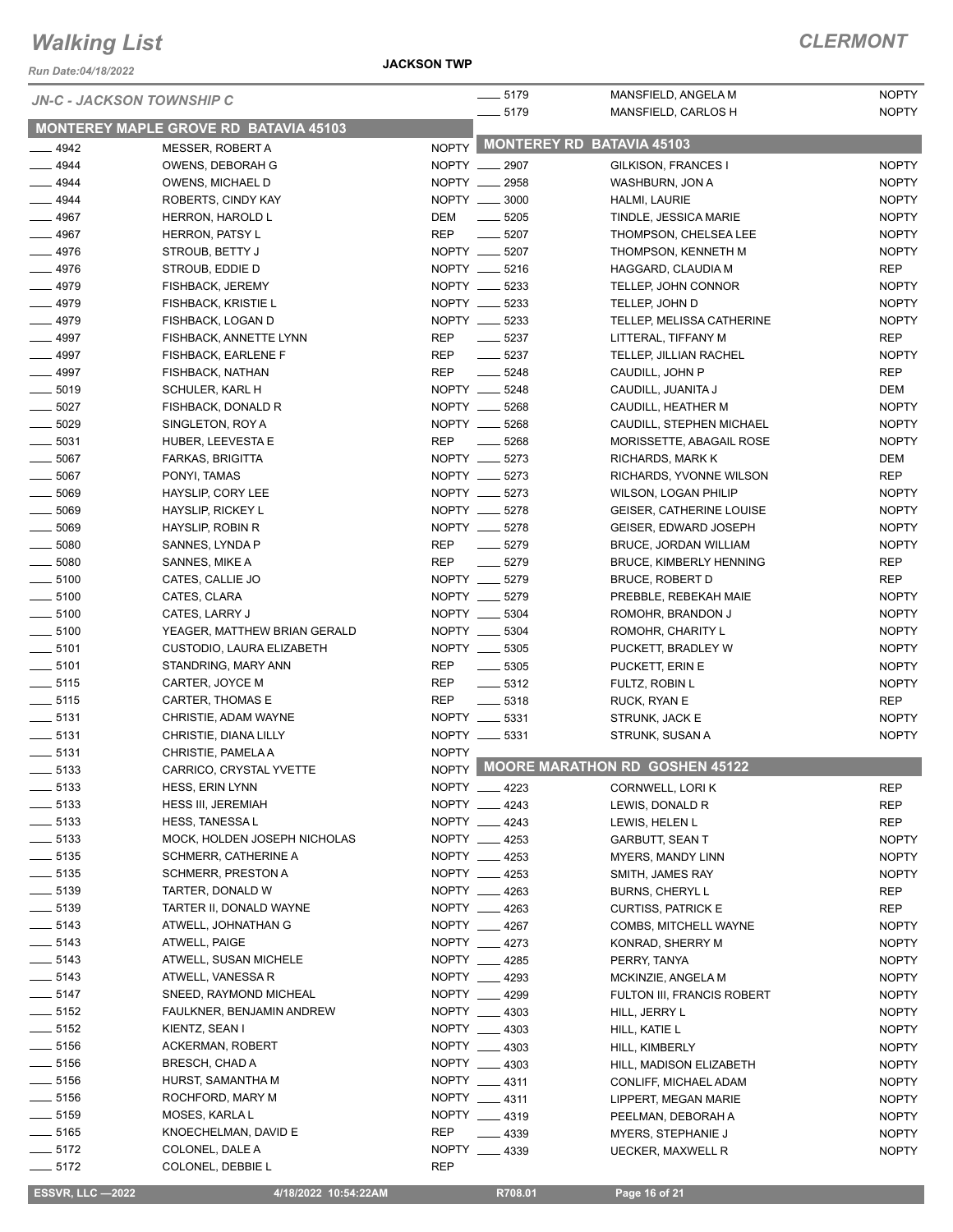**JACKSON TWP**

### *CLERMONT*

| Run Date:04/18/2022                      |                                           | <b>JACKSON TWP</b>             |                                |                                                  |                              |
|------------------------------------------|-------------------------------------------|--------------------------------|--------------------------------|--------------------------------------------------|------------------------------|
|                                          | <b>JN-C - JACKSON TOWNSHIP C</b>          |                                | $-5179$<br>$- 5179$            | MANSFIELD, ANGELA M<br>MANSFIELD, CARLOS H       | <b>NOPTY</b><br><b>NOPTY</b> |
|                                          | MONTEREY MAPLE GROVE RD BATAVIA 45103     |                                |                                |                                                  |                              |
| $-4942$                                  | MESSER, ROBERT A                          |                                |                                | NOPTY MONTEREY RD BATAVIA 45103                  |                              |
| $-4944$                                  | OWENS, DEBORAH G                          | NOPTY __ 2907                  |                                | GILKISON, FRANCES I                              | <b>NOPTY</b>                 |
| $-4944$                                  | OWENS, MICHAEL D                          | NOPTY __ 2958                  |                                | WASHBURN, JON A                                  | <b>NOPTY</b>                 |
| $- 4944$                                 | ROBERTS, CINDY KAY                        | NOPTY __ 3000                  |                                | HALMI, LAURIE                                    | <b>NOPTY</b>                 |
| $-4967$                                  | HERRON, HAROLD L                          | DEM                            | $\frac{1}{2}$ 5205             | TINDLE, JESSICA MARIE                            | <b>NOPTY</b>                 |
| $- 4967$                                 | HERRON, PATSY L                           | <b>REP</b>                     | $\frac{1}{2}$ 5207             | THOMPSON, CHELSEA LEE                            | <b>NOPTY</b>                 |
| $-4976$                                  | STROUB, BETTY J                           | NOPTY __ 5207                  |                                | THOMPSON, KENNETH M                              | <b>NOPTY</b>                 |
| $-4976$                                  | STROUB, EDDIE D                           | NOPTY __ 5216                  |                                | HAGGARD, CLAUDIA M                               | REP                          |
| $- 4979$                                 | FISHBACK, JEREMY                          | NOPTY __ 5233                  |                                | TELLEP, JOHN CONNOR                              | <b>NOPTY</b>                 |
| $-4979$<br>$- 4979$                      | FISHBACK, KRISTIE L<br>FISHBACK, LOGAN D  | NOPTY __ 5233<br>NOPTY __ 5233 |                                | TELLEP, JOHN D<br>TELLEP, MELISSA CATHERINE      | <b>NOPTY</b><br><b>NOPTY</b> |
| $-4997$                                  | FISHBACK, ANNETTE LYNN                    | REP                            | $\frac{1}{2}$ 5237             | LITTERAL, TIFFANY M                              | REP                          |
| $-4997$                                  | FISHBACK, EARLENE F                       | REP                            | $\frac{1}{2}$ 5237             | TELLEP, JILLIAN RACHEL                           | <b>NOPTY</b>                 |
| $-4997$                                  | FISHBACK, NATHAN                          | REP                            | $\frac{1}{2}$ 5248             | CAUDILL, JOHN P                                  | <b>REP</b>                   |
| $\frac{1}{2}$ 5019                       | SCHULER, KARL H                           | NOPTY __ 5248                  |                                | CAUDILL, JUANITA J                               | DEM                          |
| $\frac{1}{2}$ 5027                       | FISHBACK, DONALD R                        | NOPTY __ 5268                  |                                | CAUDILL, HEATHER M                               | <b>NOPTY</b>                 |
| $\frac{1}{2}$ 5029                       | SINGLETON, ROY A                          | NOPTY __ 5268                  |                                | CAUDILL, STEPHEN MICHAEL                         | <b>NOPTY</b>                 |
| $\frac{1}{2}$ 5031                       | HUBER, LEEVESTA E                         | REP                            | $\frac{1}{2}$ 5268             | MORISSETTE, ABAGAIL ROSE                         | <b>NOPTY</b>                 |
| $\frac{1}{2}$ 5067                       | FARKAS, BRIGITTA                          | NOPTY __ 5273                  |                                | RICHARDS, MARK K                                 | DEM                          |
| $\frac{1}{2}$ 5067                       | PONYI, TAMAS                              | NOPTY __ 5273                  |                                | RICHARDS, YVONNE WILSON                          | <b>REP</b>                   |
| $\frac{1}{2}$ 5069                       | HAYSLIP, CORY LEE                         | NOPTY __ 5273                  |                                | <b>WILSON, LOGAN PHILIP</b>                      | <b>NOPTY</b>                 |
| $\frac{1}{2}$ 5069                       | HAYSLIP, RICKEY L                         | NOPTY __ 5278                  |                                | <b>GEISER, CATHERINE LOUISE</b>                  | <b>NOPTY</b>                 |
| $\frac{1}{2}$ 5069                       | HAYSLIP, ROBIN R                          | NOPTY __ 5278                  |                                | GEISER, EDWARD JOSEPH                            | <b>NOPTY</b>                 |
| $\frac{1}{2}$ 5080                       | SANNES, LYNDA P                           | <b>REP</b>                     | $- 5279$                       | <b>BRUCE, JORDAN WILLIAM</b>                     | <b>NOPTY</b>                 |
| $\frac{1}{2}$ 5080                       | SANNES, MIKE A                            | REP                            | $- 5279$                       | <b>BRUCE, KIMBERLY HENNING</b>                   | <b>REP</b>                   |
| $\frac{1}{2}$ 5100                       | CATES, CALLIE JO                          | NOPTY __ 5279                  |                                | <b>BRUCE, ROBERT D</b>                           | REP                          |
| $\frac{1}{2}$ 5100                       | CATES, CLARA                              | NOPTY __ 5279                  |                                | PREBBLE, REBEKAH MAIE                            | <b>NOPTY</b>                 |
| $\frac{1}{2}$ 5100                       | CATES, LARRY J                            | NOPTY __ 5304                  |                                | ROMOHR, BRANDON J                                | <b>NOPTY</b>                 |
| $\frac{1}{2}$ 5100                       | YEAGER, MATTHEW BRIAN GERALD              | NOPTY __ 5304                  |                                | ROMOHR, CHARITY L                                | <b>NOPTY</b>                 |
| $\frac{1}{2}$ 5101                       | CUSTODIO, LAURA ELIZABETH                 | NOPTY __ 5305                  |                                | PUCKETT, BRADLEY W                               | <b>NOPTY</b>                 |
| $\frac{1}{2}$ 5101<br>$-5115$            | STANDRING, MARY ANN                       | REP                            | $\frac{1}{2}$ 5305             | PUCKETT, ERIN E                                  | <b>NOPTY</b>                 |
| $\frac{1}{2}$ 5115                       | CARTER, JOYCE M<br>CARTER, THOMAS E       | REP<br>REP                     | $- 5312$<br>$\frac{1}{2}$ 5318 | FULTZ, ROBIN L                                   | <b>NOPTY</b><br>REP          |
| $\frac{1}{2}$ 5131                       | CHRISTIE, ADAM WAYNE                      | NOPTY __ 5331                  |                                | RUCK, RYAN E<br>STRUNK, JACK E                   | <b>NOPTY</b>                 |
| $\frac{1}{2}$ 5131                       | CHRISTIE, DIANA LILLY                     | NOPTY __ 5331                  |                                | STRUNK, SUSAN A                                  | <b>NOPTY</b>                 |
| $\frac{1}{2}$ 5131                       | CHRISTIE, PAMELA A                        | <b>NOPTY</b>                   |                                |                                                  |                              |
| $\frac{1}{2}$ 5133                       | CARRICO, CRYSTAL YVETTE                   |                                |                                | NOPTY MOORE MARATHON RD GOSHEN 45122             |                              |
| $\frac{1}{2}$ 5133                       | <b>HESS, ERIN LYNN</b>                    | NOPTY 4223                     |                                | CORNWELL, LORI K                                 | REP                          |
| $\frac{1}{2}$ 5133                       | <b>HESS III, JEREMIAH</b>                 | NOPTY __ 4243                  |                                | LEWIS, DONALD R                                  | <b>REP</b>                   |
| $\frac{1}{2}$ 5133                       | <b>HESS, TANESSAL</b>                     | NOPTY __ 4243                  |                                | LEWIS, HELEN L                                   | REP                          |
| $\frac{1}{2}$ 5133                       | MOCK, HOLDEN JOSEPH NICHOLAS              | NOPTY __ 4253                  |                                | GARBUTT, SEAN T                                  | <b>NOPTY</b>                 |
| $\frac{1}{2}$ 5135                       | SCHMERR, CATHERINE A                      | NOPTY 4253                     |                                | MYERS, MANDY LINN                                | <b>NOPTY</b>                 |
| $\frac{1}{2}$ 5135                       | <b>SCHMERR, PRESTON A</b>                 | NOPTY __ 4253                  |                                | SMITH, JAMES RAY                                 | <b>NOPTY</b>                 |
| $\frac{1}{2}$ 5139                       | TARTER, DONALD W                          | NOPTY __ 4263                  |                                | <b>BURNS, CHERYL L</b>                           | REP                          |
| $\frac{1}{2}$ 5139                       | TARTER II, DONALD WAYNE                   | NOPTY __ 4263                  |                                | <b>CURTISS, PATRICK E</b>                        | REP                          |
| $\frac{1}{2}$ 5143                       | ATWELL, JOHNATHAN G                       | NOPTY __ 4267                  |                                | COMBS, MITCHELL WAYNE                            | <b>NOPTY</b>                 |
| $\frac{1}{2}$ 5143                       | ATWELL, PAIGE                             | NOPTY 4273                     |                                | KONRAD, SHERRY M                                 | <b>NOPTY</b>                 |
| $\frac{1}{2}$ 5143                       | ATWELL, SUSAN MICHELE                     | NOPTY 4285                     |                                | PERRY, TANYA                                     | <b>NOPTY</b>                 |
| $\frac{1}{2}$ 5143                       | ATWELL, VANESSA R                         | NOPTY __ 4293                  |                                | MCKINZIE, ANGELA M                               | <b>NOPTY</b>                 |
| $\frac{1}{2}$ 5147                       | SNEED, RAYMOND MICHEAL                    | NOPTY 4299                     |                                | FULTON III, FRANCIS ROBERT                       | <b>NOPTY</b>                 |
| $\frac{1}{2}$ 5152                       | FAULKNER, BENJAMIN ANDREW                 | NOPTY __ 4303<br>NOPTY __ 4303 |                                | HILL, JERRY L                                    | <b>NOPTY</b>                 |
| $\frac{1}{2}$ 5152<br>$\frac{1}{2}$ 5156 | KIENTZ, SEAN I                            | NOPTY 4303                     |                                | HILL, KATIE L                                    | <b>NOPTY</b>                 |
| $- 5156$                                 | ACKERMAN, ROBERT<br><b>BRESCH, CHAD A</b> | NOPTY __ 4303                  |                                | HILL, KIMBERLY                                   | <b>NOPTY</b><br><b>NOPTY</b> |
| $\frac{1}{2}$ 5156                       | HURST, SAMANTHA M                         | NOPTY __ 4311                  |                                | HILL, MADISON ELIZABETH<br>CONLIFF, MICHAEL ADAM | <b>NOPTY</b>                 |
| $\frac{1}{2}$ 5156                       | ROCHFORD, MARY M                          | NOPTY __ 4311                  |                                | LIPPERT, MEGAN MARIE                             | <b>NOPTY</b>                 |
| $\frac{1}{2}$ 5159                       | MOSES, KARLA L                            | NOPTY 4319                     |                                | PEELMAN, DEBORAH A                               | <b>NOPTY</b>                 |
| $\frac{1}{2}$ 5165                       | KNOECHELMAN, DAVID E                      | <b>REP</b>                     | $-4339$                        | MYERS, STEPHANIE J                               | <b>NOPTY</b>                 |
| $- 5172$                                 | COLONEL, DALE A                           | NOPTY __ 4339                  |                                | <b>UECKER, MAXWELL R</b>                         | <b>NOPTY</b>                 |
| $-5172$                                  | COLONEL, DEBBIE L                         | <b>REP</b>                     |                                |                                                  |                              |
|                                          |                                           |                                |                                |                                                  |                              |

 **ESSVR, LLC —2022 4/18/2022 10:54:22AM R708.01 Page 16 of 21**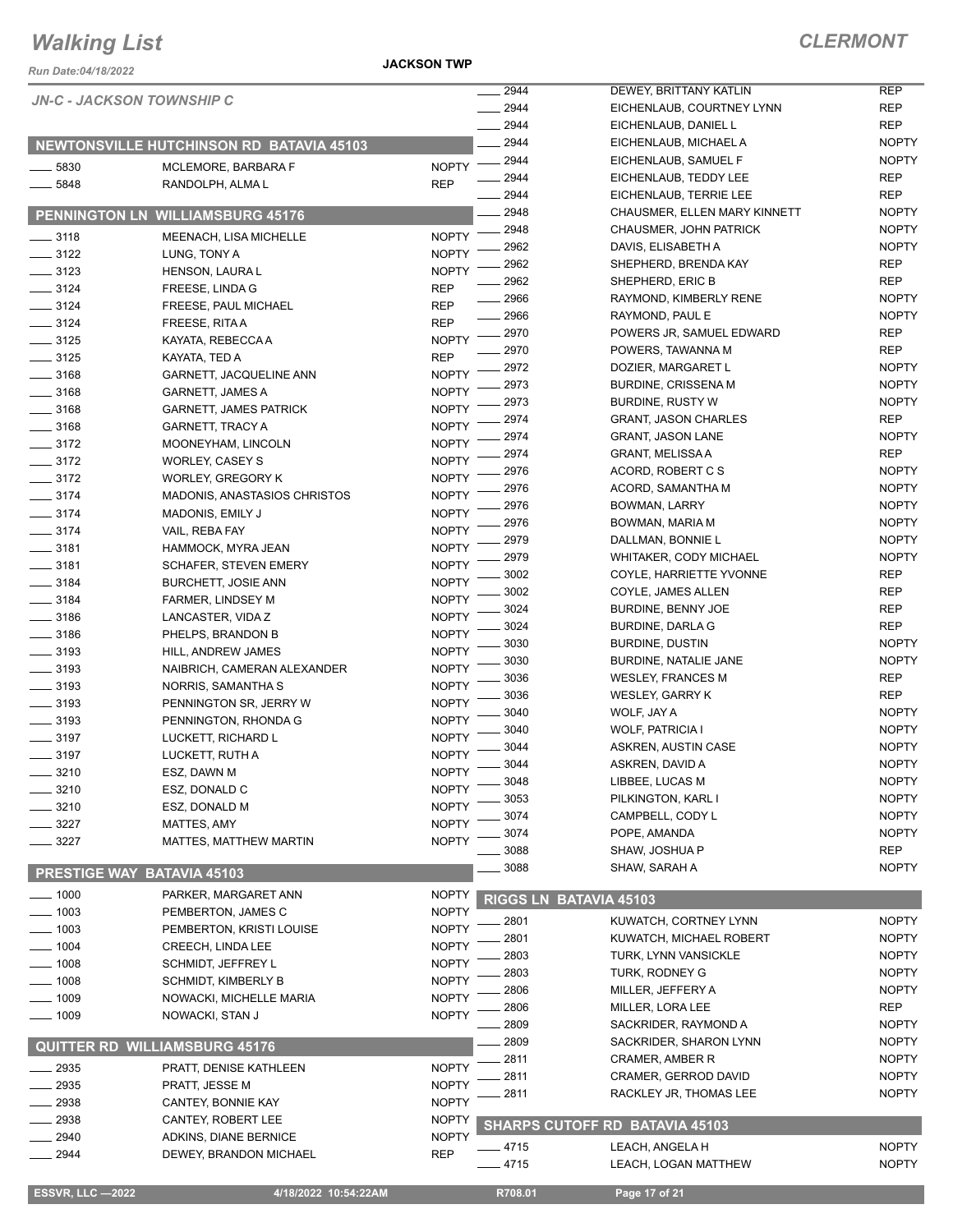*Run Date:04/18/2022*

**JACKSON TWP**

*CLERMONT*

NOPTY NOPTY

|                    | <b>JN-C - JACKSON TOWNSHIP C</b>                |              | 2944            | DEWEY, BRITTANY KATLIN                | <b>REP</b>   |
|--------------------|-------------------------------------------------|--------------|-----------------|---------------------------------------|--------------|
|                    |                                                 |              | 2944            | EICHENLAUB, COURTNEY LYNN             | <b>REP</b>   |
|                    |                                                 |              | 2944            | EICHENLAUB, DANIEL L                  | <b>REP</b>   |
|                    | <b>NEWTONSVILLE HUTCHINSON RD BATAVIA 45103</b> |              | 2944            | EICHENLAUB, MICHAEL A                 | <b>NOPTY</b> |
| 5830               | MCLEMORE, BARBARA F                             | <b>NOPTY</b> | 2944            | EICHENLAUB, SAMUEL F                  | <b>NOPTY</b> |
| 5848               | RANDOLPH, ALMA L                                | <b>REP</b>   | 2944            | EICHENLAUB, TEDDY LEE                 | REP          |
|                    |                                                 |              | 2944            | EICHENLAUB, TERRIE LEE                | <b>REP</b>   |
|                    | PENNINGTON LN WILLIAMSBURG 45176                |              | 2948            | CHAUSMER, ELLEN MARY KINNETT          | <b>NOPTY</b> |
| $-3118$            | MEENACH, LISA MICHELLE                          | <b>NOPTY</b> | 2948            | <b>CHAUSMER, JOHN PATRICK</b>         | <b>NOPTY</b> |
| $-3122$            | LUNG, TONY A                                    | <b>NOPTY</b> | 2962            | DAVIS, ELISABETH A                    | <b>NOPTY</b> |
| $-3123$            | <b>HENSON, LAURA L</b>                          | <b>NOPTY</b> | 2962            | SHEPHERD, BRENDA KAY                  | REP          |
| $- 3124$           | FREESE, LINDA G                                 | <b>REP</b>   | 2962            | SHEPHERD, ERIC B                      | <b>REP</b>   |
| $- 3124$           | FREESE, PAUL MICHAEL                            | <b>REP</b>   | 2966            | RAYMOND, KIMBERLY RENE                | <b>NOPTY</b> |
| $- 3124$           | FREESE, RITA A                                  | <b>REP</b>   | 2966            | RAYMOND, PAUL E                       | <b>NOPTY</b> |
| $\frac{1}{2}$ 3125 | KAYATA, REBECCA A                               | <b>NOPTY</b> | 2970            | POWERS JR, SAMUEL EDWARD              | <b>REP</b>   |
| $\frac{1}{2}$ 3125 | KAYATA, TED A                                   | <b>REP</b>   | 2970            | POWERS, TAWANNA M                     | <b>REP</b>   |
| $- 3168$           | GARNETT, JACQUELINE ANN                         | <b>NOPTY</b> | 2972            | DOZIER, MARGARET L                    | <b>NOPTY</b> |
| $- 3168$           | <b>GARNETT, JAMES A</b>                         | <b>NOPTY</b> | 2973            | <b>BURDINE, CRISSENA M</b>            | <b>NOPTY</b> |
| $- 3168$           | <b>GARNETT, JAMES PATRICK</b>                   | <b>NOPTY</b> | 2973            | <b>BURDINE, RUSTY W</b>               | <b>NOPTY</b> |
| $\frac{1}{2}$ 3168 | <b>GARNETT, TRACY A</b>                         | <b>NOPTY</b> | 2974            | <b>GRANT, JASON CHARLES</b>           | <b>REP</b>   |
| $\frac{1}{2}$ 3172 | MOONEYHAM, LINCOLN                              | <b>NOPTY</b> | 2974            | <b>GRANT, JASON LANE</b>              | <b>NOPTY</b> |
| $\frac{3172}{2}$   | <b>WORLEY, CASEY S</b>                          | <b>NOPTY</b> | 2974            | <b>GRANT, MELISSA A</b>               | <b>REP</b>   |
| $- 3172$           | <b>WORLEY, GREGORY K</b>                        | <b>NOPTY</b> | 2976            | ACORD, ROBERT C S                     | <b>NOPTY</b> |
| $-3174$            | <b>MADONIS, ANASTASIOS CHRISTOS</b>             | <b>NOPTY</b> | 2976            | ACORD, SAMANTHA M                     | <b>NOPTY</b> |
| $- 3174$           | MADONIS, EMILY J                                | <b>NOPTY</b> | 2976            | <b>BOWMAN, LARRY</b>                  | <b>NOPTY</b> |
| $- 3174$           | VAIL, REBA FAY                                  | <b>NOPTY</b> | 2976            | BOWMAN, MARIA M                       | <b>NOPTY</b> |
| $\frac{1}{2}$ 3181 | HAMMOCK, MYRA JEAN                              | <b>NOPTY</b> | 2979            | DALLMAN, BONNIE L                     | <b>NOPTY</b> |
| $- 3181$           | <b>SCHAFER, STEVEN EMERY</b>                    | <b>NOPTY</b> | 2979            | WHITAKER, CODY MICHAEL                | <b>NOPTY</b> |
| $-3184$            | <b>BURCHETT, JOSIE ANN</b>                      | <b>NOPTY</b> | 3002            | COYLE, HARRIETTE YVONNE               | <b>REP</b>   |
| $\frac{1}{2}$ 3184 | FARMER, LINDSEY M                               | <b>NOPTY</b> | 3002            | COYLE, JAMES ALLEN                    | <b>REP</b>   |
| $\frac{1}{2}$ 3186 | LANCASTER, VIDA Z                               | <b>NOPTY</b> | 3024            | <b>BURDINE, BENNY JOE</b>             | <b>REP</b>   |
| $\frac{1}{2}$ 3186 | PHELPS, BRANDON B                               | <b>NOPTY</b> | 3024            | <b>BURDINE, DARLA G</b>               | <b>REP</b>   |
| $\frac{1}{2}$ 3193 | HILL, ANDREW JAMES                              | <b>NOPTY</b> | 3030            | <b>BURDINE, DUSTIN</b>                | <b>NOPTY</b> |
| $\frac{1}{2}$ 3193 | NAIBRICH, CAMERAN ALEXANDER                     | <b>NOPTY</b> | 3030            | BURDINE, NATALIE JANE                 | <b>NOPTY</b> |
| $\frac{1}{2}$ 3193 | NORRIS, SAMANTHA S                              | <b>NOPTY</b> | 3036            | <b>WESLEY, FRANCES M</b>              | REP          |
| $-3193$            | PENNINGTON SR, JERRY W                          | <b>NOPTY</b> | 3036            | <b>WESLEY, GARRY K</b>                | <b>REP</b>   |
| $-3193$            | PENNINGTON, RHONDA G                            | <b>NOPTY</b> | 3040            | WOLF, JAY A                           | <b>NOPTY</b> |
| $-3197$            | LUCKETT, RICHARD L                              | <b>NOPTY</b> | 3040            | <b>WOLF, PATRICIA I</b>               | <b>NOPTY</b> |
| $-3197$            | LUCKETT, RUTH A                                 | <b>NOPTY</b> | 3044            | ASKREN, AUSTIN CASE                   | <b>NOPTY</b> |
| 3210               | ESZ, DAWN M                                     | <b>NOPTY</b> | 3044            | ASKREN, DAVID A                       | <b>NOPTY</b> |
| 3210               | ESZ, DONALD C                                   | <b>NOPTY</b> | 3048            | LIBBEE, LUCAS M                       | <b>NOPTY</b> |
| 3210               | ESZ, DONALD M                                   | <b>NOPTY</b> | 3053            | PILKINGTON, KARL I                    | <b>NOPTY</b> |
| 3227               | MATTES, AMY                                     | <b>NOPTY</b> | 3074            | CAMPBELL, CODY L                      | <b>NOPTY</b> |
| 3227               | MATTES, MATTHEW MARTIN                          | <b>NOPTY</b> | 3074            | POPE, AMANDA                          | <b>NOPTY</b> |
|                    |                                                 |              | 3088            | SHAW, JOSHUA P                        | REP          |
|                    | PRESTIGE WAY BATAVIA 45103                      |              | 3088            | SHAW, SARAH A                         | <b>NOPTY</b> |
| $-1000$            | PARKER, MARGARET ANN                            | <b>NOPTY</b> | <b>RIGGS LN</b> | <b>BATAVIA 45103</b>                  |              |
| $=$ 1003           | PEMBERTON, JAMES C                              | <b>NOPTY</b> |                 |                                       |              |
| $- 1003$           | PEMBERTON, KRISTI LOUISE                        | <b>NOPTY</b> | $-2801$         | KUWATCH, CORTNEY LYNN                 | <b>NOPTY</b> |
| _ 1004             | CREECH, LINDA LEE                               | <b>NOPTY</b> | 2801            | KUWATCH, MICHAEL ROBERT               | <b>NOPTY</b> |
| $-1008$            | SCHMIDT, JEFFREY L                              | <b>NOPTY</b> | 2803            | TURK, LYNN VANSICKLE                  | <b>NOPTY</b> |
| $-1008$            | <b>SCHMIDT, KIMBERLY B</b>                      | <b>NOPTY</b> | 2803            | <b>TURK, RODNEY G</b>                 | <b>NOPTY</b> |
| $=$ 1009           | NOWACKI, MICHELLE MARIA                         | <b>NOPTY</b> | 2806            | MILLER, JEFFERY A                     | <b>NOPTY</b> |
| $\frac{1}{2}$ 1009 | NOWACKI, STAN J                                 | <b>NOPTY</b> | 2806            | MILLER, LORA LEE                      | REP          |
|                    |                                                 |              | 2809            | SACKRIDER, RAYMOND A                  | <b>NOPTY</b> |
|                    | <b>QUITTER RD WILLIAMSBURG 45176</b>            |              | 2809            | SACKRIDER, SHARON LYNN                | <b>NOPTY</b> |
| 2935               | PRATT, DENISE KATHLEEN                          | <b>NOPTY</b> | 2811            | CRAMER, AMBER R                       | <b>NOPTY</b> |
| 2935               | PRATT, JESSE M                                  | <b>NOPTY</b> | 2811            | CRAMER, GERROD DAVID                  | <b>NOPTY</b> |
| 2938               | CANTEY, BONNIE KAY                              | <b>NOPTY</b> | 2811            | RACKLEY JR, THOMAS LEE                | <b>NOPTY</b> |
| 2938               | CANTEY, ROBERT LEE                              | <b>NOPTY</b> |                 | <b>SHARPS CUTOFF RD BATAVIA 45103</b> |              |
| 2940               | ADKINS, DIANE BERNICE                           | <b>NOPTY</b> |                 |                                       |              |
| 2944               | DEWEY, BRANDON MICHAEL                          | <b>REP</b>   | $-4715$         | LEACH, ANGELA H                       | <b>NOPTY</b> |
|                    |                                                 |              | $-4715$         | LEACH, LOGAN MATTHEW                  | <b>NOPTY</b> |
|                    |                                                 |              |                 |                                       |              |

**ESSVR, LLC -2022 4/18/2022 10:54:22AM R708.01 Page 17 of 21**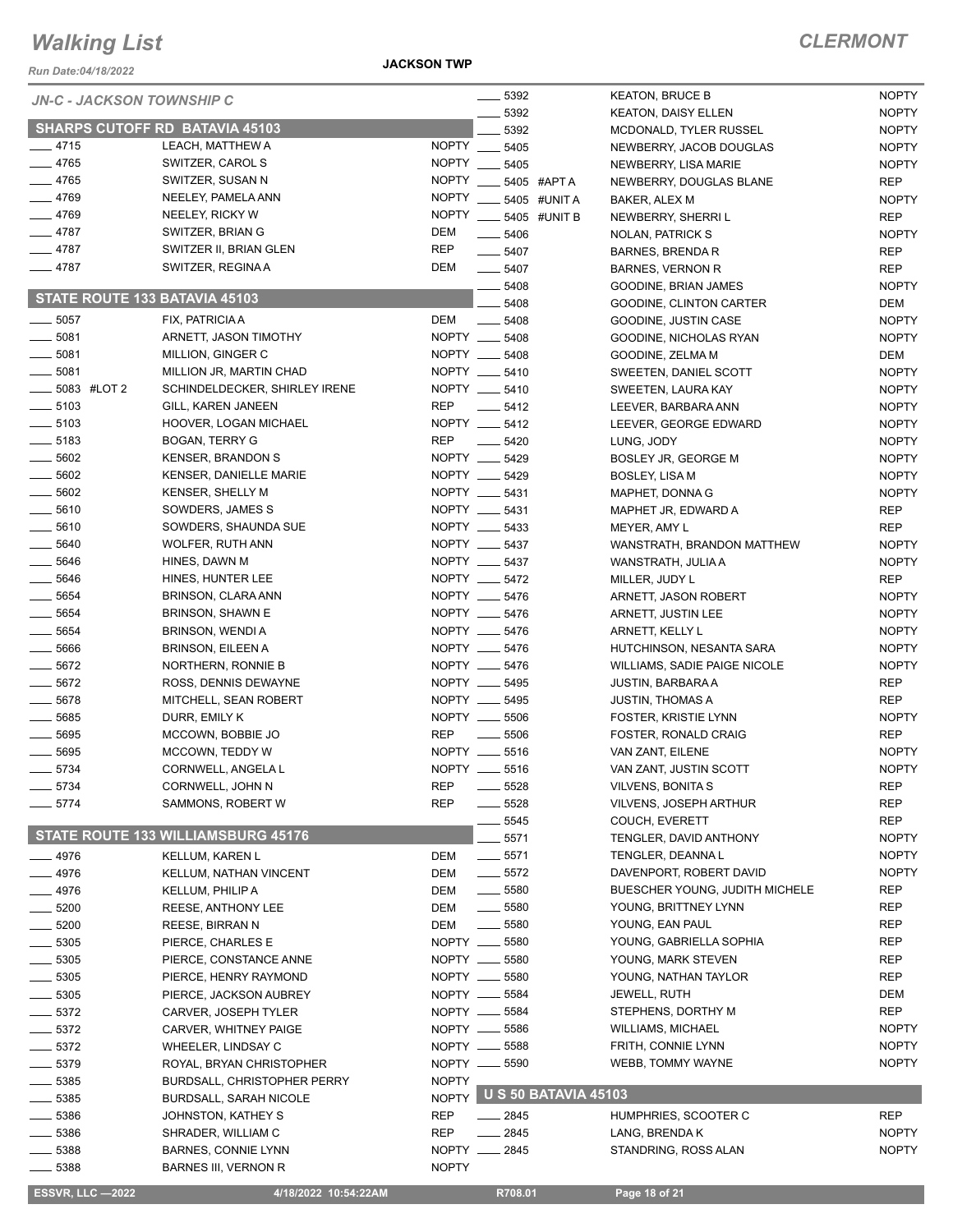#### *Run Date:04/18/2022*

**JACKSON TWP**

#### *CLERMONT*

NOPTY NOPTY NOPTY

NOPTY

NOPTY NOPTY NOPTY

NOPTY NOPTY

| <b>JN-C - JACKSON TOWNSHIP C</b> |                                           |              | $\frac{1}{2}$ 5392       |                            | <b>KEATON, BRUCE B</b>         | <b>NOPTY</b> |
|----------------------------------|-------------------------------------------|--------------|--------------------------|----------------------------|--------------------------------|--------------|
|                                  |                                           |              | 5392                     |                            | <b>KEATON, DAISY ELLEN</b>     | <b>NOPTY</b> |
|                                  | <b>SHARPS CUTOFF RD BATAVIA 45103</b>     |              | 5392                     |                            | MCDONALD, TYLER RUSSEL         | <b>NOPTY</b> |
| $-4715$                          | LEACH, MATTHEW A                          |              | NOPTY __ 5405            |                            | NEWBERRY, JACOB DOUGLAS        | <b>NOPTY</b> |
| $-4765$                          | SWITZER, CAROL S                          |              | NOPTY __ 5405            |                            | NEWBERRY, LISA MARIE           | <b>NOPTY</b> |
| $-4765$                          | SWITZER, SUSAN N                          |              | NOPTY __ 5405 #APTA      |                            | NEWBERRY, DOUGLAS BLANE        | <b>REP</b>   |
| $-4769$                          | NEELEY, PAMELA ANN                        |              | NOPTY __ 5405 #UNIT A    |                            | BAKER, ALEX M                  | <b>NOPTY</b> |
| $-4769$                          | NEELEY, RICKY W                           |              | NOPTY _____ 5405 #UNIT B |                            | NEWBERRY, SHERRI L             | <b>REP</b>   |
| $-4787$                          | SWITZER, BRIAN G                          | DEM          | $\frac{1}{2}$ 5406       |                            | NOLAN, PATRICK S               | <b>NOPTY</b> |
| $-4787$                          | SWITZER II, BRIAN GLEN                    | <b>REP</b>   | $- 5407$                 |                            | <b>BARNES, BRENDA R</b>        | <b>REP</b>   |
| $-4787$                          | SWITZER, REGINA A                         | DEM          | $\frac{1}{2}$ 5407       |                            | <b>BARNES, VERNON R</b>        | <b>REP</b>   |
|                                  |                                           |              | $- 5408$                 |                            | GOODINE, BRIAN JAMES           | <b>NOPTY</b> |
| STATE ROUTE 133 BATAVIA 45103    |                                           |              | $- 5408$                 |                            | GOODINE, CLINTON CARTER        | DEM          |
| $\frac{1}{2}$ 5057               | FIX, PATRICIA A                           | DEM          | $\frac{1}{2}$ 5408       |                            | GOODINE, JUSTIN CASE           | <b>NOPTY</b> |
| $\frac{1}{2}$ 5081               | ARNETT, JASON TIMOTHY                     |              | NOPTY __ 5408            |                            | GOODINE, NICHOLAS RYAN         | <b>NOPTY</b> |
| $\frac{1}{2}$ 5081               | MILLION, GINGER C                         |              | NOPTY __ 5408            |                            | GOODINE, ZELMA M               | DEM          |
| $\frac{1}{2}$ 5081               | MILLION JR, MARTIN CHAD                   |              | NOPTY __ 5410            |                            | SWEETEN, DANIEL SCOTT          | <b>NOPTY</b> |
| $\frac{1}{2}$ 5083 #LOT 2        | SCHINDELDECKER, SHIRLEY IRENE             |              | NOPTY __ 5410            |                            | SWEETEN, LAURA KAY             | <b>NOPTY</b> |
| $\frac{1}{2}$ 5103               | <b>GILL, KAREN JANEEN</b>                 | <b>REP</b>   | $\frac{1}{2}$ 5412       |                            | LEEVER, BARBARA ANN            | <b>NOPTY</b> |
| $\frac{1}{2}$ 5103               | HOOVER, LOGAN MICHAEL                     |              | NOPTY __ 5412            |                            | LEEVER, GEORGE EDWARD          | <b>NOPTY</b> |
| $\frac{1}{2}$ 5183               | <b>BOGAN, TERRY G</b>                     | <b>REP</b>   | $- 5420$                 |                            | LUNG, JODY                     | <b>NOPTY</b> |
| $\frac{1}{2}$ 5602               | <b>KENSER, BRANDON S</b>                  |              | NOPTY __ 5429            |                            | BOSLEY JR, GEORGE M            | <b>NOPTY</b> |
| $\frac{1}{2}$ 5602               | <b>KENSER, DANIELLE MARIE</b>             |              | NOPTY __ 5429            |                            | <b>BOSLEY, LISA M</b>          | <b>NOPTY</b> |
| $\frac{1}{2}$ 5602               | KENSER, SHELLY M                          |              | NOPTY __ 5431            |                            | MAPHET, DONNA G                | <b>NOPTY</b> |
| $\frac{1}{2}$ 5610               | SOWDERS, JAMES S                          |              | NOPTY __ 5431            |                            | MAPHET JR, EDWARD A            | <b>REP</b>   |
| $- 5610$                         | SOWDERS, SHAUNDA SUE                      |              | NOPTY __ 5433            |                            | MEYER, AMY L                   | REP          |
| $\frac{1}{2}$ 5640               | WOLFER, RUTH ANN                          |              | NOPTY __ 5437            |                            |                                | <b>NOPTY</b> |
| $- 5646$                         |                                           |              | NOPTY __ 5437            |                            | WANSTRATH, BRANDON MATTHEW     |              |
|                                  | HINES, DAWN M                             |              |                          |                            | WANSTRATH, JULIA A             | <b>NOPTY</b> |
| $\frac{1}{2}$ 5646               | HINES, HUNTER LEE                         |              | NOPTY __ 5472            |                            | MILLER, JUDY L                 | <b>REP</b>   |
| $\frac{1}{2}$ 5654               | BRINSON, CLARA ANN                        |              | NOPTY __ 5476            |                            | ARNETT, JASON ROBERT           | <b>NOPTY</b> |
| $\frac{1}{2}$ 5654               | BRINSON, SHAWN E                          |              | NOPTY __ 5476            |                            | ARNETT, JUSTIN LEE             | <b>NOPTY</b> |
| $\frac{1}{2}$ 5654               | BRINSON, WENDI A                          |              | NOPTY __ 5476            |                            | ARNETT, KELLY L                | <b>NOPTY</b> |
| $\frac{1}{2}$ 5666               | <b>BRINSON, EILEEN A</b>                  |              | NOPTY __ 5476            |                            | HUTCHINSON, NESANTA SARA       | <b>NOPTY</b> |
| $- 5672$                         | NORTHERN, RONNIE B                        |              | NOPTY __ 5476            |                            | WILLIAMS, SADIE PAIGE NICOLE   | <b>NOPTY</b> |
| $-5672$                          | ROSS, DENNIS DEWAYNE                      |              | NOPTY __ 5495            |                            | <b>JUSTIN, BARBARA A</b>       | REP          |
| $- 5678$                         | MITCHELL, SEAN ROBERT                     |              | NOPTY __ 5495            |                            | <b>JUSTIN, THOMAS A</b>        | <b>REP</b>   |
| $\frac{1}{2}$ 5685               | DURR, EMILY K                             |              | NOPTY __ 5506            |                            | FOSTER, KRISTIE LYNN           | <b>NOPTY</b> |
| $- 5695$                         | MCCOWN, BOBBIE JO                         | <b>REP</b>   | $\frac{1}{2}$ 5506       |                            | FOSTER, RONALD CRAIG           | <b>REP</b>   |
| $- 5695$                         | MCCOWN, TEDDY W                           |              | NOPTY __ 5516            |                            | VAN ZANT, EILENE               | <b>NOPTY</b> |
| $- 5734$                         | CORNWELL, ANGELA L                        |              | NOPTY __ 5516            |                            | VAN ZANT, JUSTIN SCOTT         | <b>NOPTY</b> |
| __ 5734                          | CORNWELL, JOHN N                          | <b>REP</b>   | $-5528$                  |                            | <b>VILVENS, BONITA S</b>       | <b>REP</b>   |
| 5774                             | SAMMONS, ROBERT W                         | <b>REP</b>   | 5528                     |                            | <b>VILVENS, JOSEPH ARTHUR</b>  | <b>REP</b>   |
|                                  |                                           |              | 5545                     |                            | COUCH, EVERETT                 | REP          |
|                                  | <b>STATE ROUTE 133 WILLIAMSBURG 45176</b> |              | 5571                     |                            | TENGLER, DAVID ANTHONY         | <b>NOPTY</b> |
| 4976                             | <b>KELLUM, KAREN L</b>                    | <b>DEM</b>   | $- 5571$                 |                            | TENGLER, DEANNAL               | <b>NOPTY</b> |
| _ 4976                           | KELLUM, NATHAN VINCENT                    | <b>DEM</b>   | $-5572$                  |                            | DAVENPORT, ROBERT DAVID        | <b>NOPTY</b> |
| _ 4976                           | <b>KELLUM, PHILIP A</b>                   | <b>DEM</b>   | $\frac{1}{2}$ 5580       |                            | BUESCHER YOUNG, JUDITH MICHELE | REP          |
| 5200                             | REESE, ANTHONY LEE                        | <b>DEM</b>   | $\frac{1}{2}$ 5580       |                            | YOUNG, BRITTNEY LYNN           | <b>REP</b>   |
| .5200                            | <b>REESE, BIRRAN N</b>                    | <b>DEM</b>   | $\frac{1}{2}$ 5580       |                            | YOUNG, EAN PAUL                | <b>REP</b>   |
| $-5305$                          | PIERCE, CHARLES E                         |              | NOPTY __ 5580            |                            | YOUNG, GABRIELLA SOPHIA        | REP          |
|                                  |                                           |              |                          |                            |                                | <b>REP</b>   |
| _ 5305                           | PIERCE, CONSTANCE ANNE                    |              | NOPTY __ 5580            |                            | YOUNG, MARK STEVEN             |              |
| $-5305$                          | PIERCE, HENRY RAYMOND                     |              | NOPTY __ 5580            |                            | YOUNG, NATHAN TAYLOR           | REP          |
| $-5305$                          | PIERCE, JACKSON AUBREY                    |              | NOPTY __ 5584            |                            | JEWELL, RUTH                   | DEM          |
| ___ 5372                         | CARVER, JOSEPH TYLER                      |              | NOPTY __ 5584            |                            | STEPHENS, DORTHY M             | REP          |
| _ 5372                           | CARVER, WHITNEY PAIGE                     |              | NOPTY __ 5586            |                            | <b>WILLIAMS, MICHAEL</b>       | <b>NOPTY</b> |
| $-5372$                          | WHEELER, LINDSAY C                        |              | NOPTY __ 5588            |                            | FRITH, CONNIE LYNN             | <b>NOPTY</b> |
| $-5379$                          | ROYAL, BRYAN CHRISTOPHER                  |              | NOPTY __ 5590            |                            | WEBB, TOMMY WAYNE              | <b>NOPTY</b> |
| 5385                             | <b>BURDSALL, CHRISTOPHER PERRY</b>        | <b>NOPTY</b> |                          |                            |                                |              |
| 5385                             | <b>BURDSALL, SARAH NICOLE</b>             |              |                          | NOPTY U S 50 BATAVIA 45103 |                                |              |
| 5386                             | JOHNSTON, KATHEY S                        | <b>REP</b>   | $-2845$                  |                            | HUMPHRIES, SCOOTER C           | <b>REP</b>   |
| 5386                             | SHRADER, WILLIAM C                        | <b>REP</b>   | $-2845$                  |                            | LANG, BRENDA K                 | <b>NOPTY</b> |
| 5388                             | <b>BARNES, CONNIE LYNN</b>                |              | NOPTY __ 2845            |                            | STANDRING, ROSS ALAN           | <b>NOPTY</b> |
| 5388                             | <b>BARNES III, VERNON R</b>               | <b>NOPTY</b> |                          |                            |                                |              |
|                                  |                                           |              |                          |                            |                                |              |
| <b>ESSVR, LLC -2022</b>          | 4/18/2022 10:54:22AM                      |              | R708.01                  |                            | Page 18 of 21                  |              |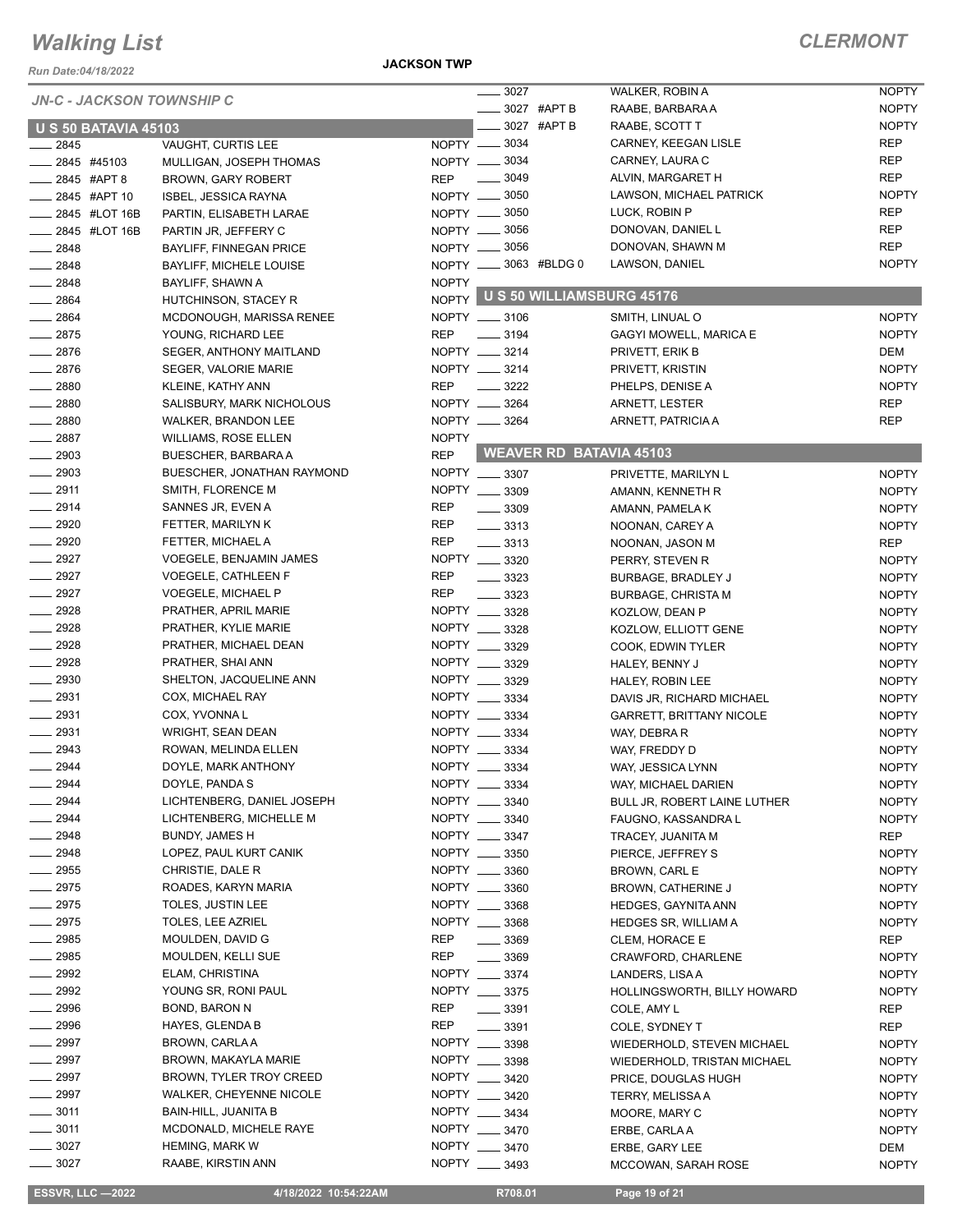*Run Date:04/18/2022*

#### **JACKSON TWP**

## *CLERMONT*

|                    |                             | <b>JN-C - JACKSON TOWNSHIP C</b>       |              | $\frac{1}{2}$ 3027    |             | WALKER, ROBIN A                 | <b>NOPTY</b> |
|--------------------|-----------------------------|----------------------------------------|--------------|-----------------------|-------------|---------------------------------|--------------|
|                    |                             |                                        |              |                       | 3027 #APT B | RAABE, BARBARA A                | <b>NOPTY</b> |
|                    | <b>U S 50 BATAVIA 45103</b> |                                        |              |                       | 3027 #APT B | RAABE, SCOTT T                  | <b>NOPTY</b> |
| 2845               |                             | VAUGHT, CURTIS LEE                     |              | NOPTY -8034           |             | CARNEY, KEEGAN LISLE            | <b>REP</b>   |
| $-2845$ #45103     |                             | MULLIGAN, JOSEPH THOMAS                |              | NOPTY -8034           |             | CARNEY, LAURA C                 | <b>REP</b>   |
|                    | 2845 #APT 8                 | <b>BROWN, GARY ROBERT</b>              | REP          | $- 3049$              |             | ALVIN, MARGARET H               | <b>REP</b>   |
|                    | 2845 #APT 10                | ISBEL, JESSICA RAYNA                   |              | NOPTY -8050           |             | LAWSON, MICHAEL PATRICK         | <b>NOPTY</b> |
|                    | 2845 #LOT 16B               | PARTIN, ELISABETH LARAE                |              | NOPTY __ 3050         |             | LUCK, ROBIN P                   | <b>REP</b>   |
|                    | _2845 #LOT 16B              | PARTIN JR, JEFFERY C                   |              | NOPTY __ 3056         |             | DONOVAN, DANIEL L               | <b>REP</b>   |
| $-2848$            |                             | BAYLIFF, FINNEGAN PRICE                |              | NOPTY __ 3056         |             | DONOVAN, SHAWN M                | <b>REP</b>   |
| $-2848$            |                             | <b>BAYLIFF, MICHELE LOUISE</b>         |              | NOPTY __ 3063 #BLDG 0 |             | LAWSON, DANIEL                  | <b>NOPTY</b> |
| $-2848$            |                             | BAYLIFF, SHAWN A                       | <b>NOPTY</b> |                       |             |                                 |              |
| 2864               |                             | HUTCHINSON, STACEY R                   |              |                       |             | NOPTY U S 50 WILLIAMSBURG 45176 |              |
| 2864               |                             | MCDONOUGH, MARISSA RENEE               |              | NOPTY __ 3106         |             | SMITH, LINUAL O                 | <b>NOPTY</b> |
| $-2875$            |                             | YOUNG, RICHARD LEE                     | <b>REP</b>   | $\frac{1}{2}$ 3194    |             | <b>GAGYI MOWELL, MARICA E</b>   | <b>NOPTY</b> |
| 2876               |                             | <b>SEGER, ANTHONY MAITLAND</b>         |              | NOPTY __ 3214         |             | PRIVETT, ERIK B                 | DEM          |
| $-2876$            |                             | <b>SEGER, VALORIE MARIE</b>            |              | NOPTY __ 3214         |             | PRIVETT, KRISTIN                | <b>NOPTY</b> |
| $- 2880$           |                             | KLEINE, KATHY ANN                      | <b>REP</b>   | $\frac{3222}{2}$      |             | PHELPS, DENISE A                | <b>NOPTY</b> |
| $-2880$            |                             | SALISBURY, MARK NICHOLOUS              |              | NOPTY __ 3264         |             | ARNETT, LESTER                  | <b>REP</b>   |
| $-2880$            |                             | WALKER, BRANDON LEE                    |              | NOPTY __ 3264         |             | ARNETT, PATRICIA A              | <b>REP</b>   |
| 2887               |                             | WILLIAMS, ROSE ELLEN                   | <b>NOPTY</b> |                       |             |                                 |              |
| $-2903$            |                             | <b>BUESCHER, BARBARA A</b>             | <b>REP</b>   |                       |             | <b>WEAVER RD BATAVIA 45103</b>  |              |
| 2903               |                             | BUESCHER, JONATHAN RAYMOND             |              | NOPTY __ 3307         |             | PRIVETTE, MARILYN L             | <b>NOPTY</b> |
| $-2911$            |                             | SMITH, FLORENCE M                      |              | NOPTY __ 3309         |             | AMANN, KENNETH R                | <b>NOPTY</b> |
| $-2914$            |                             |                                        | REP          | $\frac{1}{2}$ 3309    |             |                                 |              |
| 2920               |                             | SANNES JR, EVEN A<br>FETTER, MARILYN K | REP          |                       |             | AMANN, PAMELA K                 | <b>NOPTY</b> |
|                    |                             |                                        |              | $\frac{1}{2}$ 3313    |             | NOONAN, CAREY A                 | <b>NOPTY</b> |
| 2920               |                             | FETTER, MICHAEL A                      | REP          | $\frac{3313}{2}$      |             | NOONAN, JASON M                 | <b>REP</b>   |
| 2927               |                             | <b>VOEGELE, BENJAMIN JAMES</b>         |              | NOPTY __ 3320         |             | PERRY, STEVEN R                 | <b>NOPTY</b> |
| $-2927$            |                             | <b>VOEGELE, CATHLEEN F</b>             | <b>REP</b>   | $\frac{1}{2}$ 3323    |             | BURBAGE, BRADLEY J              | <b>NOPTY</b> |
| $-2927$            |                             | <b>VOEGELE, MICHAEL P</b>              | <b>REP</b>   | $- 3323$              |             | <b>BURBAGE, CHRISTA M</b>       | <b>NOPTY</b> |
| $-2928$            |                             | PRATHER, APRIL MARIE                   |              | NOPTY __ 3328         |             | KOZLOW, DEAN P                  | <b>NOPTY</b> |
| $-2928$            |                             | PRATHER, KYLIE MARIE                   |              | NOPTY __ 3328         |             | KOZLOW, ELLIOTT GENE            | <b>NOPTY</b> |
| 2928               |                             | PRATHER, MICHAEL DEAN                  |              | NOPTY __ 3329         |             | COOK, EDWIN TYLER               | <b>NOPTY</b> |
| 2928               |                             | PRATHER, SHAI ANN                      |              | NOPTY __ 3329         |             | HALEY, BENNY J                  | <b>NOPTY</b> |
| - 2930             |                             | SHELTON, JACQUELINE ANN                |              | NOPTY __ 3329         |             | HALEY, ROBIN LEE                | <b>NOPTY</b> |
| $-2931$            |                             | COX, MICHAEL RAY                       |              | NOPTY __ 3334         |             | DAVIS JR, RICHARD MICHAEL       | <b>NOPTY</b> |
| $-2931$            |                             | COX, YVONNA L                          |              | NOPTY __ 3334         |             | <b>GARRETT, BRITTANY NICOLE</b> | <b>NOPTY</b> |
| $-2931$            |                             | <b>WRIGHT, SEAN DEAN</b>               |              | NOPTY __ 3334         |             | WAY, DEBRA R                    | <b>NOPTY</b> |
| 2943               |                             | ROWAN, MELINDA ELLEN                   |              | NOPTY 3334            |             | WAY, FREDDY D                   | <b>NOPTY</b> |
| 2944               |                             | DOYLE, MARK ANTHONY                    |              | NOPTY __ 3334         |             | WAY, JESSICA LYNN               | <b>NOPTY</b> |
| - 2944             |                             | DOYLE, PANDA S                         |              | NOPTY __ 3334         |             | WAY, MICHAEL DARIEN             | <b>NOPTY</b> |
| $-2944$            |                             | LICHTENBERG, DANIEL JOSEPH             |              | NOPTY __ 3340         |             | BULL JR, ROBERT LAINE LUTHER    | <b>NOPTY</b> |
| $-2944$            |                             | LICHTENBERG, MICHELLE M                |              | NOPTY __ 3340         |             | FAUGNO, KASSANDRA L             | <b>NOPTY</b> |
| $-2948$            |                             | BUNDY, JAMES H                         |              | NOPTY __ 3347         |             | TRACEY, JUANITA M               | REP          |
| $-2948$            |                             | LOPEZ, PAUL KURT CANIK                 |              | NOPTY __ 3350         |             | PIERCE, JEFFREY S               | <b>NOPTY</b> |
| $-2955$            |                             | CHRISTIE, DALE R                       |              | NOPTY __ 3360         |             | BROWN, CARL E                   | <b>NOPTY</b> |
| $-2975$            |                             | ROADES, KARYN MARIA                    |              | NOPTY __ 3360         |             | BROWN, CATHERINE J              | <b>NOPTY</b> |
| $-2975$            |                             | TOLES, JUSTIN LEE                      |              | NOPTY __ 3368         |             | <b>HEDGES, GAYNITA ANN</b>      | <b>NOPTY</b> |
| $-2975$            |                             | TOLES, LEE AZRIEL                      |              | NOPTY __ 3368         |             | HEDGES SR, WILLIAM A            | <b>NOPTY</b> |
| $-2985$            |                             | MOULDEN, DAVID G                       | REP          | $\frac{1}{2}$ 3369    |             | CLEM, HORACE E                  | REP          |
| $-2985$            |                             | MOULDEN, KELLI SUE                     | REP          | $- 3369$              |             | CRAWFORD, CHARLENE              | <b>NOPTY</b> |
| $-2992$            |                             | ELAM, CHRISTINA                        |              | NOPTY __ 3374         |             | LANDERS, LISAA                  | <b>NOPTY</b> |
| $- 2992$           |                             | YOUNG SR, RONI PAUL                    |              | NOPTY __ 3375         |             | HOLLINGSWORTH, BILLY HOWARD     | <b>NOPTY</b> |
| $\frac{1}{2996}$   |                             | BOND, BARON N                          | REP          | $\frac{1}{2}$ 3391    |             | COLE, AMY L                     | REP          |
| $-2996$            |                             | <b>HAYES, GLENDA B</b>                 | REP          | $\frac{1}{2}$ 3391    |             | COLE, SYDNEY T                  | REP          |
| $-2997$            |                             | BROWN, CARLA A                         |              | NOPTY __ 3398         |             | WIEDERHOLD, STEVEN MICHAEL      | <b>NOPTY</b> |
| $\equiv$ 2997      |                             | BROWN, MAKAYLA MARIE                   |              | NOPTY __ 3398         |             | WIEDERHOLD, TRISTAN MICHAEL     | <b>NOPTY</b> |
| $- 2997$           |                             | BROWN, TYLER TROY CREED                |              | NOPTY __ 3420         |             | PRICE, DOUGLAS HUGH             | <b>NOPTY</b> |
| $\frac{1}{2997}$   |                             | WALKER, CHEYENNE NICOLE                |              | NOPTY __ 3420         |             | TERRY, MELISSA A                | <b>NOPTY</b> |
| $\frac{1}{2}$ 3011 |                             | BAIN-HILL, JUANITA B                   |              | NOPTY __ 3434         |             | MOORE, MARY C                   | <b>NOPTY</b> |
| $-3011$            |                             | MCDONALD, MICHELE RAYE                 |              | NOPTY __ 3470         |             | ERBE, CARLA A                   | <b>NOPTY</b> |
| $- 3027$           |                             | <b>HEMING, MARK W</b>                  |              | NOPTY __ 3470         |             | ERBE, GARY LEE                  | DEM          |
| $- 3027$           |                             | RAABE, KIRSTIN ANN                     |              | NOPTY __ 3493         |             | MCCOWAN, SARAH ROSE             | <b>NOPTY</b> |
|                    |                             |                                        |              |                       |             |                                 |              |

 **ESSVR, LLC —2022 4/18/2022 10:54:22AM R708.01 Page 19 of 21**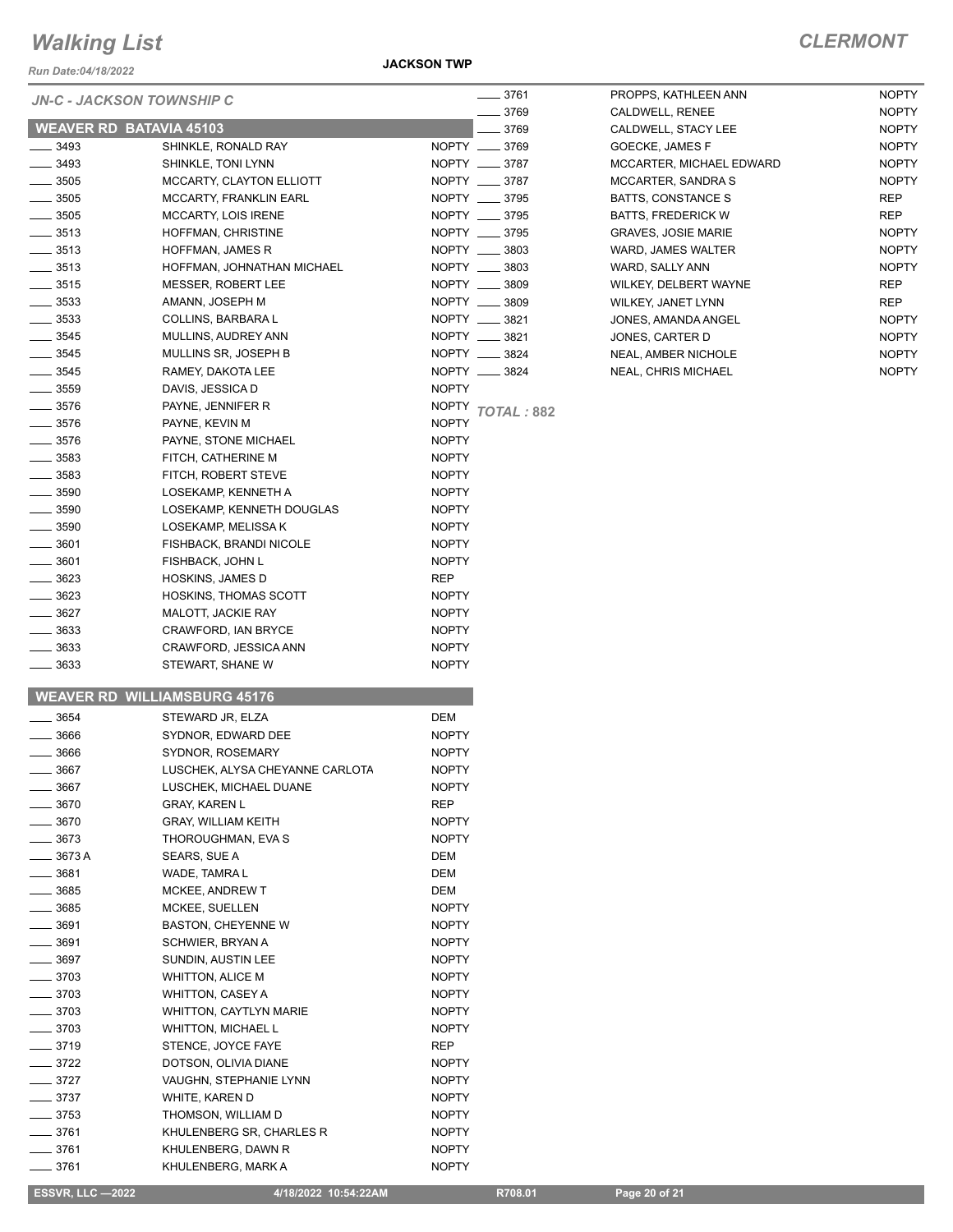*Run Date:04/18/2022*

#### *JN-C - JACKSON TOWNSHIP C*

#### **JACKSON TWP**

|                                | JN-C - JACKSON TOWNSHIP C           |                                   |  |
|--------------------------------|-------------------------------------|-----------------------------------|--|
|                                |                                     | $-3769$                           |  |
| <b>WEAVER RD BATAVIA 45103</b> |                                     | $-3769$                           |  |
| $-3493$                        | SHINKLE, RONALD RAY                 | NOPTY __ 3769                     |  |
| $-3493$                        | SHINKLE, TONI LYNN                  | NOPTY __ 3787                     |  |
| $-3505$                        | MCCARTY, CLAYTON ELLIOTT            | NOPTY __ 3787                     |  |
| $-3505$                        | <b>MCCARTY, FRANKLIN EARL</b>       | NOPTY __ 3795                     |  |
| $-3505$                        | <b>MCCARTY, LOIS IRENE</b>          | NOPTY __ 3795                     |  |
| $-3513$                        | HOFFMAN, CHRISTINE                  | NOPTY __ 3795                     |  |
| $-3513$                        | <b>HOFFMAN, JAMES R</b>             | NOPTY __ 3803                     |  |
| $-3513$                        | HOFFMAN, JOHNATHAN MICHAEL          | NOPTY __ 3803                     |  |
| $-3515$                        | <b>MESSER, ROBERT LEE</b>           | NOPTY __ 3809                     |  |
| $\frac{1}{2}$ 3533             | AMANN, JOSEPH M                     | NOPTY __ 3809                     |  |
| $-3533$                        | COLLINS, BARBARA L                  | NOPTY __ 3821                     |  |
| $-3545$                        | MULLINS, AUDREY ANN                 | NOPTY __ 3821                     |  |
| $- 3545$                       | MULLINS SR, JOSEPH B                | NOPTY __ 3824                     |  |
| $\equiv$ 3545                  | RAMEY, DAKOTA LEE                   | NOPTY __ 3824                     |  |
| $\equiv$ 3559                  | DAVIS, JESSICA D                    | <b>NOPTY</b>                      |  |
| $-3576$                        | PAYNE, JENNIFER R                   | <b>NOPTY</b><br><b>TOTAL: 882</b> |  |
| $-3576$                        | PAYNE, KEVIN M                      | <b>NOPTY</b>                      |  |
| $-3576$                        | PAYNE, STONE MICHAEL                | <b>NOPTY</b>                      |  |
| $-3583$                        | FITCH, CATHERINE M                  | <b>NOPTY</b>                      |  |
| $-3583$                        | FITCH, ROBERT STEVE                 | <b>NOPTY</b>                      |  |
| $-3590$                        | LOSEKAMP, KENNETH A                 | <b>NOPTY</b>                      |  |
| $-3590$                        | LOSEKAMP, KENNETH DOUGLAS           | <b>NOPTY</b>                      |  |
| $-3590$                        | LOSEKAMP, MELISSA K                 | <b>NOPTY</b>                      |  |
| $-3601$                        | FISHBACK, BRANDI NICOLE             | <b>NOPTY</b>                      |  |
| $-3601$                        | FISHBACK, JOHN L                    | <b>NOPTY</b>                      |  |
| $-3623$                        | <b>HOSKINS, JAMES D</b>             | <b>REP</b>                        |  |
| _ 3623                         | <b>HOSKINS, THOMAS SCOTT</b>        | <b>NOPTY</b>                      |  |
| $= 3627$                       | MALOTT, JACKIE RAY                  | <b>NOPTY</b>                      |  |
| _ 3633                         | CRAWFORD, IAN BRYCE                 | <b>NOPTY</b>                      |  |
| $-3633$                        | CRAWFORD, JESSICA ANN               | <b>NOPTY</b>                      |  |
| $= 3633$                       | STEWART, SHANE W                    | <b>NOPTY</b>                      |  |
|                                | <b>WEAVER RD WILLIAMSBURG 45176</b> |                                   |  |
| $-3654$                        | STEWARD JR, ELZA                    | <b>DEM</b>                        |  |
| $-3666$                        | SYDNOR, EDWARD DEE                  | <b>NOPTY</b>                      |  |
| 200C                           | CVDNOD DOCEMADY                     | <b>NIODTV</b>                     |  |

| 3761 | PROPPS. KATHLEEN ANN       | <b>NOPTY</b> |
|------|----------------------------|--------------|
| 3769 | CALDWELL, RENEE            | <b>NOPTY</b> |
| 3769 | CALDWELL, STACY LEE        | <b>NOPTY</b> |
| 3769 | <b>GOECKE, JAMES F</b>     | <b>NOPTY</b> |
| 3787 | MCCARTER, MICHAEL EDWARD   | <b>NOPTY</b> |
| 3787 | <b>MCCARTER, SANDRA S</b>  | <b>NOPTY</b> |
| 3795 | BATTS, CONSTANCE S         | <b>REP</b>   |
| 3795 | <b>BATTS, FREDERICK W</b>  | <b>REP</b>   |
| 3795 | <b>GRAVES. JOSIE MARIE</b> | <b>NOPTY</b> |
| 3803 | WARD, JAMES WALTER         | <b>NOPTY</b> |
| 3803 | WARD, SALLY ANN            | <b>NOPTY</b> |
| 3809 | WILKEY, DELBERT WAYNE      | <b>REP</b>   |
| 3809 | <b>WILKEY, JANET LYNN</b>  | <b>REP</b>   |
| 3821 | JONES. AMANDA ANGEL        | <b>NOPTY</b> |
| 3821 | JONES, CARTER D            | <b>NOPTY</b> |
| 3824 | <b>NEAL. AMBER NICHOLE</b> | <b>NOPTY</b> |
| 3824 | <b>NEAL, CHRIS MICHAEL</b> | <b>NOPTY</b> |

| $-3654$            | STEWARD JR, ELZA                | <b>DEM</b>   |
|--------------------|---------------------------------|--------------|
| $-3666$            | SYDNOR, EDWARD DEE              | <b>NOPTY</b> |
| $-3666$            | SYDNOR, ROSEMARY                | <b>NOPTY</b> |
| $\equiv$ 3667      | LUSCHEK, ALYSA CHEYANNE CARLOTA | <b>NOPTY</b> |
| $-3667$            | LUSCHEK, MICHAEL DUANE          | <b>NOPTY</b> |
| $- 3670$           | <b>GRAY, KAREN L</b>            | <b>REP</b>   |
| $-3670$            | <b>GRAY, WILLIAM KEITH</b>      | <b>NOPTY</b> |
| $- 3673$           | THOROUGHMAN, EVA S              | <b>NOPTY</b> |
| $-3673A$           | SEARS, SUE A                    | <b>DEM</b>   |
| $-3681$            | WADE, TAMRA L                   | <b>DEM</b>   |
| $-3685$            | <b>MCKEE, ANDREW T</b>          | <b>DEM</b>   |
| $- 3685$           | <b>MCKEE, SUELLEN</b>           | <b>NOPTY</b> |
| $-3691$            | <b>BASTON, CHEYENNE W</b>       | <b>NOPTY</b> |
| $-3691$            | <b>SCHWIER, BRYAN A</b>         | <b>NOPTY</b> |
| $- 3697$           | <b>SUNDIN, AUSTIN LEE</b>       | <b>NOPTY</b> |
| $-3703$            | <b>WHITTON, ALICE M</b>         | <b>NOPTY</b> |
| $\equiv$ 3703      | WHITTON, CASEY A                | <b>NOPTY</b> |
| $-3703$            | <b>WHITTON, CAYTLYN MARIE</b>   | <b>NOPTY</b> |
| $-3703$            | <b>WHITTON, MICHAEL L</b>       | <b>NOPTY</b> |
| $- 3719$           | STENCE, JOYCE FAYE              | <b>REP</b>   |
| $-3722$            | DOTSON, OLIVIA DIANE            | <b>NOPTY</b> |
| $-3727$            | VAUGHN, STEPHANIE LYNN          | <b>NOPTY</b> |
| $-3737$            | WHITE, KAREN D                  | <b>NOPTY</b> |
| $-3753$            | THOMSON, WILLIAM D              | <b>NOPTY</b> |
| $-3761$            | KHULENBERG SR, CHARLES R        | <b>NOPTY</b> |
| $\frac{1}{2}$ 3761 | KHULENBERG, DAWN R              | <b>NOPTY</b> |
| $-3761$            | KHULENBERG, MARK A              | <b>NOPTY</b> |